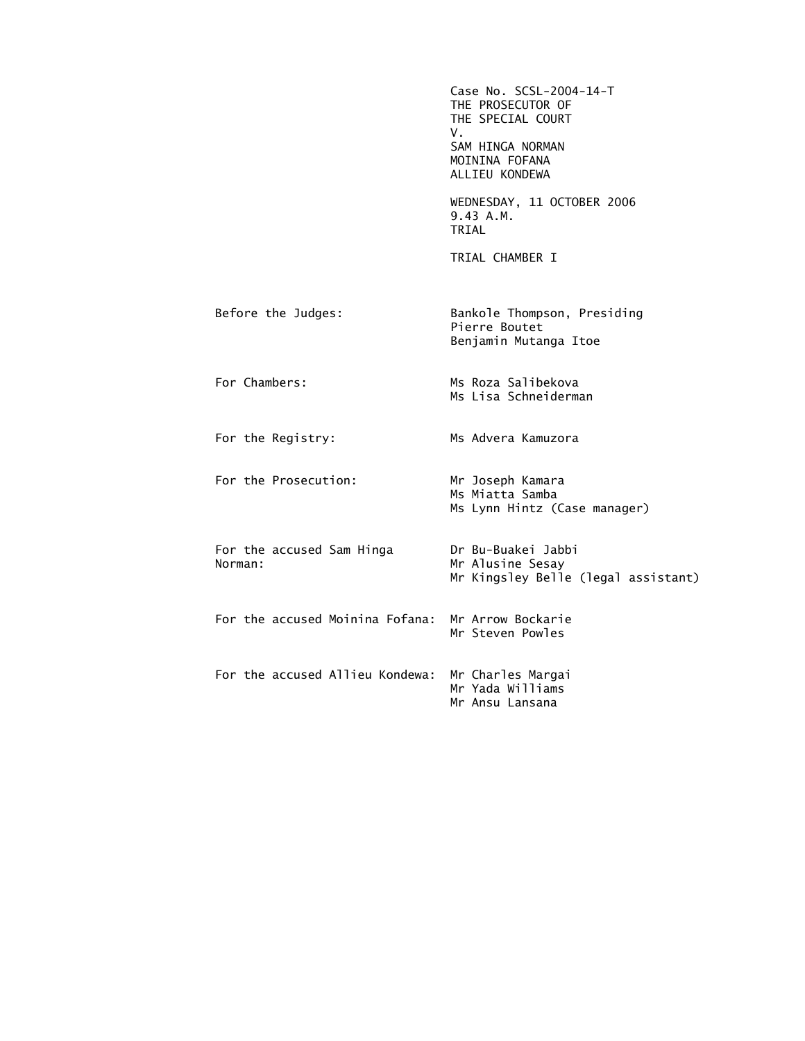|                                      | Case No. SCSL-2004-14-T<br>THE PROSECUTOR OF<br>THE SPECIAL COURT<br>V.<br>SAM HINGA NORMAN<br>MOININA FOFANA<br>ALLIEU KONDEWA |
|--------------------------------------|---------------------------------------------------------------------------------------------------------------------------------|
|                                      | WEDNESDAY, 11 OCTOBER 2006<br>9.43 A.M.<br>TRIAL                                                                                |
|                                      | TRIAL CHAMBER I                                                                                                                 |
| Before the Judges:                   | Bankole Thompson, Presiding<br>Pierre Boutet<br>Benjamin Mutanga Itoe                                                           |
| For Chambers:                        | Ms Roza Salibekova<br>Ms Lisa Schneiderman                                                                                      |
| For the Registry:                    | Ms Advera Kamuzora                                                                                                              |
| For the Prosecution:                 | Mr Joseph Kamara<br>Ms Miatta Samba<br>Ms Lynn Hintz (Case manager)                                                             |
| For the accused Sam Hinga<br>Norman: | Dr Bu-Buakei Jabbi<br>Mr Alusine Sesay<br>Mr Kingsley Belle (legal assistant)                                                   |
| For the accused Moinina Fofana:      | Mr Arrow Bockarie<br>Mr Steven Powles                                                                                           |
| For the accused Allieu Kondewa:      | Mr Charles Margai<br>Mr Yada Williams<br>Mr Ansu Lansana                                                                        |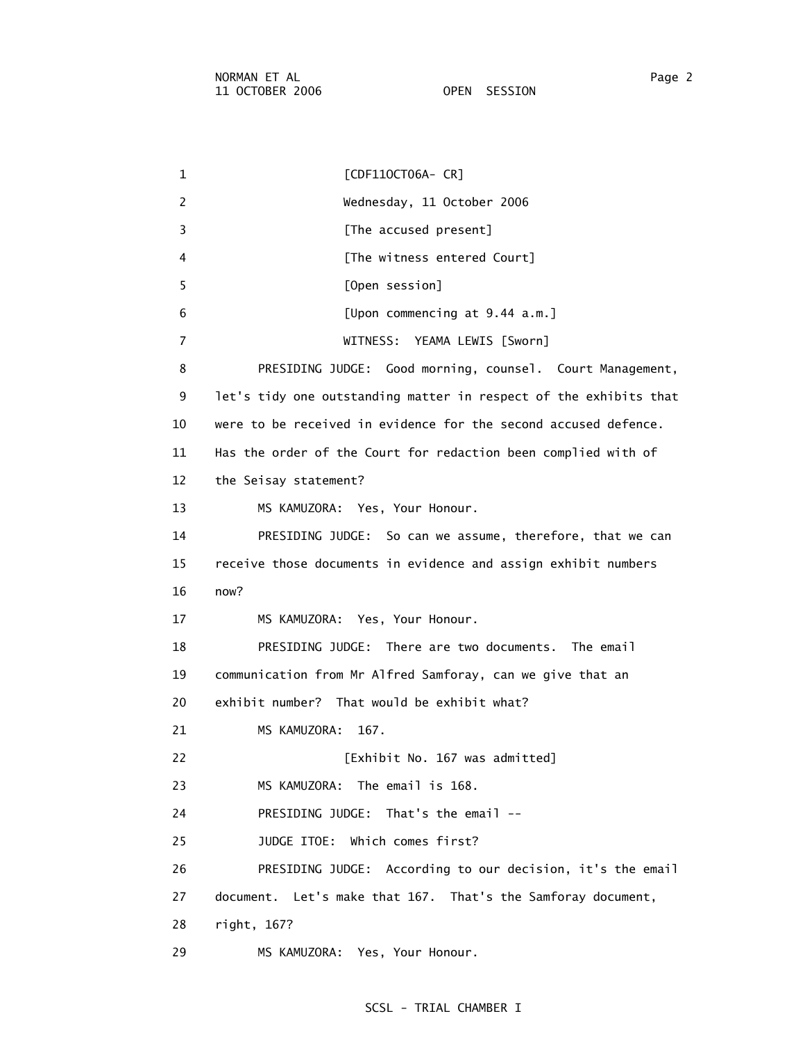1 [CDF11OCT06A- CR] 2 Wednesday, 11 October 2006 3 **Example 2 [The accused present]** 4 [The witness entered Court] 5 [Open session] 6 [Upon commencing at 9.44 a.m.] 7 WITNESS: YEAMA LEWIS [Sworn] 8 PRESIDING JUDGE: Good morning, counsel. Court Management, 9 let's tidy one outstanding matter in respect of the exhibits that 10 were to be received in evidence for the second accused defence. 11 Has the order of the Court for redaction been complied with of 12 the Seisay statement? 13 MS KAMUZORA: Yes, Your Honour. 14 PRESIDING JUDGE: So can we assume, therefore, that we can 15 receive those documents in evidence and assign exhibit numbers 16 now? 17 MS KAMUZORA: Yes, Your Honour. 18 PRESIDING JUDGE: There are two documents. The email 19 communication from Mr Alfred Samforay, can we give that an 20 exhibit number? That would be exhibit what? 21 MS KAMUZORA: 167. 22 [Exhibit No. 167 was admitted] 23 MS KAMUZORA: The email is 168. 24 PRESIDING JUDGE: That's the email -- 25 JUDGE ITOE: Which comes first? 26 PRESIDING JUDGE: According to our decision, it's the email 27 document. Let's make that 167. That's the Samforay document, 28 right, 167? 29 MS KAMUZORA: Yes, Your Honour.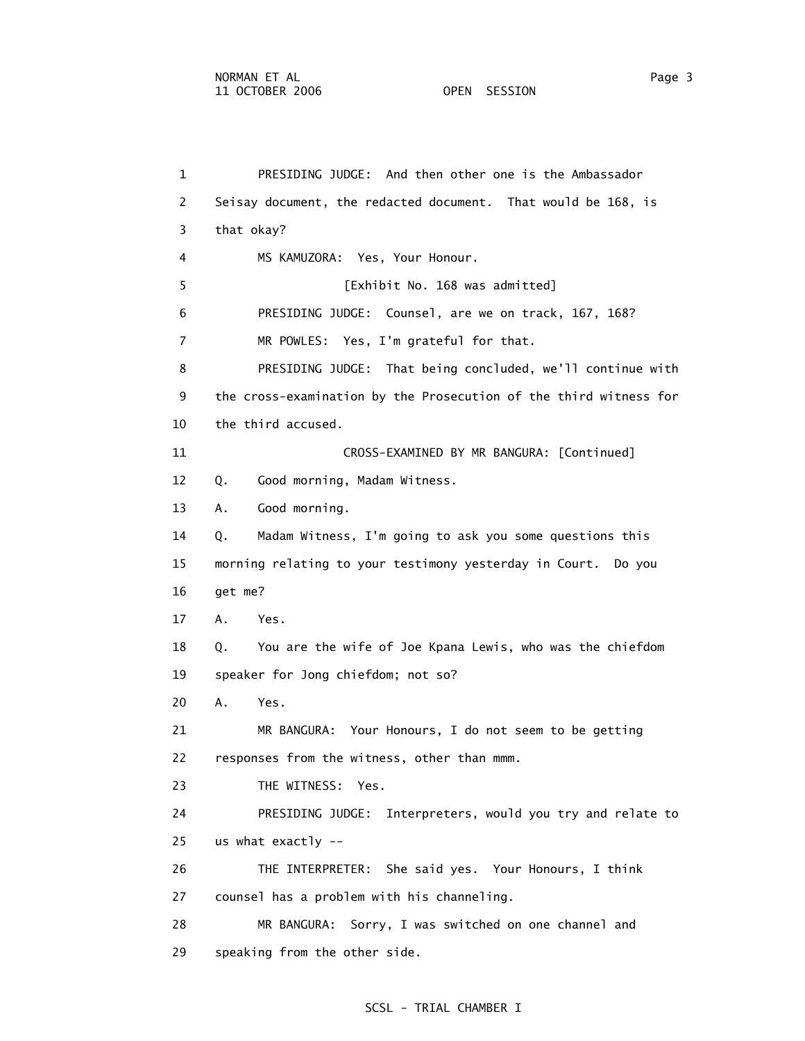1 PRESIDING JUDGE: And then other one is the Ambassador 2 Seisay document, the redacted document. That would be 168, is 3 that okay? 4 MS KAMUZORA: Yes, Your Honour. 5 [Exhibit No. 168 was admitted] 6 PRESIDING JUDGE: Counsel, are we on track, 167, 168? 7 MR POWLES: Yes, I'm grateful for that. 8 PRESIDING JUDGE: That being concluded, we'll continue with 9 the cross-examination by the Prosecution of the third witness for 10 the third accused. 11 CROSS-EXAMINED BY MR BANGURA: [Continued] 12 Q. Good morning, Madam Witness. 13 A. Good morning. 14 Q. Madam Witness, I'm going to ask you some questions this 15 morning relating to your testimony yesterday in Court. Do you 16 get me? 17 A. Yes. 18 Q. You are the wife of Joe Kpana Lewis, who was the chiefdom 19 speaker for Jong chiefdom; not so? 20 A. Yes. 21 MR BANGURA: Your Honours, I do not seem to be getting 22 responses from the witness, other than mmm. 23 THE WITNESS: Yes. 24 PRESIDING JUDGE: Interpreters, would you try and relate to 25 us what exactly -- 26 THE INTERPRETER: She said yes. Your Honours, I think 27 counsel has a problem with his channeling. 28 MR BANGURA: Sorry, I was switched on one channel and 29 speaking from the other side.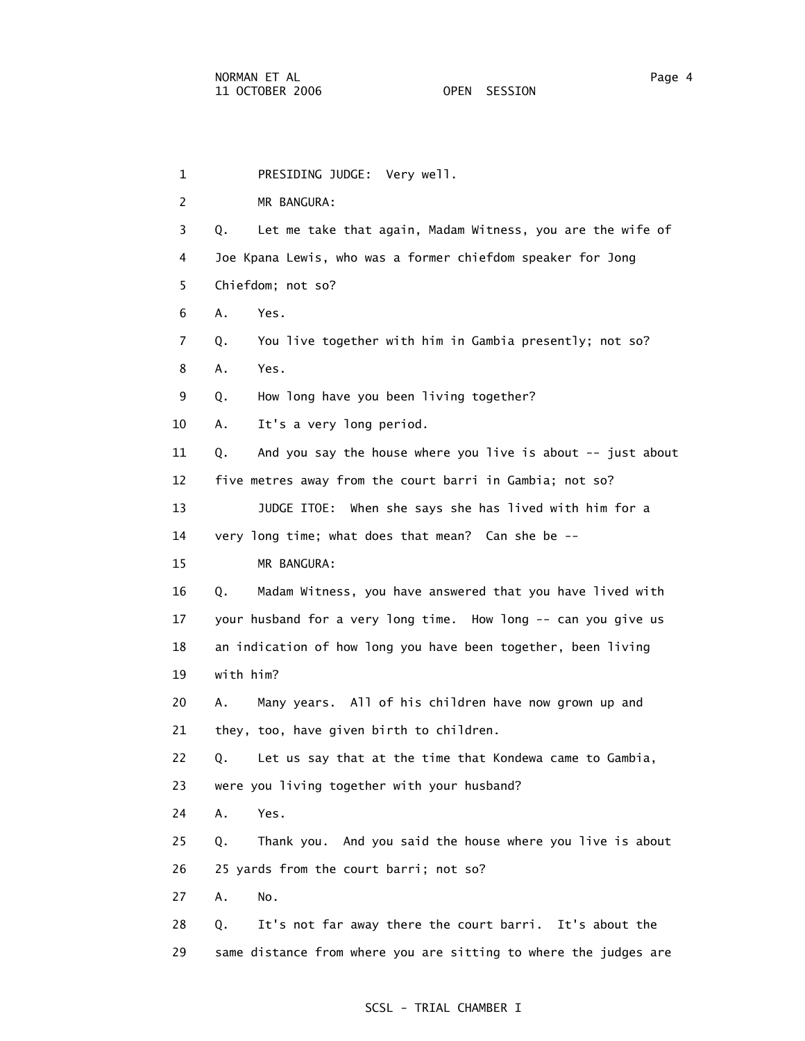1 PRESIDING JUDGE: Very well. 2 MR BANGURA: 3 Q. Let me take that again, Madam Witness, you are the wife of 4 Joe Kpana Lewis, who was a former chiefdom speaker for Jong 5 Chiefdom; not so? 6 A. Yes. 7 Q. You live together with him in Gambia presently; not so? 8 A. Yes. 9 Q. How long have you been living together? 10 A. It's a very long period. 11 Q. And you say the house where you live is about -- just about 12 five metres away from the court barri in Gambia; not so? 13 JUDGE ITOE: When she says she has lived with him for a 14 very long time; what does that mean? Can she be -- 15 MR BANGURA: 16 Q. Madam Witness, you have answered that you have lived with 17 your husband for a very long time. How long -- can you give us 18 an indication of how long you have been together, been living 19 with him? 20 A. Many years. All of his children have now grown up and 21 they, too, have given birth to children. 22 Q. Let us say that at the time that Kondewa came to Gambia, 23 were you living together with your husband? 24 A. Yes. 25 Q. Thank you. And you said the house where you live is about 26 25 yards from the court barri; not so? 27 A. No. 28 Q. It's not far away there the court barri. It's about the 29 same distance from where you are sitting to where the judges are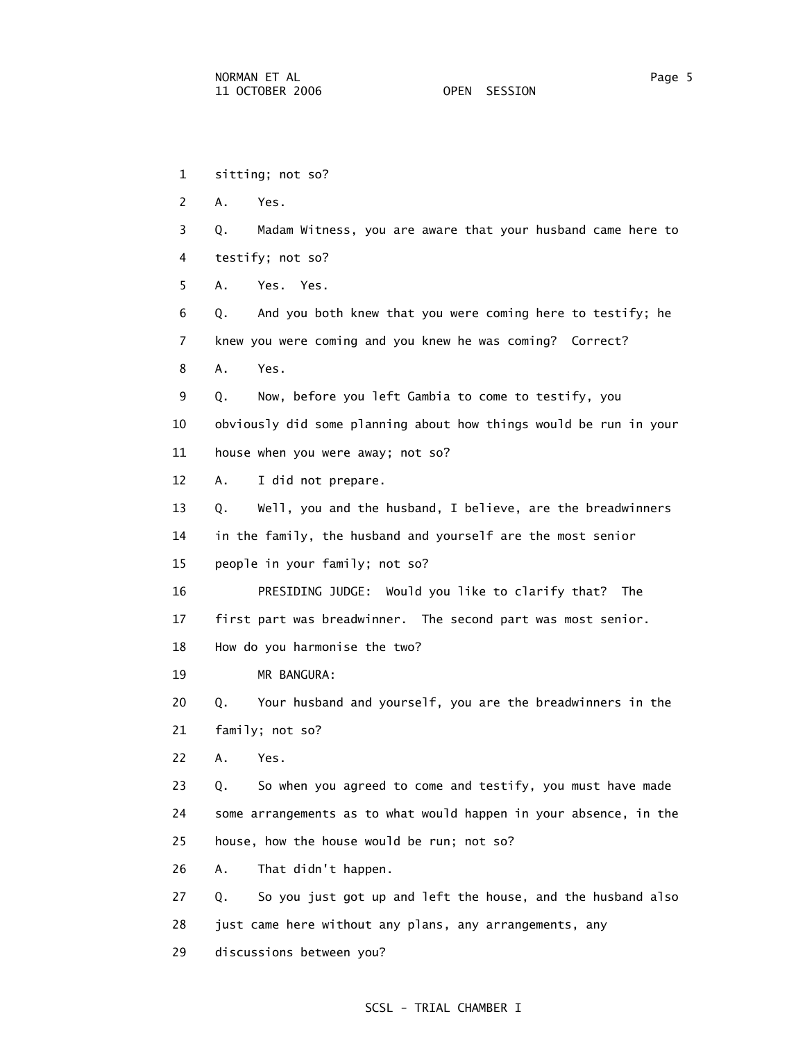1 sitting; not so? 2 A. Yes. 3 Q. Madam Witness, you are aware that your husband came here to 4 testify; not so? 5 A. Yes. Yes. 6 Q. And you both knew that you were coming here to testify; he 7 knew you were coming and you knew he was coming? Correct? 8 A. Yes. 9 Q. Now, before you left Gambia to come to testify, you 10 obviously did some planning about how things would be run in your 11 house when you were away; not so? 12 A. I did not prepare. 13 Q. Well, you and the husband, I believe, are the breadwinners 14 in the family, the husband and yourself are the most senior 15 people in your family; not so? 16 PRESIDING JUDGE: Would you like to clarify that? The 17 first part was breadwinner. The second part was most senior. 18 How do you harmonise the two? 19 MR BANGURA: 20 Q. Your husband and yourself, you are the breadwinners in the 21 family; not so? 22 A. Yes. 23 Q. So when you agreed to come and testify, you must have made 24 some arrangements as to what would happen in your absence, in the 25 house, how the house would be run; not so? 26 A. That didn't happen. 27 Q. So you just got up and left the house, and the husband also 28 just came here without any plans, any arrangements, any 29 discussions between you?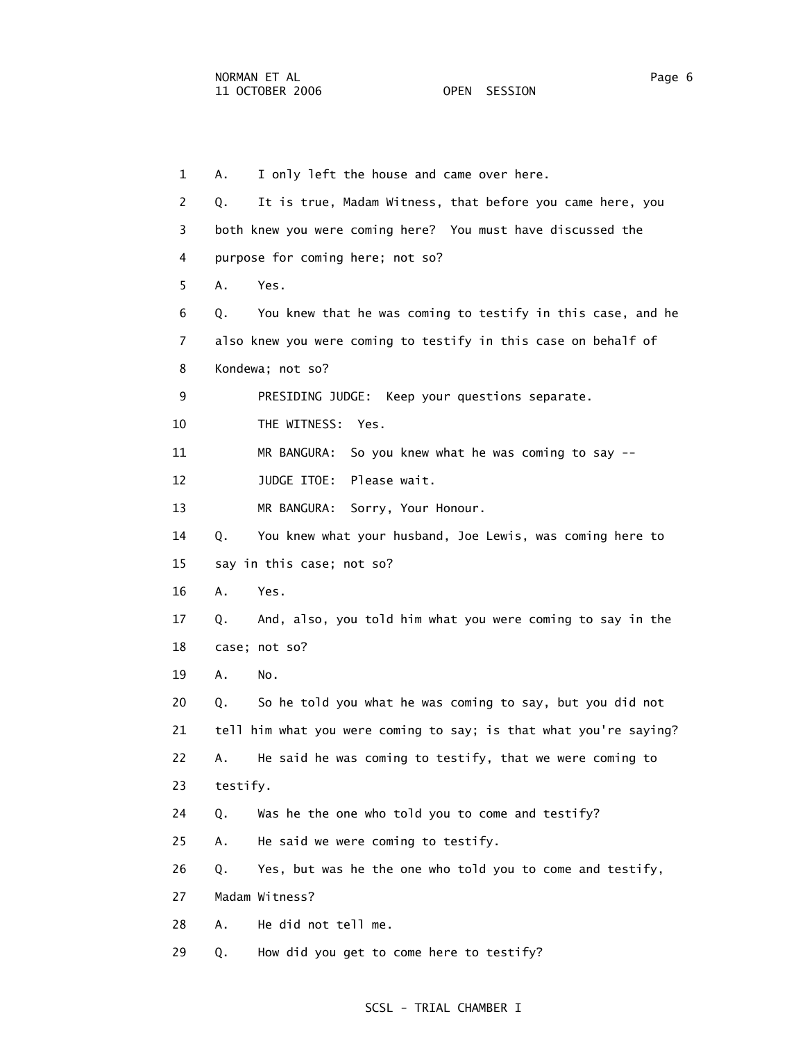1 A. I only left the house and came over here. 2 Q. It is true, Madam Witness, that before you came here, you 3 both knew you were coming here? You must have discussed the 4 purpose for coming here; not so? 5 A. Yes. 6 Q. You knew that he was coming to testify in this case, and he 7 also knew you were coming to testify in this case on behalf of 8 Kondewa; not so? 9 PRESIDING JUDGE: Keep your questions separate. 10 THE WITNESS: Yes. 11 MR BANGURA: So you knew what he was coming to say -- 12 JUDGE ITOE: Please wait. 13 MR BANGURA: Sorry, Your Honour. 14 Q. You knew what your husband, Joe Lewis, was coming here to 15 say in this case; not so? 16 A. Yes. 17 Q. And, also, you told him what you were coming to say in the 18 case; not so? 19 A. No. 20 Q. So he told you what he was coming to say, but you did not 21 tell him what you were coming to say; is that what you're saying? 22 A. He said he was coming to testify, that we were coming to 23 testify. 24 Q. Was he the one who told you to come and testify? 25 A. He said we were coming to testify. 26 Q. Yes, but was he the one who told you to come and testify, 27 Madam Witness? 28 A. He did not tell me. 29 Q. How did you get to come here to testify?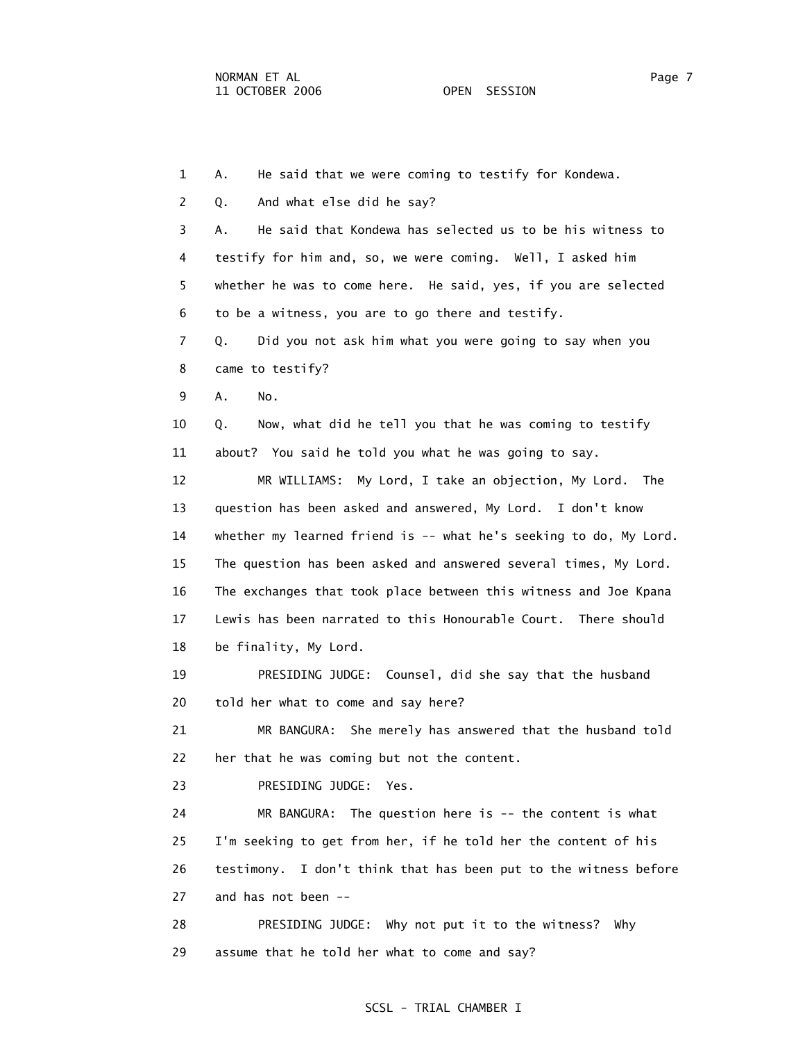1 A. He said that we were coming to testify for Kondewa. 2 Q. And what else did he say? 3 A. He said that Kondewa has selected us to be his witness to 4 testify for him and, so, we were coming. Well, I asked him 5 whether he was to come here. He said, yes, if you are selected 6 to be a witness, you are to go there and testify. 7 Q. Did you not ask him what you were going to say when you 8 came to testify? 9 A. No. 10 Q. Now, what did he tell you that he was coming to testify 11 about? You said he told you what he was going to say. 12 MR WILLIAMS: My Lord, I take an objection, My Lord. The 13 question has been asked and answered, My Lord. I don't know 14 whether my learned friend is -- what he's seeking to do, My Lord. 15 The question has been asked and answered several times, My Lord. 16 The exchanges that took place between this witness and Joe Kpana 17 Lewis has been narrated to this Honourable Court. There should 18 be finality, My Lord. 19 PRESIDING JUDGE: Counsel, did she say that the husband 20 told her what to come and say here? 21 MR BANGURA: She merely has answered that the husband told 22 her that he was coming but not the content. 23 PRESIDING JUDGE: Yes. 24 MR BANGURA: The question here is -- the content is what 25 I'm seeking to get from her, if he told her the content of his 26 testimony. I don't think that has been put to the witness before 27 and has not been -- 28 PRESIDING JUDGE: Why not put it to the witness? Why 29 assume that he told her what to come and say?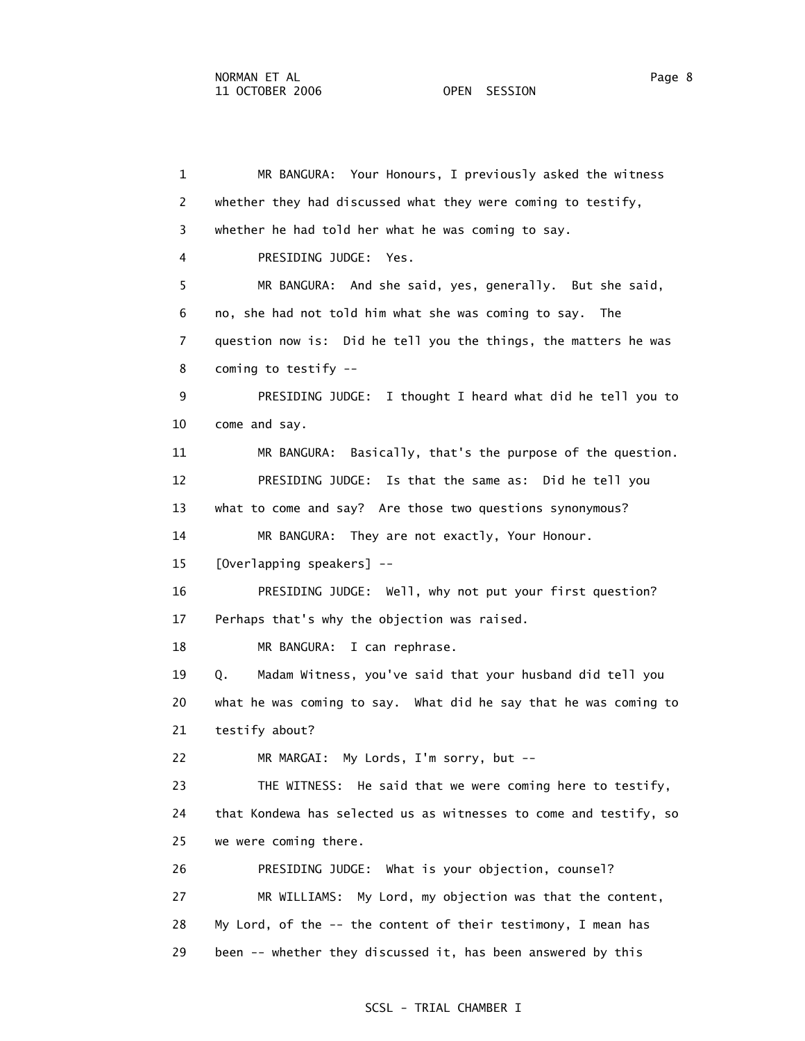1 MR BANGURA: Your Honours, I previously asked the witness 2 whether they had discussed what they were coming to testify, 3 whether he had told her what he was coming to say. 4 PRESIDING JUDGE: Yes. 5 MR BANGURA: And she said, yes, generally. But she said, 6 no, she had not told him what she was coming to say. The 7 question now is: Did he tell you the things, the matters he was 8 coming to testify -- 9 PRESIDING JUDGE: I thought I heard what did he tell you to 10 come and say. 11 MR BANGURA: Basically, that's the purpose of the question. 12 PRESIDING JUDGE: Is that the same as: Did he tell you 13 what to come and say? Are those two questions synonymous? 14 MR BANGURA: They are not exactly, Your Honour. 15 [Overlapping speakers] -- 16 PRESIDING JUDGE: Well, why not put your first question? 17 Perhaps that's why the objection was raised. 18 MR BANGURA: I can rephrase. 19 Q. Madam Witness, you've said that your husband did tell you 20 what he was coming to say. What did he say that he was coming to 21 testify about? 22 MR MARGAI: My Lords, I'm sorry, but -- 23 THE WITNESS: He said that we were coming here to testify, 24 that Kondewa has selected us as witnesses to come and testify, so 25 we were coming there. 26 PRESIDING JUDGE: What is your objection, counsel? 27 MR WILLIAMS: My Lord, my objection was that the content, 28 My Lord, of the -- the content of their testimony, I mean has 29 been -- whether they discussed it, has been answered by this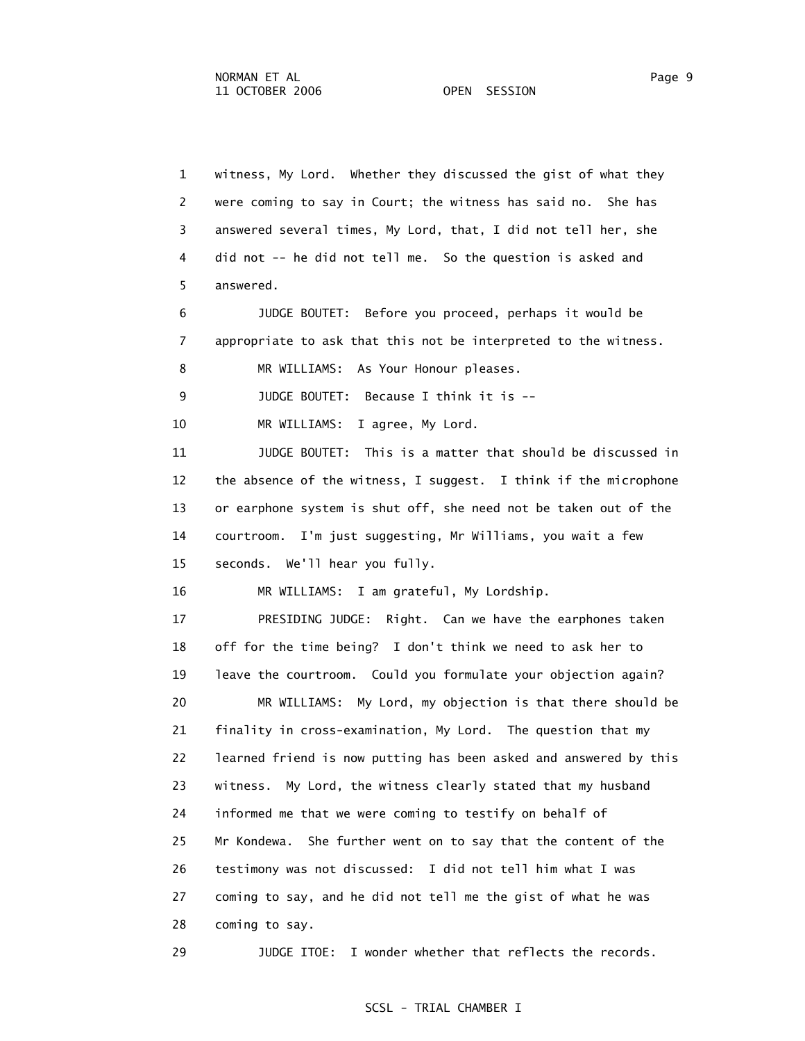1 witness, My Lord. Whether they discussed the gist of what they 2 were coming to say in Court; the witness has said no. She has 3 answered several times, My Lord, that, I did not tell her, she 4 did not -- he did not tell me. So the question is asked and 5 answered. 6 JUDGE BOUTET: Before you proceed, perhaps it would be 7 appropriate to ask that this not be interpreted to the witness. 8 MR WILLIAMS: As Your Honour pleases. 9 JUDGE BOUTET: Because I think it is -- 10 MR WILLIAMS: I agree, My Lord. 11 JUDGE BOUTET: This is a matter that should be discussed in 12 the absence of the witness, I suggest. I think if the microphone 13 or earphone system is shut off, she need not be taken out of the 14 courtroom. I'm just suggesting, Mr Williams, you wait a few 15 seconds. We'll hear you fully. 16 MR WILLIAMS: I am grateful, My Lordship. 17 PRESIDING JUDGE: Right. Can we have the earphones taken 18 off for the time being? I don't think we need to ask her to 19 leave the courtroom. Could you formulate your objection again? 20 MR WILLIAMS: My Lord, my objection is that there should be 21 finality in cross-examination, My Lord. The question that my 22 learned friend is now putting has been asked and answered by this 23 witness. My Lord, the witness clearly stated that my husband 24 informed me that we were coming to testify on behalf of 25 Mr Kondewa. She further went on to say that the content of the 26 testimony was not discussed: I did not tell him what I was 27 coming to say, and he did not tell me the gist of what he was 28 coming to say. 29 JUDGE ITOE: I wonder whether that reflects the records.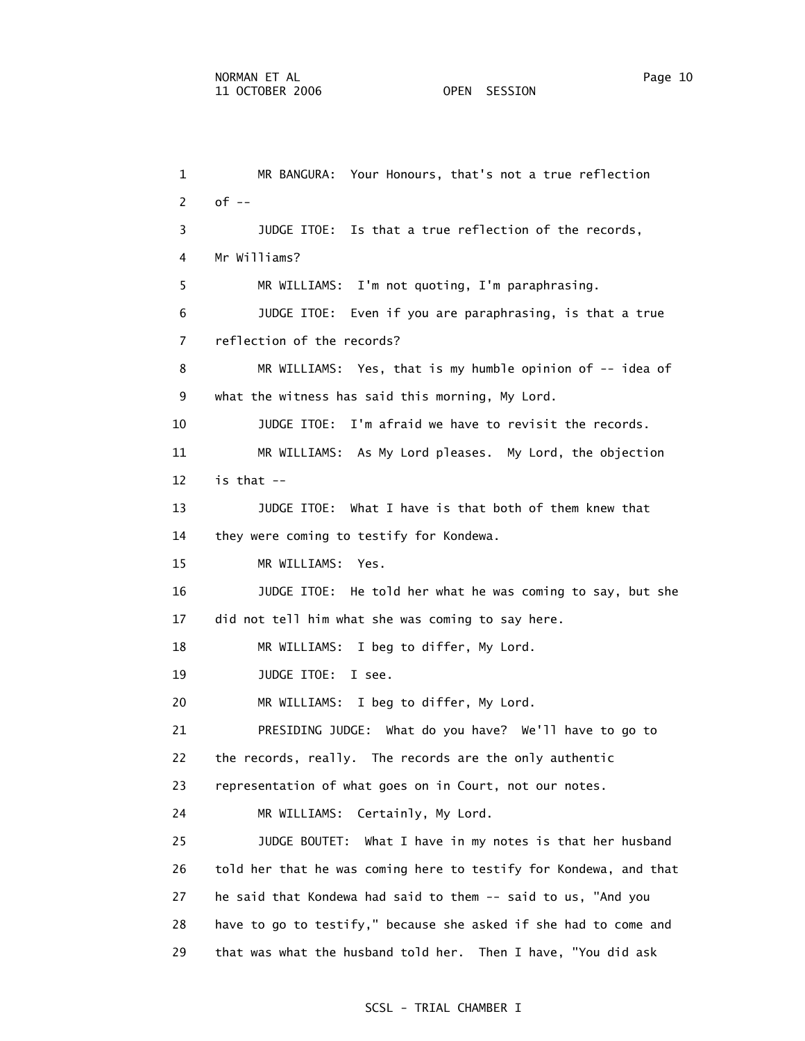1 MR BANGURA: Your Honours, that's not a true reflection 2 of -- 3 JUDGE ITOE: Is that a true reflection of the records, 4 Mr Williams? 5 MR WILLIAMS: I'm not quoting, I'm paraphrasing. 6 JUDGE ITOE: Even if you are paraphrasing, is that a true 7 reflection of the records? 8 MR WILLIAMS: Yes, that is my humble opinion of -- idea of 9 what the witness has said this morning, My Lord. 10 JUDGE ITOE: I'm afraid we have to revisit the records. 11 MR WILLIAMS: As My Lord pleases. My Lord, the objection 12 is that  $-$  13 JUDGE ITOE: What I have is that both of them knew that 14 they were coming to testify for Kondewa. 15 MR WILLIAMS: Yes. 16 JUDGE ITOE: He told her what he was coming to say, but she 17 did not tell him what she was coming to say here. 18 MR WILLIAMS: I beg to differ, My Lord. 19 JUDGE ITOE: I see. 20 MR WILLIAMS: I beg to differ, My Lord. 21 PRESIDING JUDGE: What do you have? We'll have to go to 22 the records, really. The records are the only authentic 23 representation of what goes on in Court, not our notes. 24 MR WILLIAMS: Certainly, My Lord. 25 JUDGE BOUTET: What I have in my notes is that her husband

 26 told her that he was coming here to testify for Kondewa, and that 27 he said that Kondewa had said to them -- said to us, "And you 28 have to go to testify," because she asked if she had to come and 29 that was what the husband told her. Then I have, "You did ask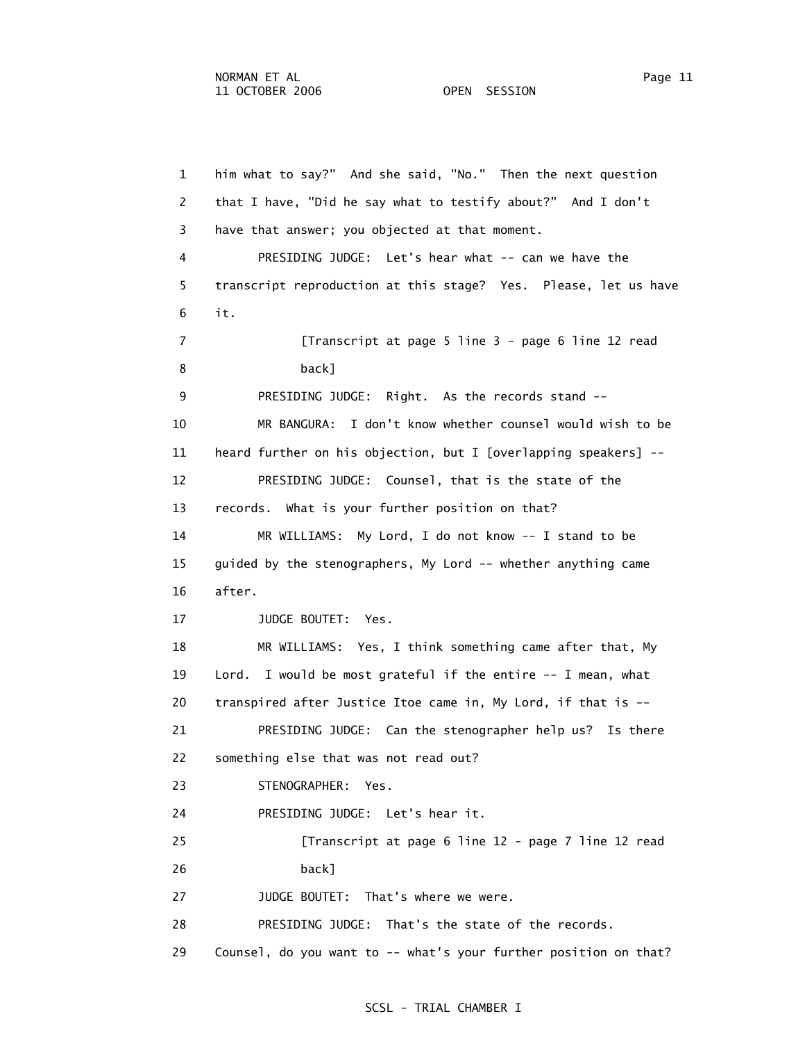1 him what to say?" And she said, "No." Then the next question 2 that I have, "Did he say what to testify about?" And I don't 3 have that answer; you objected at that moment. 4 PRESIDING JUDGE: Let's hear what -- can we have the 5 transcript reproduction at this stage? Yes. Please, let us have 6 it. 7 [Transcript at page 5 line 3 - page 6 line 12 read 8 back] 9 PRESIDING JUDGE: Right. As the records stand -- 10 MR BANGURA: I don't know whether counsel would wish to be 11 heard further on his objection, but I [overlapping speakers] -- 12 PRESIDING JUDGE: Counsel, that is the state of the 13 records. What is your further position on that? 14 MR WILLIAMS: My Lord, I do not know -- I stand to be 15 guided by the stenographers, My Lord -- whether anything came 16 after. 17 JUDGE BOUTET: Yes. 18 MR WILLIAMS: Yes, I think something came after that, My 19 Lord. I would be most grateful if the entire -- I mean, what 20 transpired after Justice Itoe came in, My Lord, if that is -- 21 PRESIDING JUDGE: Can the stenographer help us? Is there 22 something else that was not read out? 23 STENOGRAPHER: Yes. 24 PRESIDING JUDGE: Let's hear it. 25 [Transcript at page 6 line 12 - page 7 line 12 read 26 back] 27 JUDGE BOUTET: That's where we were. 28 PRESIDING JUDGE: That's the state of the records. 29 Counsel, do you want to -- what's your further position on that?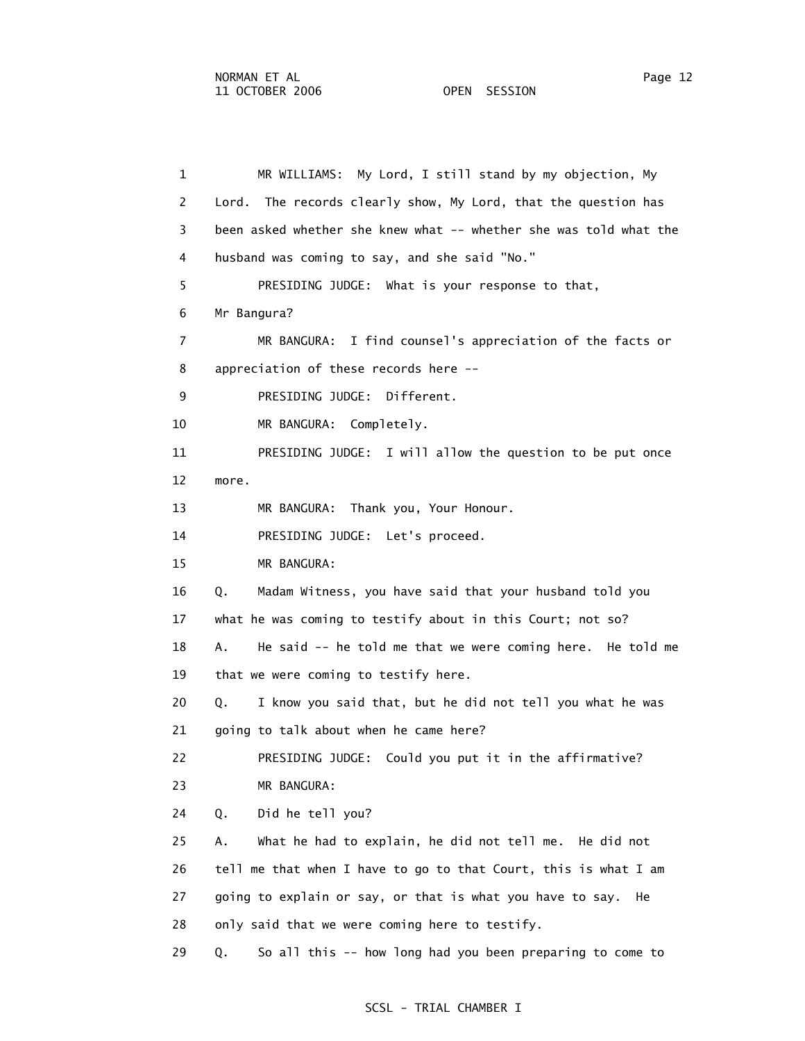1 MR WILLIAMS: My Lord, I still stand by my objection, My 2 Lord. The records clearly show, My Lord, that the question has 3 been asked whether she knew what -- whether she was told what the 4 husband was coming to say, and she said "No." 5 PRESIDING JUDGE: What is your response to that, 6 Mr Bangura? 7 MR BANGURA: I find counsel's appreciation of the facts or 8 appreciation of these records here -- 9 PRESIDING JUDGE: Different. 10 MR BANGURA: Completely. 11 PRESIDING JUDGE: I will allow the question to be put once 12 more. 13 MR BANGURA: Thank you, Your Honour. 14 PRESIDING JUDGE: Let's proceed. 15 MR BANGURA: 16 Q. Madam Witness, you have said that your husband told you 17 what he was coming to testify about in this Court; not so? 18 A. He said -- he told me that we were coming here. He told me 19 that we were coming to testify here. 20 Q. I know you said that, but he did not tell you what he was 21 going to talk about when he came here? 22 PRESIDING JUDGE: Could you put it in the affirmative? 23 MR BANGURA: 24 Q. Did he tell you? 25 A. What he had to explain, he did not tell me. He did not 26 tell me that when I have to go to that Court, this is what I am 27 going to explain or say, or that is what you have to say. He 28 only said that we were coming here to testify. 29 Q. So all this -- how long had you been preparing to come to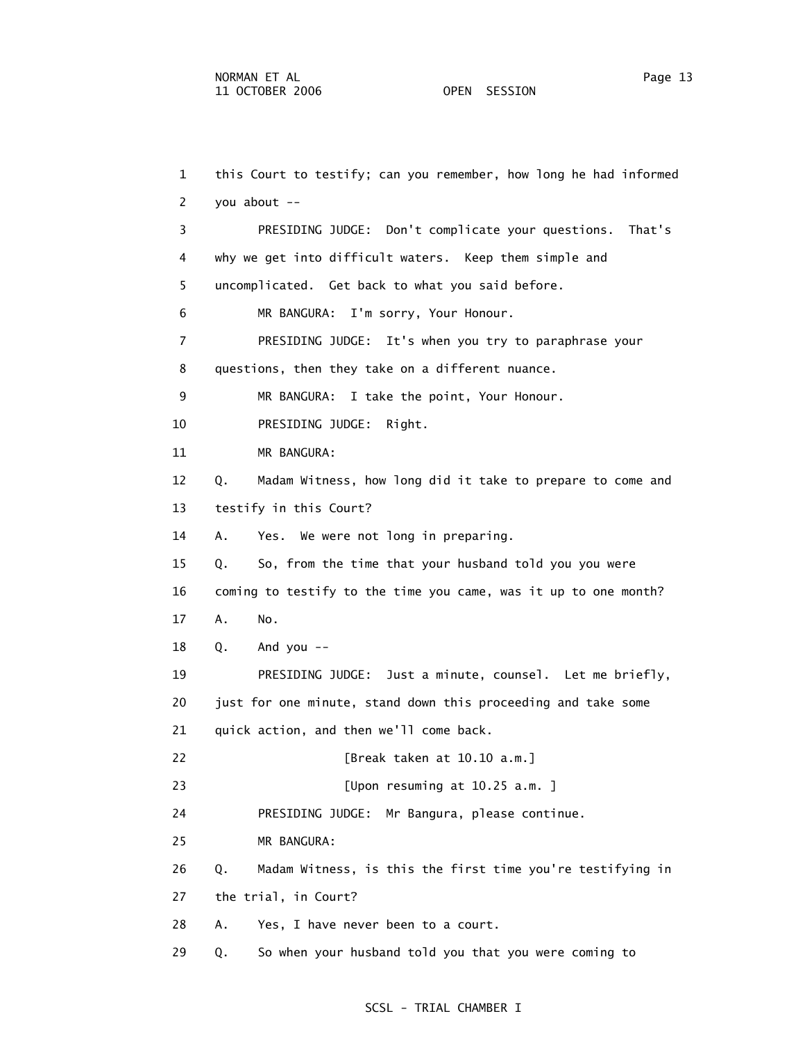1 this Court to testify; can you remember, how long he had informed 2 you about -- 3 PRESIDING JUDGE: Don't complicate your questions. That's 4 why we get into difficult waters. Keep them simple and 5 uncomplicated. Get back to what you said before. 6 MR BANGURA: I'm sorry, Your Honour. 7 PRESIDING JUDGE: It's when you try to paraphrase your 8 questions, then they take on a different nuance. 9 MR BANGURA: I take the point, Your Honour. 10 PRESIDING JUDGE: Right. 11 MR BANGURA: 12 Q. Madam Witness, how long did it take to prepare to come and 13 testify in this Court? 14 A. Yes. We were not long in preparing. 15 Q. So, from the time that your husband told you you were 16 coming to testify to the time you came, was it up to one month? 17 A. No. 18 Q. And you -- 19 PRESIDING JUDGE: Just a minute, counsel. Let me briefly, 20 just for one minute, stand down this proceeding and take some 21 quick action, and then we'll come back. 22 [Break taken at 10.10 a.m.] 23 [Upon resuming at 10.25 a.m. ] 24 PRESIDING JUDGE: Mr Bangura, please continue. 25 MR BANGURA: 26 Q. Madam Witness, is this the first time you're testifying in 27 the trial, in Court? 28 A. Yes, I have never been to a court. 29 Q. So when your husband told you that you were coming to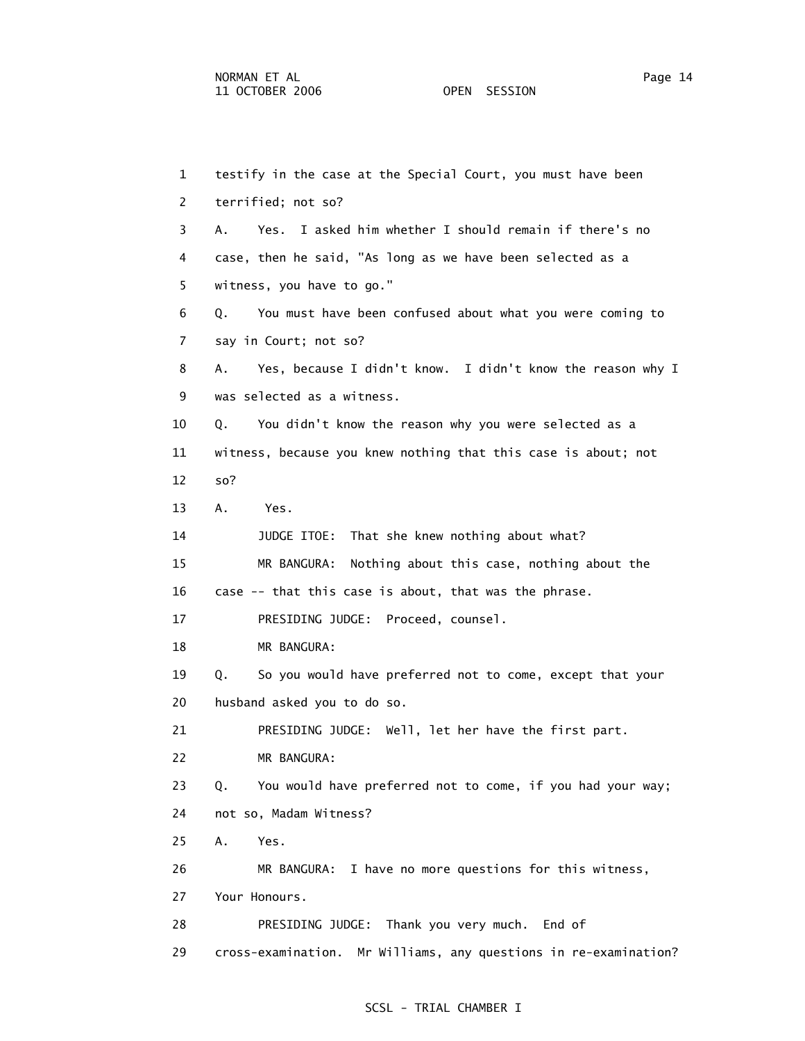1 testify in the case at the Special Court, you must have been 2 terrified; not so? 3 A. Yes. I asked him whether I should remain if there's no 4 case, then he said, "As long as we have been selected as a 5 witness, you have to go." 6 Q. You must have been confused about what you were coming to 7 say in Court; not so? 8 A. Yes, because I didn't know. I didn't know the reason why I 9 was selected as a witness. 10 Q. You didn't know the reason why you were selected as a 11 witness, because you knew nothing that this case is about; not 12 so? 13 A. Yes. 14 JUDGE ITOE: That she knew nothing about what? 15 MR BANGURA: Nothing about this case, nothing about the 16 case -- that this case is about, that was the phrase. 17 PRESIDING JUDGE: Proceed, counsel. 18 MR BANGURA: 19 Q. So you would have preferred not to come, except that your 20 husband asked you to do so. 21 PRESIDING JUDGE: Well, let her have the first part. 22 MR BANGURA: 23 Q. You would have preferred not to come, if you had your way; 24 not so, Madam Witness? 25 A. Yes. 26 MR BANGURA: I have no more questions for this witness, 27 Your Honours. 28 PRESIDING JUDGE: Thank you very much. End of 29 cross-examination. Mr Williams, any questions in re-examination?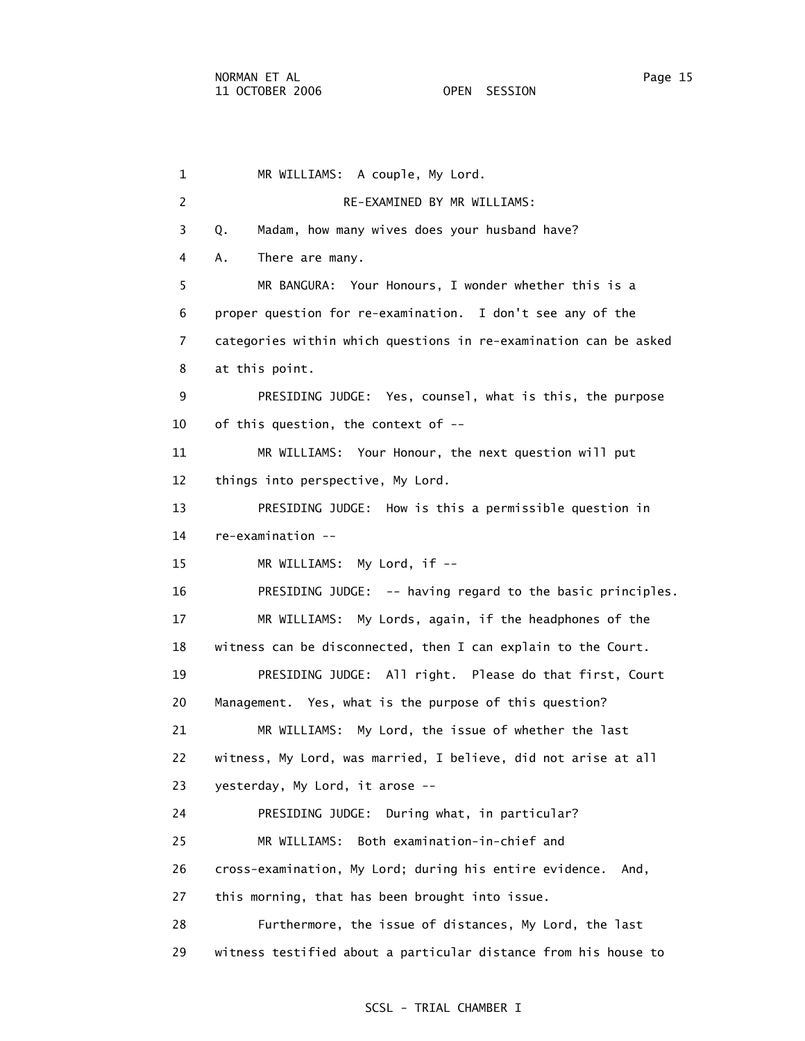1 MR WILLIAMS: A couple, My Lord. 2 RE-EXAMINED BY MR WILLIAMS: 3 Q. Madam, how many wives does your husband have? 4 A. There are many. 5 MR BANGURA: Your Honours, I wonder whether this is a 6 proper question for re-examination. I don't see any of the 7 categories within which questions in re-examination can be asked 8 at this point. 9 PRESIDING JUDGE: Yes, counsel, what is this, the purpose 10 of this question, the context of -- 11 MR WILLIAMS: Your Honour, the next question will put 12 things into perspective, My Lord. 13 PRESIDING JUDGE: How is this a permissible question in 14 re-examination -- 15 MR WILLIAMS: My Lord, if -- 16 PRESIDING JUDGE: -- having regard to the basic principles. 17 MR WILLIAMS: My Lords, again, if the headphones of the 18 witness can be disconnected, then I can explain to the Court. 19 PRESIDING JUDGE: All right. Please do that first, Court 20 Management. Yes, what is the purpose of this question? 21 MR WILLIAMS: My Lord, the issue of whether the last 22 witness, My Lord, was married, I believe, did not arise at all 23 yesterday, My Lord, it arose -- 24 PRESIDING JUDGE: During what, in particular? 25 MR WILLIAMS: Both examination-in-chief and 26 cross-examination, My Lord; during his entire evidence. And, 27 this morning, that has been brought into issue. 28 Furthermore, the issue of distances, My Lord, the last 29 witness testified about a particular distance from his house to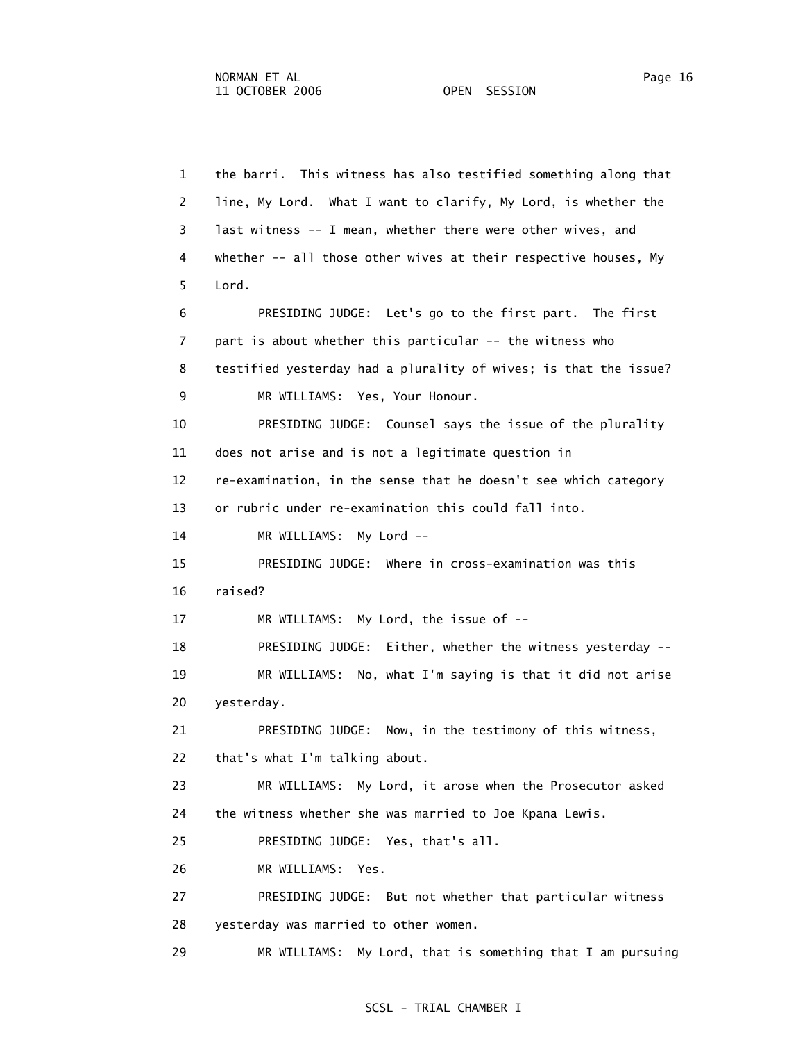1 the barri. This witness has also testified something along that

 2 line, My Lord. What I want to clarify, My Lord, is whether the 3 last witness -- I mean, whether there were other wives, and 4 whether -- all those other wives at their respective houses, My 5 Lord. 6 PRESIDING JUDGE: Let's go to the first part. The first 7 part is about whether this particular -- the witness who 8 testified yesterday had a plurality of wives; is that the issue? 9 MR WILLIAMS: Yes, Your Honour. 10 PRESIDING JUDGE: Counsel says the issue of the plurality 11 does not arise and is not a legitimate question in 12 re-examination, in the sense that he doesn't see which category 13 or rubric under re-examination this could fall into. 14 MR WILLIAMS: My Lord -- 15 PRESIDING JUDGE: Where in cross-examination was this 16 raised? 17 MR WILLIAMS: My Lord, the issue of -- 18 PRESIDING JUDGE: Either, whether the witness yesterday -- 19 MR WILLIAMS: No, what I'm saying is that it did not arise 20 yesterday. 21 PRESIDING JUDGE: Now, in the testimony of this witness, 22 that's what I'm talking about. 23 MR WILLIAMS: My Lord, it arose when the Prosecutor asked 24 the witness whether she was married to Joe Kpana Lewis. 25 PRESIDING JUDGE: Yes, that's all. 26 MR WILLIAMS: Yes. 27 PRESIDING JUDGE: But not whether that particular witness 28 yesterday was married to other women. 29 MR WILLIAMS: My Lord, that is something that I am pursuing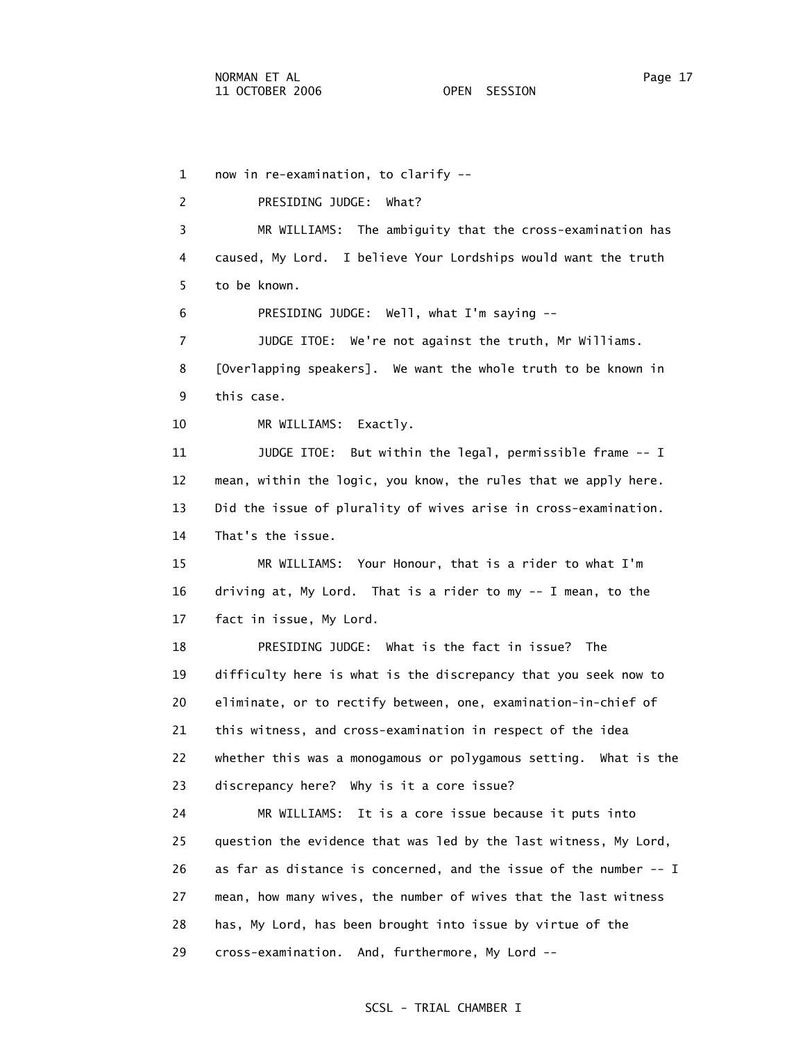1 now in re-examination, to clarify -- 2 PRESIDING JUDGE: What? 3 MR WILLIAMS: The ambiguity that the cross-examination has 4 caused, My Lord. I believe Your Lordships would want the truth 5 to be known. 6 PRESIDING JUDGE: Well, what I'm saying -- 7 JUDGE ITOE: We're not against the truth, Mr Williams. 8 [Overlapping speakers]. We want the whole truth to be known in 9 this case. 10 MR WILLIAMS: Exactly. 11 JUDGE ITOE: But within the legal, permissible frame -- I 12 mean, within the logic, you know, the rules that we apply here. 13 Did the issue of plurality of wives arise in cross-examination. 14 That's the issue. 15 MR WILLIAMS: Your Honour, that is a rider to what I'm 16 driving at, My Lord. That is a rider to my -- I mean, to the 17 fact in issue, My Lord. 18 PRESIDING JUDGE: What is the fact in issue? The 19 difficulty here is what is the discrepancy that you seek now to 20 eliminate, or to rectify between, one, examination-in-chief of 21 this witness, and cross-examination in respect of the idea 22 whether this was a monogamous or polygamous setting. What is the 23 discrepancy here? Why is it a core issue? 24 MR WILLIAMS: It is a core issue because it puts into 25 question the evidence that was led by the last witness, My Lord, 26 as far as distance is concerned, and the issue of the number -- I 27 mean, how many wives, the number of wives that the last witness 28 has, My Lord, has been brought into issue by virtue of the 29 cross-examination. And, furthermore, My Lord --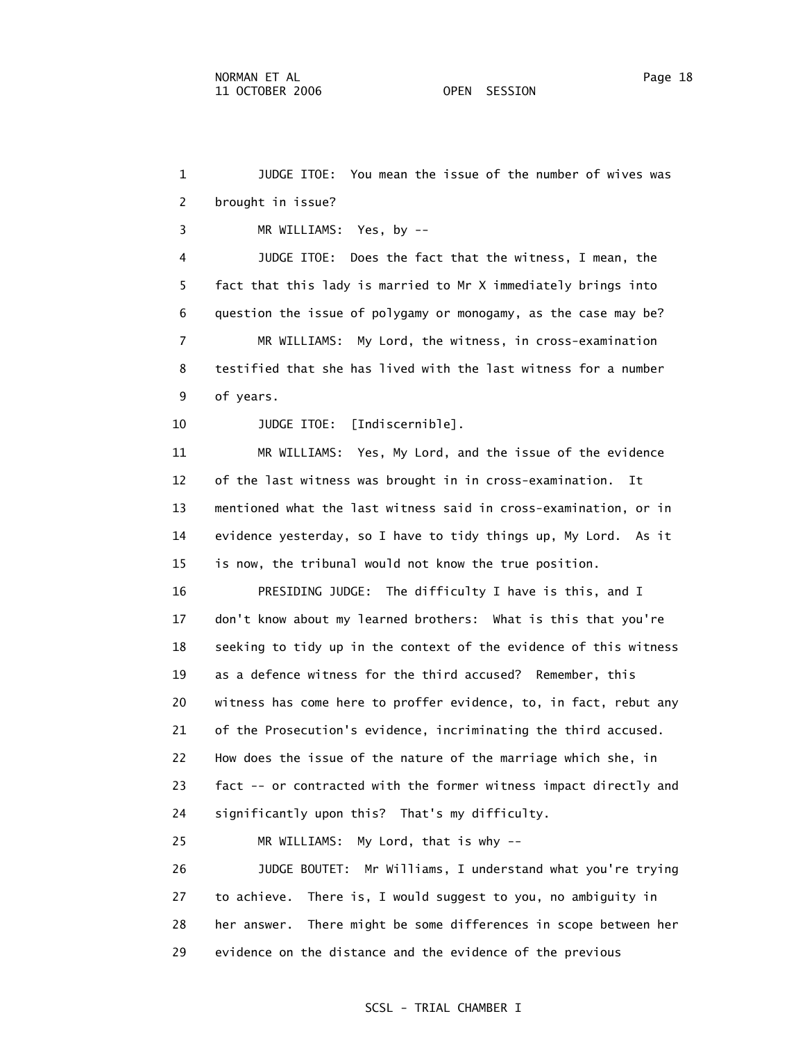1 JUDGE ITOE: You mean the issue of the number of wives was 2 brought in issue? 3 MR WILLIAMS: Yes, by -- 4 JUDGE ITOE: Does the fact that the witness, I mean, the 5 fact that this lady is married to Mr X immediately brings into 6 question the issue of polygamy or monogamy, as the case may be? 7 MR WILLIAMS: My Lord, the witness, in cross-examination 8 testified that she has lived with the last witness for a number 9 of years. 10 JUDGE ITOE: [Indiscernible]. 11 MR WILLIAMS: Yes, My Lord, and the issue of the evidence 13 mentioned what the last witness said in cross-examination, or in 14 evidence yesterday, so I have to tidy things up, My Lord. As it 15 is now, the tribunal would not know the true position. 16 PRESIDING JUDGE: The difficulty I have is this, and I 25 MR WILLIAMS: My Lord, that is why -- 26 JUDGE BOUTET: Mr Williams, I understand what you're trying

12 of the last witness was brought in in cross-examination. It

 17 don't know about my learned brothers: What is this that you're 18 seeking to tidy up in the context of the evidence of this witness 19 as a defence witness for the third accused? Remember, this 20 witness has come here to proffer evidence, to, in fact, rebut any 21 of the Prosecution's evidence, incriminating the third accused. 22 How does the issue of the nature of the marriage which she, in 23 fact -- or contracted with the former witness impact directly and 24 significantly upon this? That's my difficulty.

 27 to achieve. There is, I would suggest to you, no ambiguity in 28 her answer. There might be some differences in scope between her 29 evidence on the distance and the evidence of the previous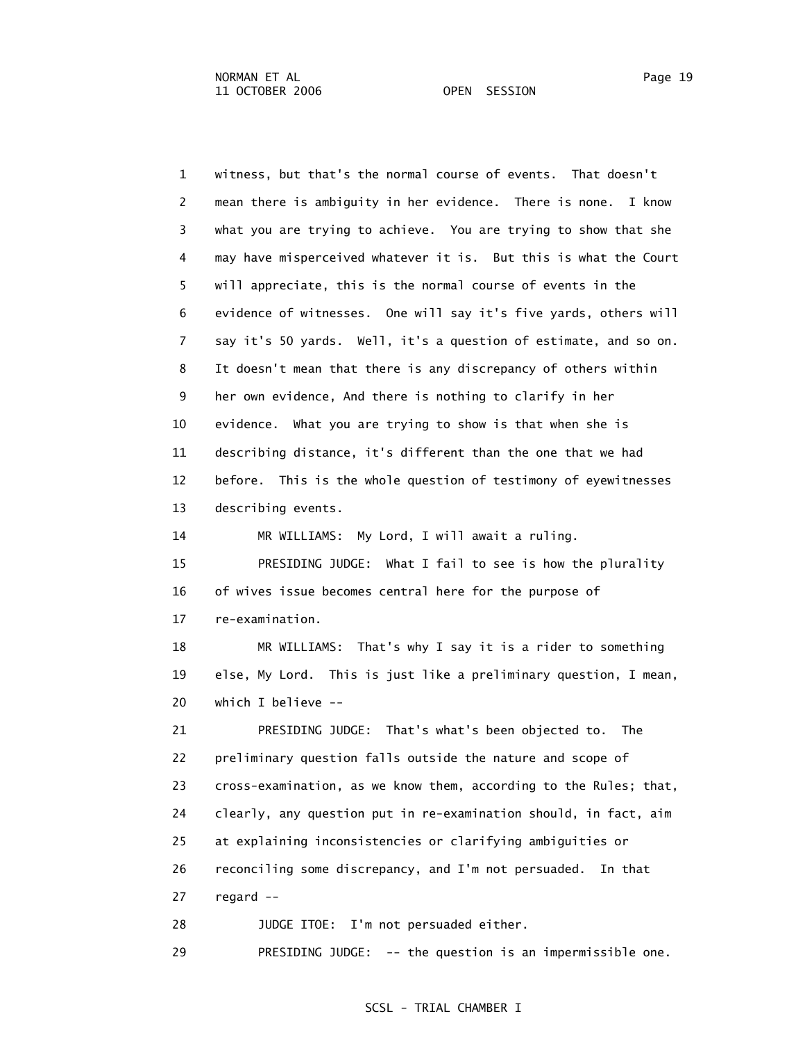1 witness, but that's the normal course of events. That doesn't 2 mean there is ambiguity in her evidence. There is none. I know 3 what you are trying to achieve. You are trying to show that she 4 may have misperceived whatever it is. But this is what the Court 5 will appreciate, this is the normal course of events in the 6 evidence of witnesses. One will say it's five yards, others will 7 say it's 50 yards. Well, it's a question of estimate, and so on. 8 It doesn't mean that there is any discrepancy of others within 9 her own evidence, And there is nothing to clarify in her 10 evidence. What you are trying to show is that when she is 11 describing distance, it's different than the one that we had 12 before. This is the whole question of testimony of eyewitnesses 13 describing events. 14 MR WILLIAMS: My Lord, I will await a ruling. 15 PRESIDING JUDGE: What I fail to see is how the plurality 16 of wives issue becomes central here for the purpose of 17 re-examination. 18 MR WILLIAMS: That's why I say it is a rider to something 19 else, My Lord. This is just like a preliminary question, I mean, 20 which I believe -- 21 PRESIDING JUDGE: That's what's been objected to. The 22 preliminary question falls outside the nature and scope of 23 cross-examination, as we know them, according to the Rules; that, 24 clearly, any question put in re-examination should, in fact, aim 25 at explaining inconsistencies or clarifying ambiguities or

26 reconciling some discrepancy, and I'm not persuaded. In that

27 regard --

28 JUDGE ITOE: I'm not persuaded either.

29 PRESIDING JUDGE: -- the question is an impermissible one.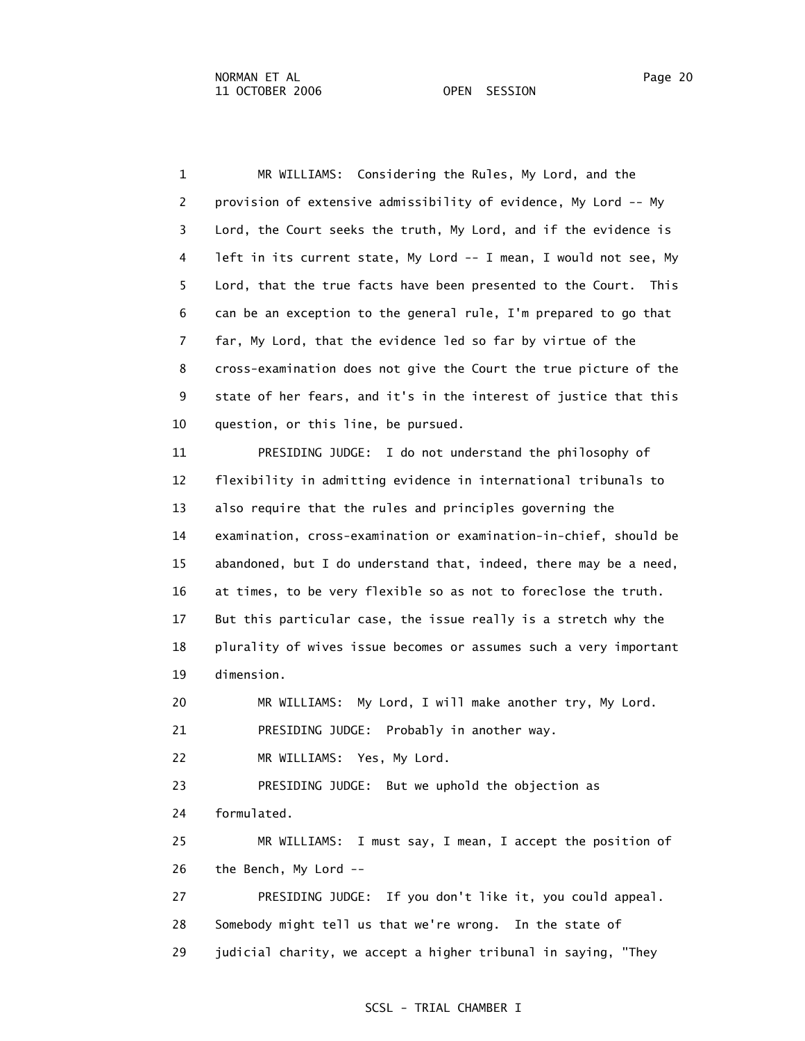1 MR WILLIAMS: Considering the Rules, My Lord, and the 2 provision of extensive admissibility of evidence, My Lord -- My 3 Lord, the Court seeks the truth, My Lord, and if the evidence is 4 left in its current state, My Lord -- I mean, I would not see, My 5 Lord, that the true facts have been presented to the Court. This 6 can be an exception to the general rule, I'm prepared to go that 7 far, My Lord, that the evidence led so far by virtue of the 8 cross-examination does not give the Court the true picture of the 9 state of her fears, and it's in the interest of justice that this 10 question, or this line, be pursued.

 11 PRESIDING JUDGE: I do not understand the philosophy of 12 flexibility in admitting evidence in international tribunals to 13 also require that the rules and principles governing the 14 examination, cross-examination or examination-in-chief, should be 15 abandoned, but I do understand that, indeed, there may be a need, 16 at times, to be very flexible so as not to foreclose the truth. 17 But this particular case, the issue really is a stretch why the 18 plurality of wives issue becomes or assumes such a very important 19 dimension.

 20 MR WILLIAMS: My Lord, I will make another try, My Lord. 21 PRESIDING JUDGE: Probably in another way.

22 MR WILLIAMS: Yes, My Lord.

 23 PRESIDING JUDGE: But we uphold the objection as 24 formulated.

 25 MR WILLIAMS: I must say, I mean, I accept the position of 26 the Bench, My Lord --

 27 PRESIDING JUDGE: If you don't like it, you could appeal. 28 Somebody might tell us that we're wrong. In the state of 29 judicial charity, we accept a higher tribunal in saying, "They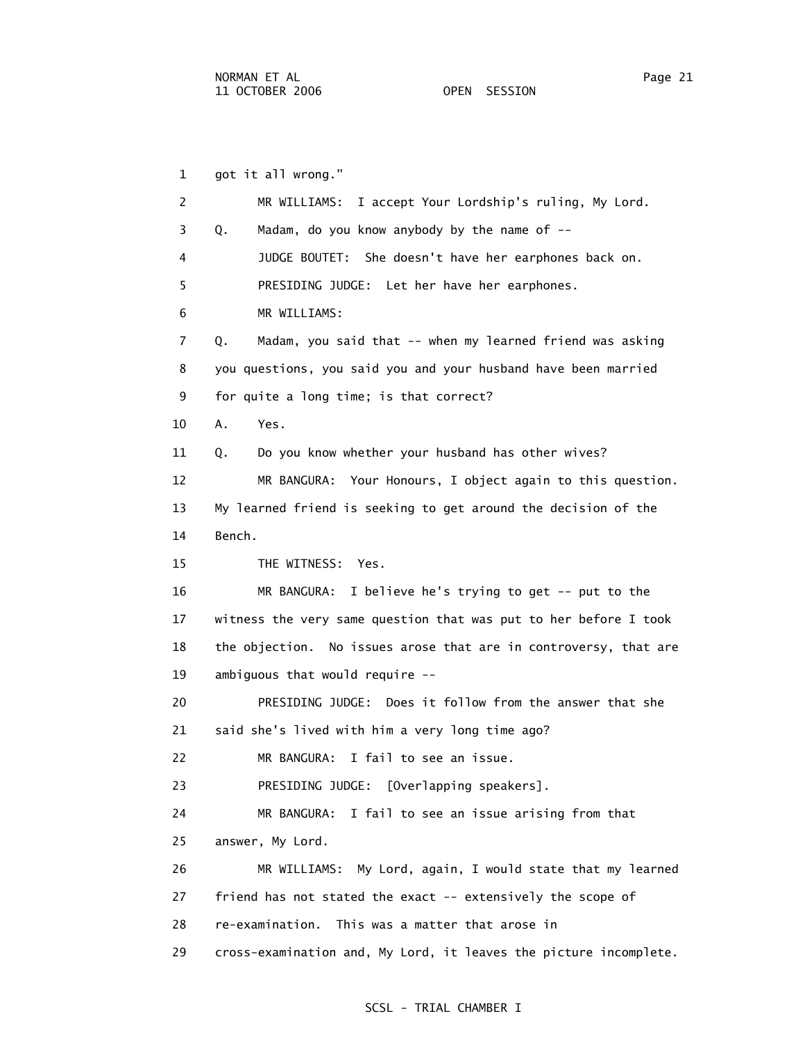1 got it all wrong." 2 MR WILLIAMS: I accept Your Lordship's ruling, My Lord. 3 Q. Madam, do you know anybody by the name of -- 4 JUDGE BOUTET: She doesn't have her earphones back on. 5 PRESIDING JUDGE: Let her have her earphones. 6 MR WILLIAMS: 7 Q. Madam, you said that -- when my learned friend was asking 8 you questions, you said you and your husband have been married 9 for quite a long time; is that correct? 10 A. Yes. 11 Q. Do you know whether your husband has other wives? 12 MR BANGURA: Your Honours, I object again to this question. 13 My learned friend is seeking to get around the decision of the 14 Bench. 15 THE WITNESS: Yes. 16 MR BANGURA: I believe he's trying to get -- put to the 17 witness the very same question that was put to her before I took 18 the objection. No issues arose that are in controversy, that are 19 ambiguous that would require -- 20 PRESIDING JUDGE: Does it follow from the answer that she 21 said she's lived with him a very long time ago? 22 MR BANGURA: I fail to see an issue. 23 PRESIDING JUDGE: [Overlapping speakers]. 24 MR BANGURA: I fail to see an issue arising from that 25 answer, My Lord. 26 MR WILLIAMS: My Lord, again, I would state that my learned 27 friend has not stated the exact -- extensively the scope of 28 re-examination. This was a matter that arose in 29 cross-examination and, My Lord, it leaves the picture incomplete.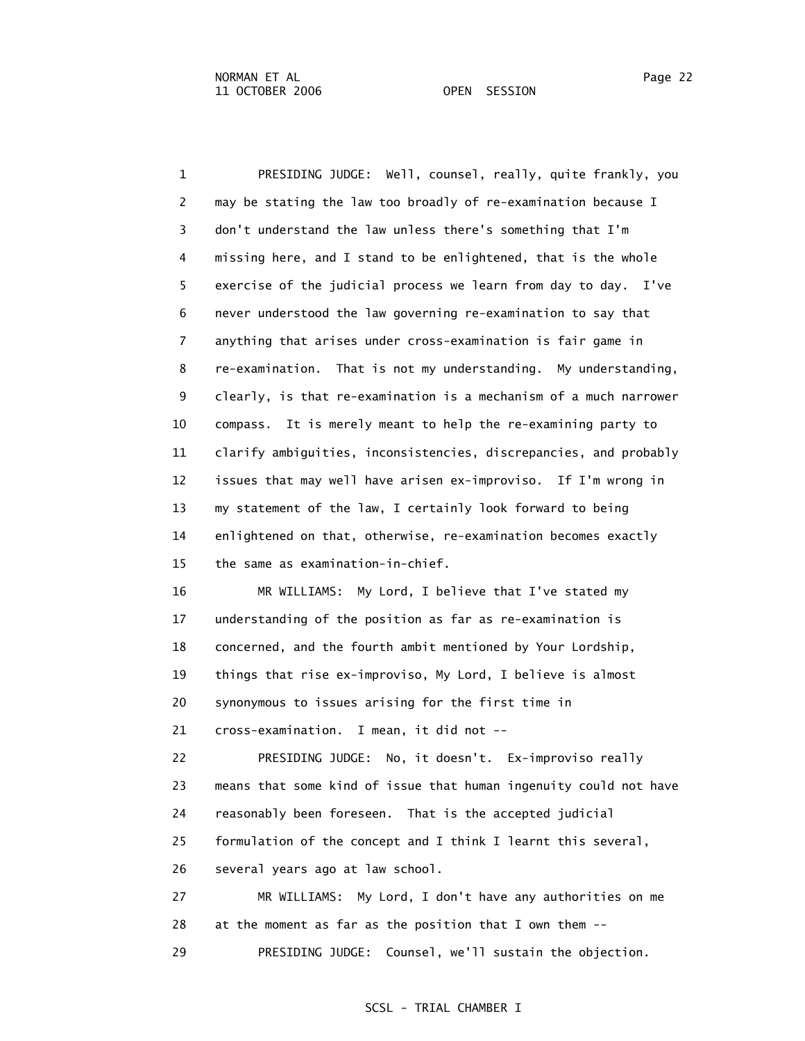1 PRESIDING JUDGE: Well, counsel, really, quite frankly, you 2 may be stating the law too broadly of re-examination because I 3 don't understand the law unless there's something that I'm 4 missing here, and I stand to be enlightened, that is the whole 5 exercise of the judicial process we learn from day to day. I've 6 never understood the law governing re-examination to say that 7 anything that arises under cross-examination is fair game in 8 re-examination. That is not my understanding. My understanding, 9 clearly, is that re-examination is a mechanism of a much narrower 10 compass. It is merely meant to help the re-examining party to 11 clarify ambiguities, inconsistencies, discrepancies, and probably 12 issues that may well have arisen ex-improviso. If I'm wrong in 13 my statement of the law, I certainly look forward to being 14 enlightened on that, otherwise, re-examination becomes exactly 15 the same as examination-in-chief. 16 MR WILLIAMS: My Lord, I believe that I've stated my 17 understanding of the position as far as re-examination is

18 concerned, and the fourth ambit mentioned by Your Lordship,

19 things that rise ex-improviso, My Lord, I believe is almost

20 synonymous to issues arising for the first time in

21 cross-examination. I mean, it did not --

 22 PRESIDING JUDGE: No, it doesn't. Ex-improviso really 23 means that some kind of issue that human ingenuity could not have 24 reasonably been foreseen. That is the accepted judicial 25 formulation of the concept and I think I learnt this several, 26 several years ago at law school.

 27 MR WILLIAMS: My Lord, I don't have any authorities on me 28 at the moment as far as the position that I own them -- 29 PRESIDING JUDGE: Counsel, we'll sustain the objection.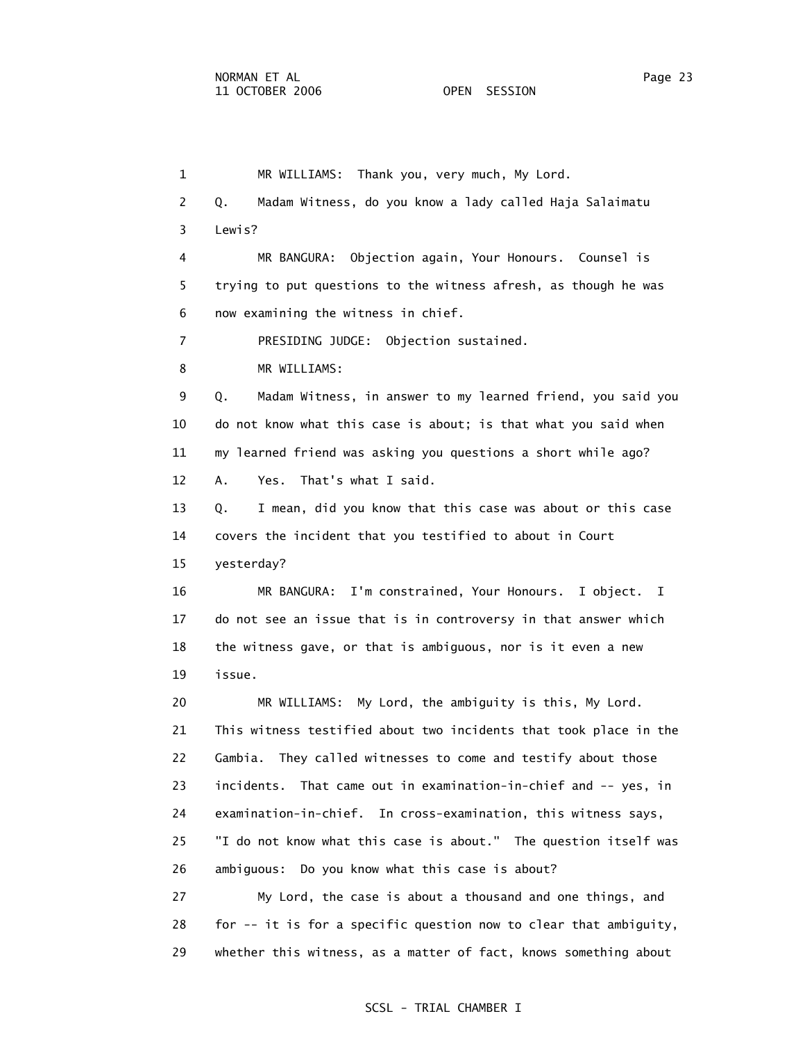1 MR WILLIAMS: Thank you, very much, My Lord. 2 Q. Madam Witness, do you know a lady called Haja Salaimatu 3 Lewis? 4 MR BANGURA: Objection again, Your Honours. Counsel is 5 trying to put questions to the witness afresh, as though he was 6 now examining the witness in chief. 7 PRESIDING JUDGE: Objection sustained. 8 MR WILLIAMS: 9 Q. Madam Witness, in answer to my learned friend, you said you 10 do not know what this case is about; is that what you said when 11 my learned friend was asking you questions a short while ago? 12 A. Yes. That's what I said. 13 Q. I mean, did you know that this case was about or this case 14 covers the incident that you testified to about in Court 15 yesterday? 16 MR BANGURA: I'm constrained, Your Honours. I object. I 17 do not see an issue that is in controversy in that answer which 18 the witness gave, or that is ambiguous, nor is it even a new 19 issue. 20 MR WILLIAMS: My Lord, the ambiguity is this, My Lord. 21 This witness testified about two incidents that took place in the 22 Gambia. They called witnesses to come and testify about those 23 incidents. That came out in examination-in-chief and -- yes, in 24 examination-in-chief. In cross-examination, this witness says, 25 "I do not know what this case is about." The question itself was 26 ambiguous: Do you know what this case is about? 27 My Lord, the case is about a thousand and one things, and 28 for -- it is for a specific question now to clear that ambiguity, 29 whether this witness, as a matter of fact, knows something about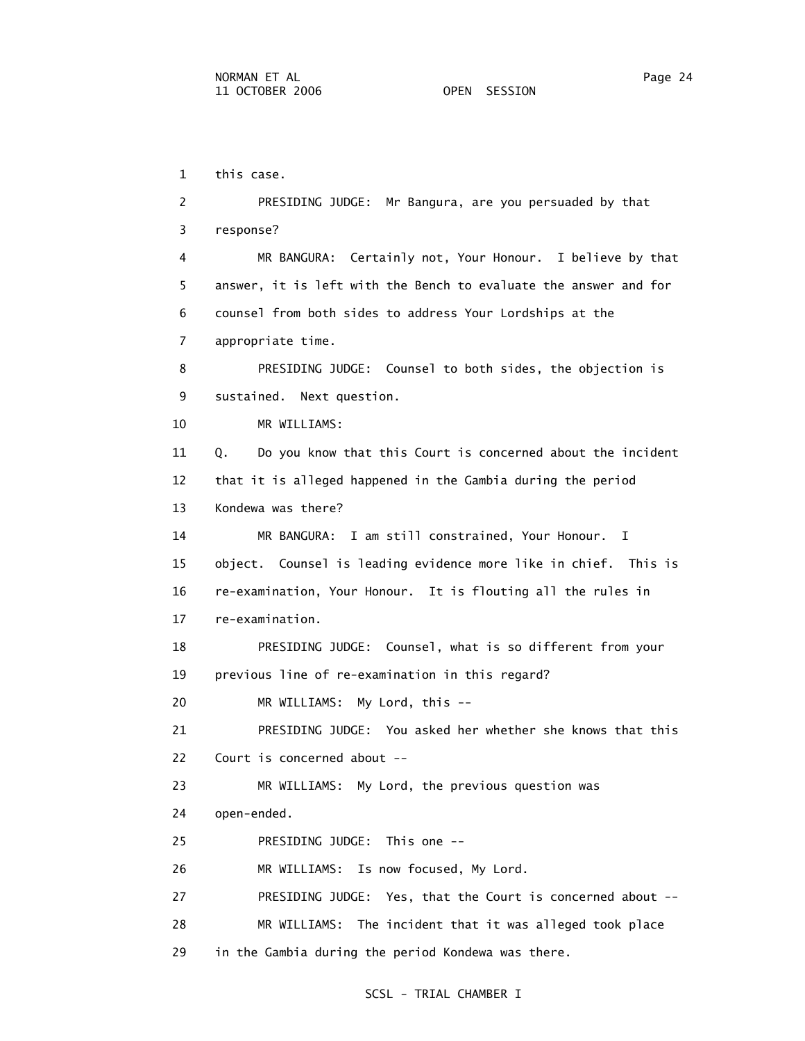1 this case.

 2 PRESIDING JUDGE: Mr Bangura, are you persuaded by that 3 response? 4 MR BANGURA: Certainly not, Your Honour. I believe by that 5 answer, it is left with the Bench to evaluate the answer and for 6 counsel from both sides to address Your Lordships at the 7 appropriate time. 8 PRESIDING JUDGE: Counsel to both sides, the objection is 9 sustained. Next question. 10 MR WILLIAMS: 11 Q. Do you know that this Court is concerned about the incident 12 that it is alleged happened in the Gambia during the period 13 Kondewa was there? 14 MR BANGURA: I am still constrained, Your Honour. I 15 object. Counsel is leading evidence more like in chief. This is 16 re-examination, Your Honour. It is flouting all the rules in 17 re-examination. 18 PRESIDING JUDGE: Counsel, what is so different from your 19 previous line of re-examination in this regard? 20 MR WILLIAMS: My Lord, this -- 21 PRESIDING JUDGE: You asked her whether she knows that this 22 Court is concerned about -- 23 MR WILLIAMS: My Lord, the previous question was 24 open-ended. 25 PRESIDING JUDGE: This one -- 26 MR WILLIAMS: Is now focused, My Lord. 27 PRESIDING JUDGE: Yes, that the Court is concerned about -- 28 MR WILLIAMS: The incident that it was alleged took place 29 in the Gambia during the period Kondewa was there.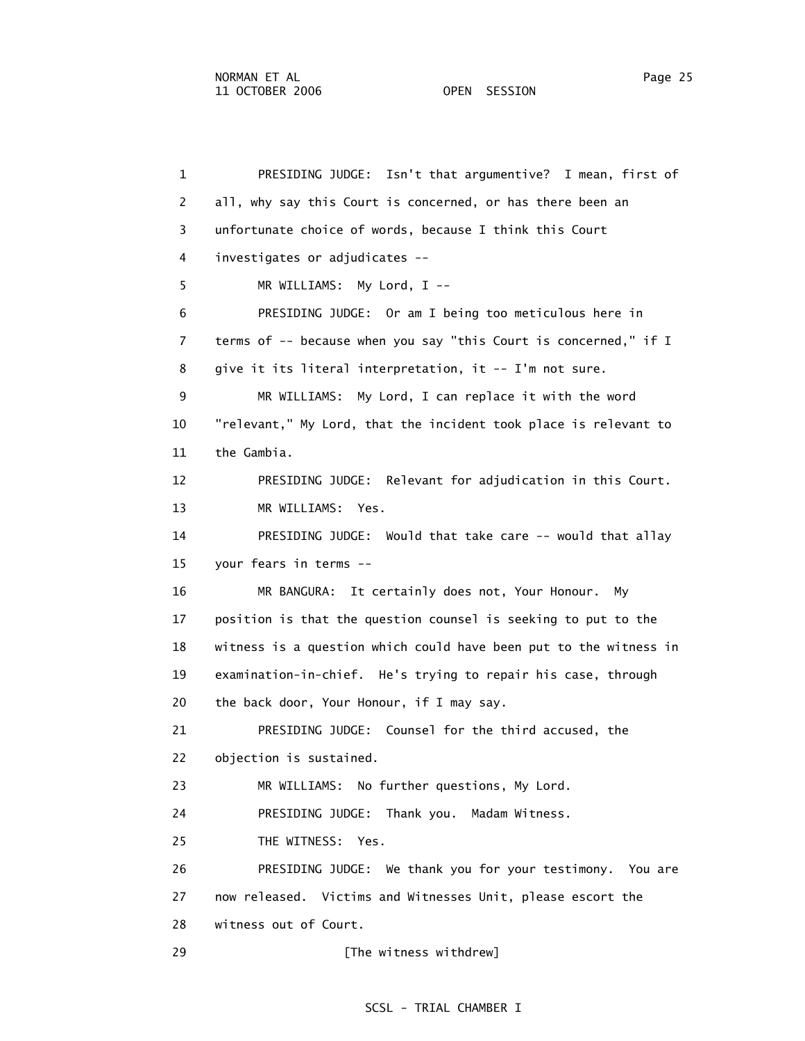1 PRESIDING JUDGE: Isn't that argumentive? I mean, first of 2 all, why say this Court is concerned, or has there been an 3 unfortunate choice of words, because I think this Court 4 investigates or adjudicates -- 5 MR WILLIAMS: My Lord, I -- 6 PRESIDING JUDGE: Or am I being too meticulous here in 7 terms of -- because when you say "this Court is concerned," if I 8 give it its literal interpretation, it -- I'm not sure. 9 MR WILLIAMS: My Lord, I can replace it with the word 10 "relevant," My Lord, that the incident took place is relevant to 11 the Gambia. 12 PRESIDING JUDGE: Relevant for adjudication in this Court. 13 MR WILLIAMS: Yes. 14 PRESIDING JUDGE: Would that take care -- would that allay 15 your fears in terms -- 16 MR BANGURA: It certainly does not, Your Honour. My 17 position is that the question counsel is seeking to put to the 18 witness is a question which could have been put to the witness in 19 examination-in-chief. He's trying to repair his case, through 20 the back door, Your Honour, if I may say. 21 PRESIDING JUDGE: Counsel for the third accused, the 22 objection is sustained. 23 MR WILLIAMS: No further questions, My Lord. 24 PRESIDING JUDGE: Thank you. Madam Witness. 25 THE WITNESS: Yes. 26 PRESIDING JUDGE: We thank you for your testimony. You are 27 now released. Victims and Witnesses Unit, please escort the 28 witness out of Court. 29 **Example 29** [The witness withdrew]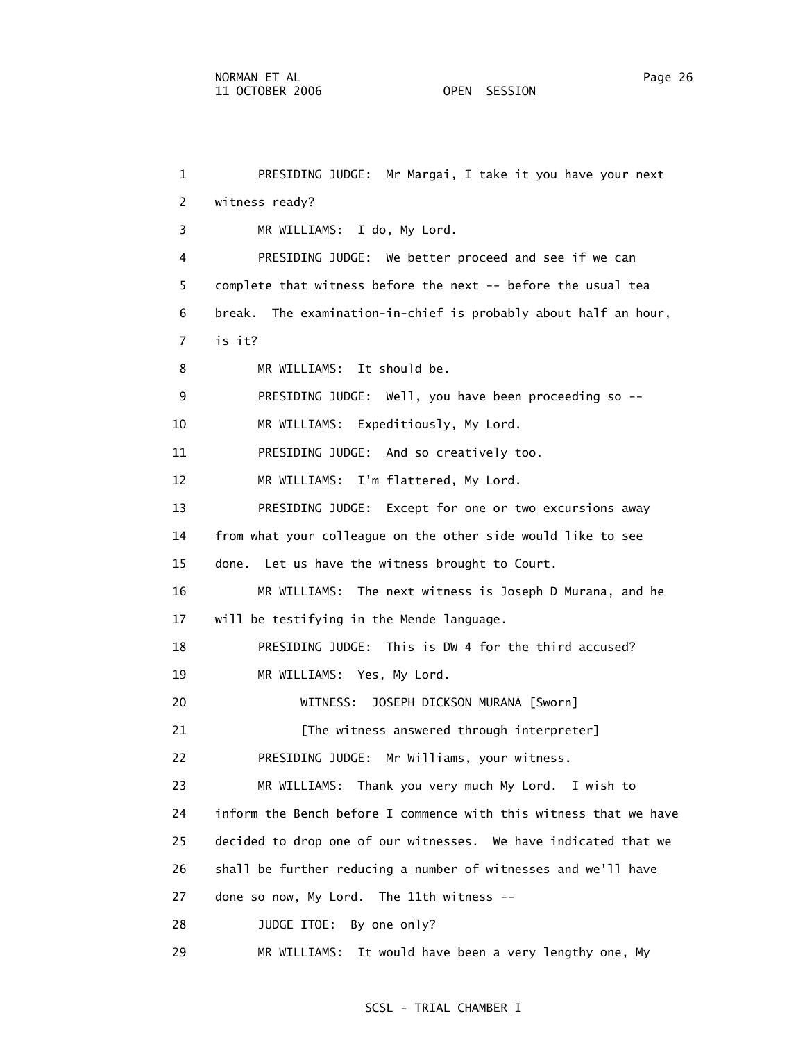1 PRESIDING JUDGE: Mr Margai, I take it you have your next 2 witness ready? 3 MR WILLIAMS: I do, My Lord. 4 PRESIDING JUDGE: We better proceed and see if we can 5 complete that witness before the next -- before the usual tea 6 break. The examination-in-chief is probably about half an hour, 7 is it? 8 MR WILLIAMS: It should be. 9 PRESIDING JUDGE: Well, you have been proceeding so -- 10 MR WILLIAMS: Expeditiously, My Lord. 11 PRESIDING JUDGE: And so creatively too. 12 MR WILLIAMS: I'm flattered, My Lord. 13 PRESIDING JUDGE: Except for one or two excursions away 14 from what your colleague on the other side would like to see 15 done. Let us have the witness brought to Court. 16 MR WILLIAMS: The next witness is Joseph D Murana, and he 17 will be testifying in the Mende language. 18 PRESIDING JUDGE: This is DW 4 for the third accused? 19 MR WILLIAMS: Yes, My Lord. 20 WITNESS: JOSEPH DICKSON MURANA [Sworn] 21 [The witness answered through interpreter] 22 PRESIDING JUDGE: Mr Williams, your witness. 23 MR WILLIAMS: Thank you very much My Lord. I wish to 24 inform the Bench before I commence with this witness that we have 25 decided to drop one of our witnesses. We have indicated that we 26 shall be further reducing a number of witnesses and we'll have 27 done so now, My Lord. The 11th witness -- 28 JUDGE ITOE: By one only? 29 MR WILLIAMS: It would have been a very lengthy one, My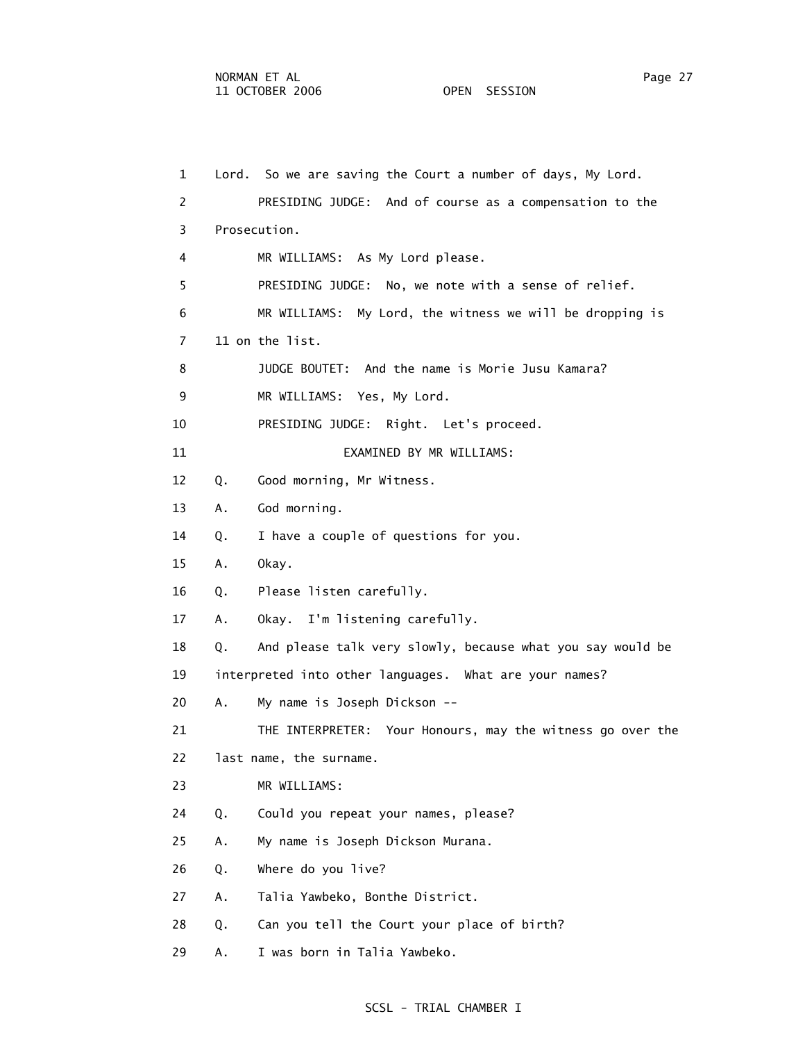1 Lord. So we are saving the Court a number of days, My Lord. 2 PRESIDING JUDGE: And of course as a compensation to the 3 Prosecution. 4 MR WILLIAMS: As My Lord please. 5 PRESIDING JUDGE: No, we note with a sense of relief. 6 MR WILLIAMS: My Lord, the witness we will be dropping is 7 11 on the list. 8 JUDGE BOUTET: And the name is Morie Jusu Kamara? 9 MR WILLIAMS: Yes, My Lord. 10 PRESIDING JUDGE: Right. Let's proceed. 11 EXAMINED BY MR WILLIAMS: 12 Q. Good morning, Mr Witness. 13 A. God morning. 14 Q. I have a couple of questions for you. 15 A. Okay. 16 Q. Please listen carefully. 17 A. Okay. I'm listening carefully. 18 Q. And please talk very slowly, because what you say would be 19 interpreted into other languages. What are your names? 20 A. My name is Joseph Dickson -- 21 THE INTERPRETER: Your Honours, may the witness go over the 22 last name, the surname. 23 MR WILLIAMS: 24 Q. Could you repeat your names, please? 25 A. My name is Joseph Dickson Murana. 26 Q. Where do you live? 27 A. Talia Yawbeko, Bonthe District. 28 Q. Can you tell the Court your place of birth? 29 A. I was born in Talia Yawbeko.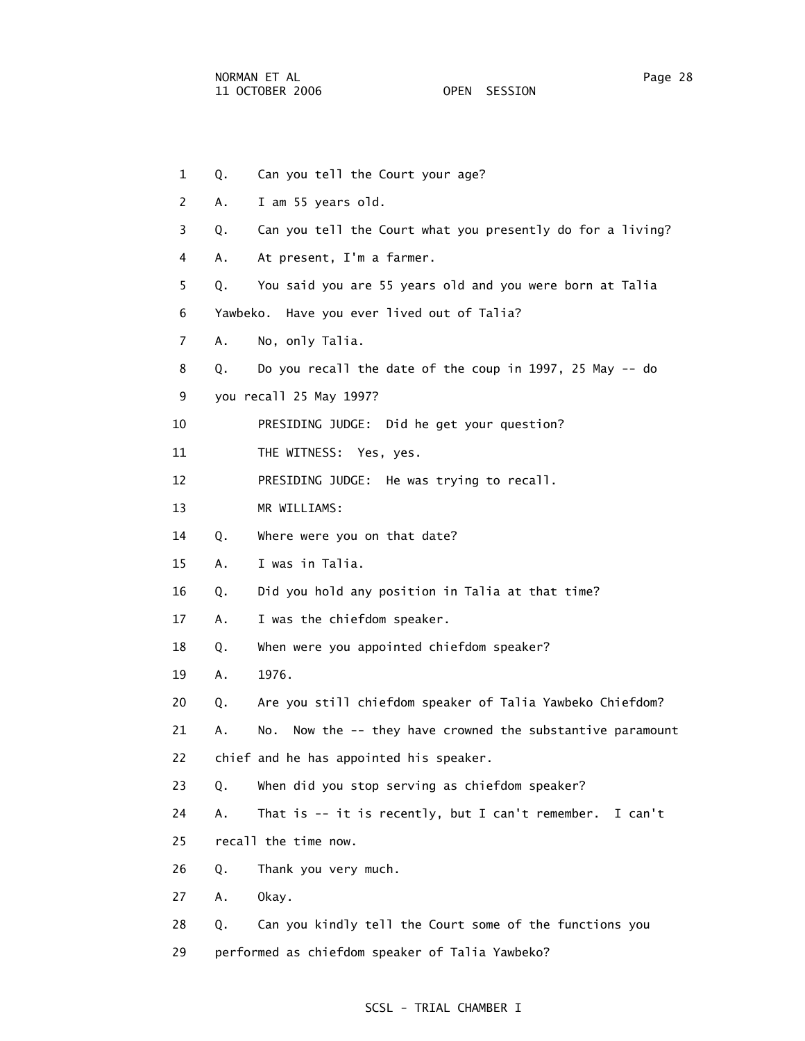1 Q. Can you tell the Court your age? 2 A. I am 55 years old. 3 Q. Can you tell the Court what you presently do for a living? 4 A. At present, I'm a farmer. 5 Q. You said you are 55 years old and you were born at Talia 6 Yawbeko. Have you ever lived out of Talia? 7 A. No, only Talia. 8 Q. Do you recall the date of the coup in 1997, 25 May -- do 9 you recall 25 May 1997? 10 PRESIDING JUDGE: Did he get your question? 11 THE WITNESS: Yes, yes. 12 PRESIDING JUDGE: He was trying to recall. 13 MR WILLIAMS: 14 Q. Where were you on that date? 15 A. I was in Talia. 16 Q. Did you hold any position in Talia at that time? 17 A. I was the chiefdom speaker. 18 Q. When were you appointed chiefdom speaker? 19 A. 1976. 20 Q. Are you still chiefdom speaker of Talia Yawbeko Chiefdom? 21 A. No. Now the -- they have crowned the substantive paramount 22 chief and he has appointed his speaker. 23 Q. When did you stop serving as chiefdom speaker? 24 A. That is -- it is recently, but I can't remember. I can't 25 recall the time now. 26 Q. Thank you very much. 27 A. Okay. 28 Q. Can you kindly tell the Court some of the functions you 29 performed as chiefdom speaker of Talia Yawbeko?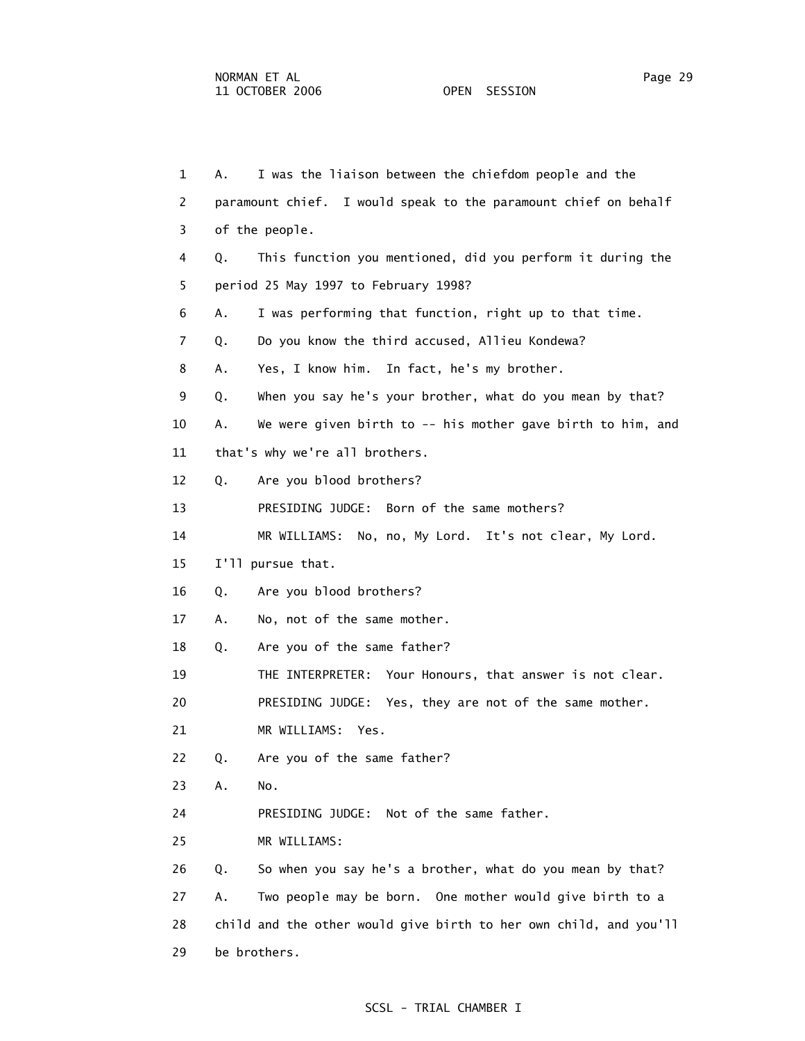| $\mathbf{1}$   | А. | I was the liaison between the chiefdom people and the             |
|----------------|----|-------------------------------------------------------------------|
| 2              |    | paramount chief. I would speak to the paramount chief on behalf   |
| 3              |    | of the people.                                                    |
| 4              | Q. | This function you mentioned, did you perform it during the        |
| 5              |    | period 25 May 1997 to February 1998?                              |
| 6              | Α. | I was performing that function, right up to that time.            |
| $\overline{7}$ | Q. | Do you know the third accused, Allieu Kondewa?                    |
| 8              | Α. | Yes, I know him. In fact, he's my brother.                        |
| 9              | Q. | When you say he's your brother, what do you mean by that?         |
| 10             | А. | We were given birth to -- his mother gave birth to him, and       |
| 11             |    | that's why we're all brothers.                                    |
| 12             | Q. | Are you blood brothers?                                           |
| 13             |    | PRESIDING JUDGE: Born of the same mothers?                        |
| 14             |    | MR WILLIAMS: No, no, My Lord. It's not clear, My Lord.            |
| 15             |    | I'll pursue that.                                                 |
| 16             | Q. | Are you blood brothers?                                           |
| 17             | Α. | No, not of the same mother.                                       |
| 18             | Q. | Are you of the same father?                                       |
| 19             |    | THE INTERPRETER: Your Honours, that answer is not clear.          |
| 20             |    | PRESIDING JUDGE: Yes, they are not of the same mother.            |
| 21             |    | MR WILLIAMS:<br>Yes.                                              |
| 22             | Q. | Are you of the same father?                                       |
| 23             | Α. | No.                                                               |
| 24             |    | Not of the same father.<br>PRESIDING JUDGE:                       |
| 25             |    | MR WILLIAMS:                                                      |
| 26             | Q. | So when you say he's a brother, what do you mean by that?         |
| 27             | Α. | Two people may be born. One mother would give birth to a          |
| 28             |    | child and the other would give birth to her own child, and you'll |
| 29             |    | be brothers.                                                      |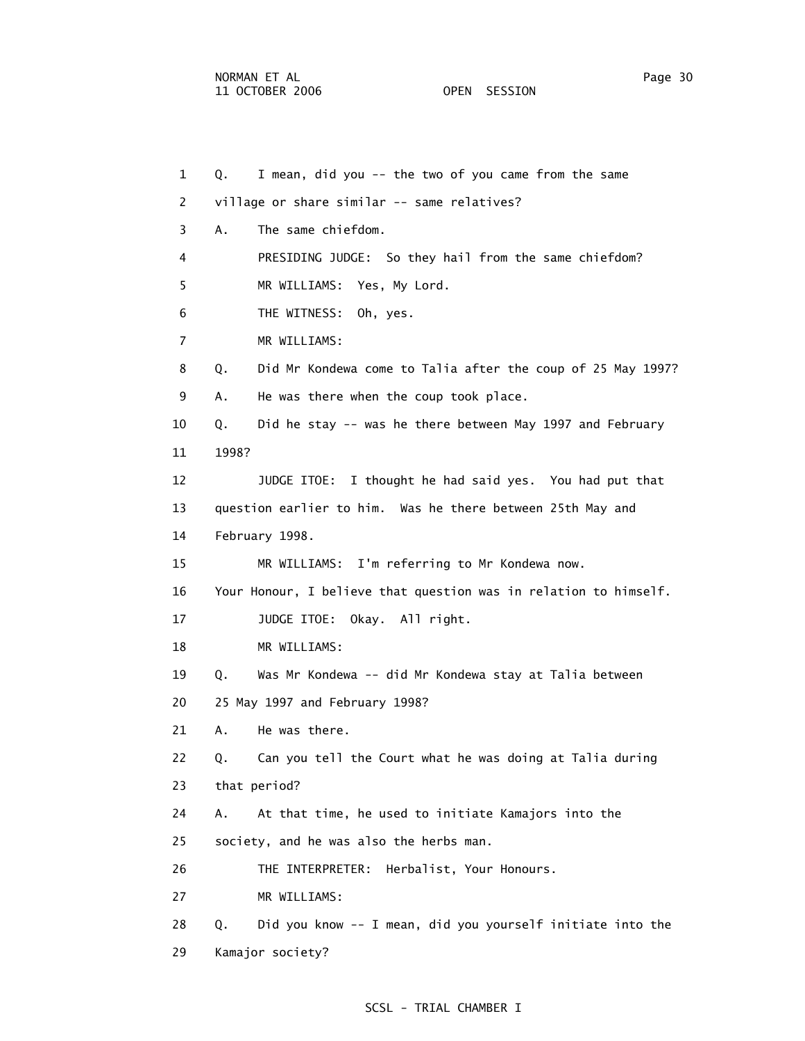29 Kamajor society?

1 Q. I mean, did you -- the two of you came from the same

 2 village or share similar -- same relatives? 3 A. The same chiefdom. 4 PRESIDING JUDGE: So they hail from the same chiefdom? 5 MR WILLIAMS: Yes, My Lord. 6 THE WITNESS: Oh, yes. 7 MR WILLIAMS: 8 Q. Did Mr Kondewa come to Talia after the coup of 25 May 1997? 9 A. He was there when the coup took place. 10 Q. Did he stay -- was he there between May 1997 and February 11 1998? 12 JUDGE ITOE: I thought he had said yes. You had put that 13 question earlier to him. Was he there between 25th May and 14 February 1998. 15 MR WILLIAMS: I'm referring to Mr Kondewa now. 16 Your Honour, I believe that question was in relation to himself. 17 JUDGE ITOE: Okay. All right. 18 MR WILLIAMS: 19 Q. Was Mr Kondewa -- did Mr Kondewa stay at Talia between 20 25 May 1997 and February 1998? 21 A. He was there. 22 Q. Can you tell the Court what he was doing at Talia during 23 that period? 24 A. At that time, he used to initiate Kamajors into the 25 society, and he was also the herbs man. 26 THE INTERPRETER: Herbalist, Your Honours. 27 MR WILLIAMS: 28 Q. Did you know -- I mean, did you yourself initiate into the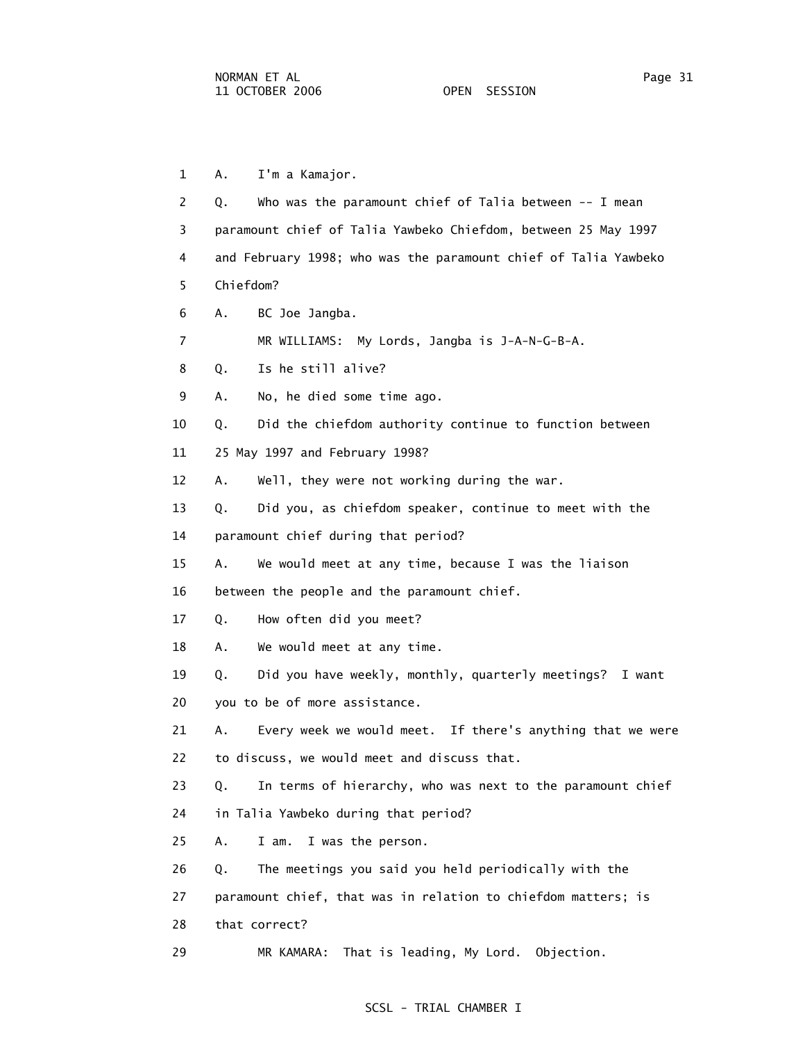1 A. I'm a Kamajor. 2 Q. Who was the paramount chief of Talia between -- I mean 3 paramount chief of Talia Yawbeko Chiefdom, between 25 May 1997 4 and February 1998; who was the paramount chief of Talia Yawbeko 5 Chiefdom? 6 A. BC Joe Jangba. 7 MR WILLIAMS: My Lords, Jangba is J-A-N-G-B-A. 8 Q. Is he still alive? 9 A. No, he died some time ago. 10 Q. Did the chiefdom authority continue to function between 11 25 May 1997 and February 1998? 12 A. Well, they were not working during the war. 13 Q. Did you, as chiefdom speaker, continue to meet with the 14 paramount chief during that period? 15 A. We would meet at any time, because I was the liaison 16 between the people and the paramount chief. 17 Q. How often did you meet? 18 A. We would meet at any time. 19 Q. Did you have weekly, monthly, quarterly meetings? I want 20 you to be of more assistance. 21 A. Every week we would meet. If there's anything that we were 22 to discuss, we would meet and discuss that. 23 Q. In terms of hierarchy, who was next to the paramount chief 24 in Talia Yawbeko during that period? 25 A. I am. I was the person. 26 Q. The meetings you said you held periodically with the 27 paramount chief, that was in relation to chiefdom matters; is 28 that correct? 29 MR KAMARA: That is leading, My Lord. Objection.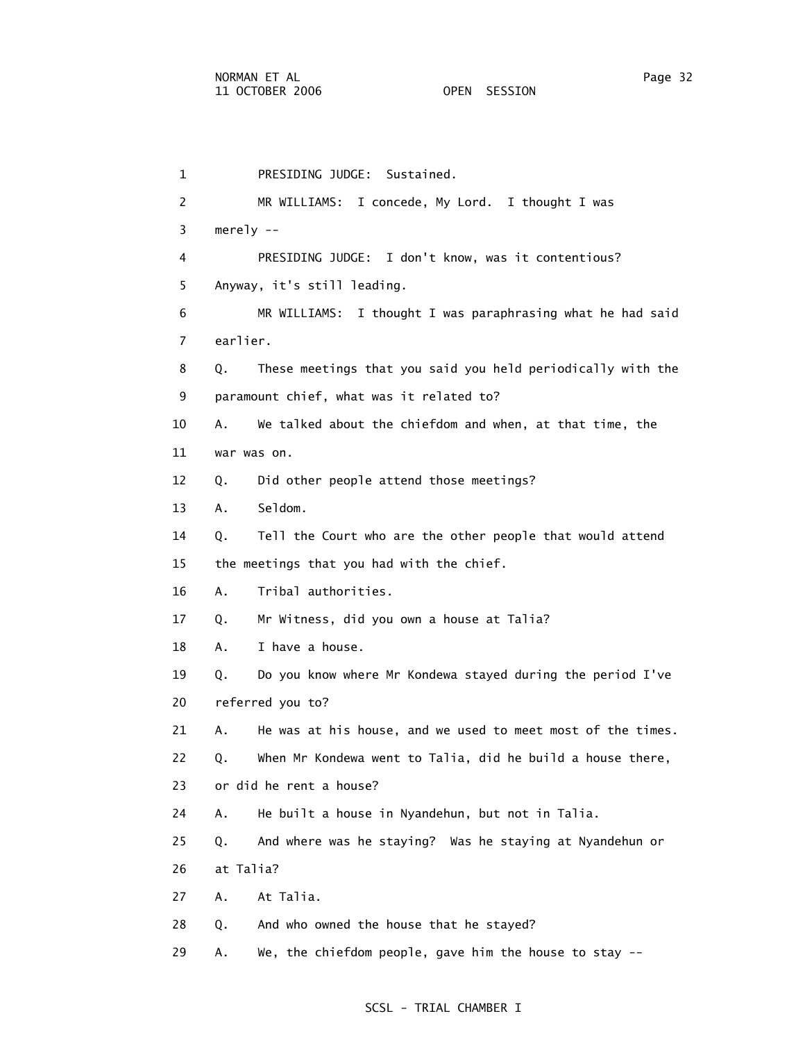1 PRESIDING JUDGE: Sustained. 2 MR WILLIAMS: I concede, My Lord. I thought I was 3 merely -- 4 PRESIDING JUDGE: I don't know, was it contentious? 5 Anyway, it's still leading. 6 MR WILLIAMS: I thought I was paraphrasing what he had said 7 earlier. 8 Q. These meetings that you said you held periodically with the 9 paramount chief, what was it related to? 10 A. We talked about the chiefdom and when, at that time, the 11 war was on. 12 Q. Did other people attend those meetings? 13 A. Seldom. 14 Q. Tell the Court who are the other people that would attend 15 the meetings that you had with the chief. 16 A. Tribal authorities. 17 Q. Mr Witness, did you own a house at Talia? 18 A. I have a house. 19 Q. Do you know where Mr Kondewa stayed during the period I've 20 referred you to? 21 A. He was at his house, and we used to meet most of the times. 22 Q. When Mr Kondewa went to Talia, did he build a house there, 23 or did he rent a house? 24 A. He built a house in Nyandehun, but not in Talia. 25 Q. And where was he staying? Was he staying at Nyandehun or 26 at Talia? 27 A. At Talia. 28 Q. And who owned the house that he stayed? 29 A. We, the chiefdom people, gave him the house to stay --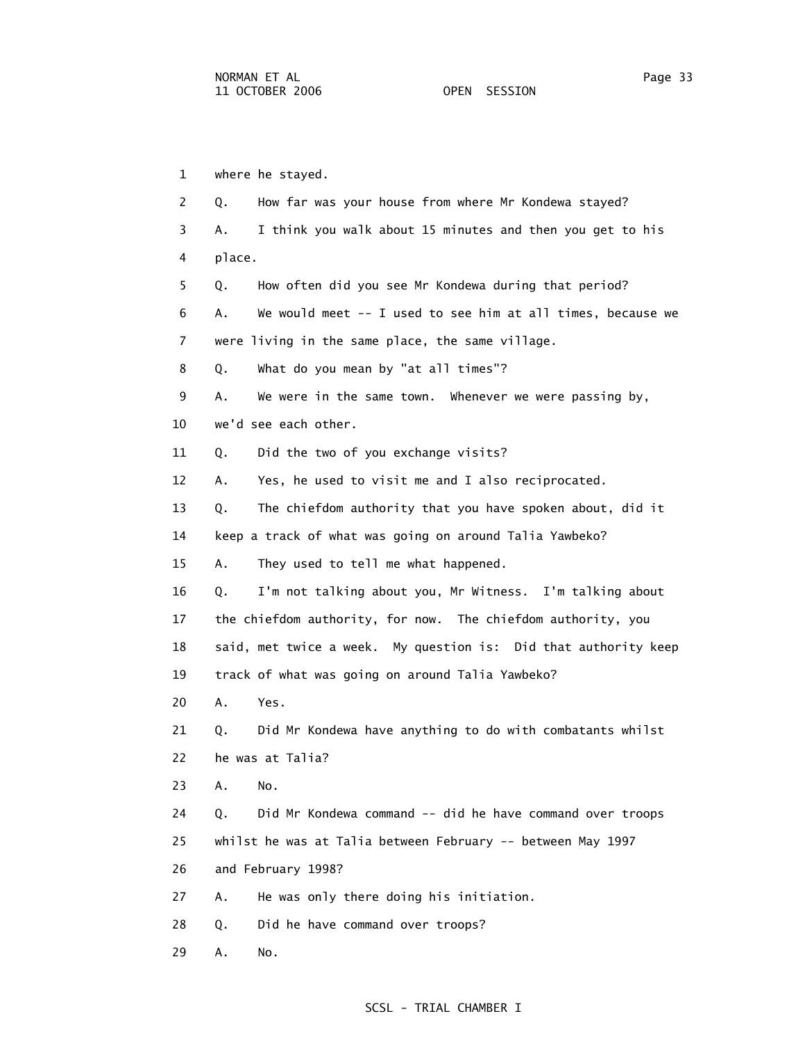1 where he stayed. 2 Q. How far was your house from where Mr Kondewa stayed? 3 A. I think you walk about 15 minutes and then you get to his 4 place. 5 Q. How often did you see Mr Kondewa during that period? 6 A. We would meet -- I used to see him at all times, because we 7 were living in the same place, the same village. 8 Q. What do you mean by "at all times"? 9 A. We were in the same town. Whenever we were passing by, 10 we'd see each other. 11 Q. Did the two of you exchange visits? 12 A. Yes, he used to visit me and I also reciprocated. 13 Q. The chiefdom authority that you have spoken about, did it 14 keep a track of what was going on around Talia Yawbeko? 15 A. They used to tell me what happened. 16 Q. I'm not talking about you, Mr Witness. I'm talking about 17 the chiefdom authority, for now. The chiefdom authority, you 18 said, met twice a week. My question is: Did that authority keep 19 track of what was going on around Talia Yawbeko? 20 A. Yes. 21 Q. Did Mr Kondewa have anything to do with combatants whilst 22 he was at Talia? 23 A. No. 24 Q. Did Mr Kondewa command -- did he have command over troops 25 whilst he was at Talia between February -- between May 1997 26 and February 1998? 27 A. He was only there doing his initiation. 28 Q. Did he have command over troops? 29 A. No.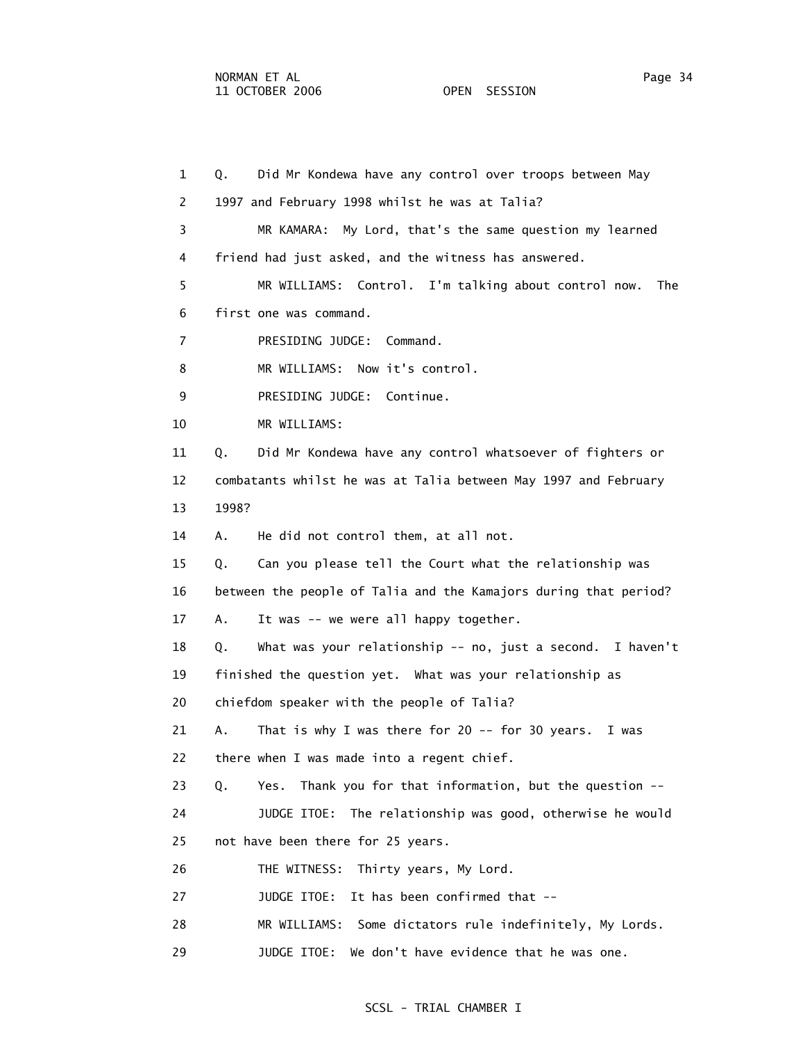1 Q. Did Mr Kondewa have any control over troops between May 2 1997 and February 1998 whilst he was at Talia? 3 MR KAMARA: My Lord, that's the same question my learned 4 friend had just asked, and the witness has answered. 5 MR WILLIAMS: Control. I'm talking about control now. The 6 first one was command. 7 PRESIDING JUDGE: Command. 8 MR WILLIAMS: Now it's control. 9 PRESIDING JUDGE: Continue. 10 MR WILLIAMS: 11 Q. Did Mr Kondewa have any control whatsoever of fighters or 12 combatants whilst he was at Talia between May 1997 and February 13 1998? 14 A. He did not control them, at all not. 15 Q. Can you please tell the Court what the relationship was 16 between the people of Talia and the Kamajors during that period? 17 A. It was -- we were all happy together. 18 Q. What was your relationship -- no, just a second. I haven't 19 finished the question yet. What was your relationship as 20 chiefdom speaker with the people of Talia? 21 A. That is why I was there for 20 -- for 30 years. I was 22 there when I was made into a regent chief. 23 Q. Yes. Thank you for that information, but the question -- 24 JUDGE ITOE: The relationship was good, otherwise he would 25 not have been there for 25 years. 26 THE WITNESS: Thirty years, My Lord. 27 JUDGE ITOE: It has been confirmed that -- 28 MR WILLIAMS: Some dictators rule indefinitely, My Lords. 29 JUDGE ITOE: We don't have evidence that he was one.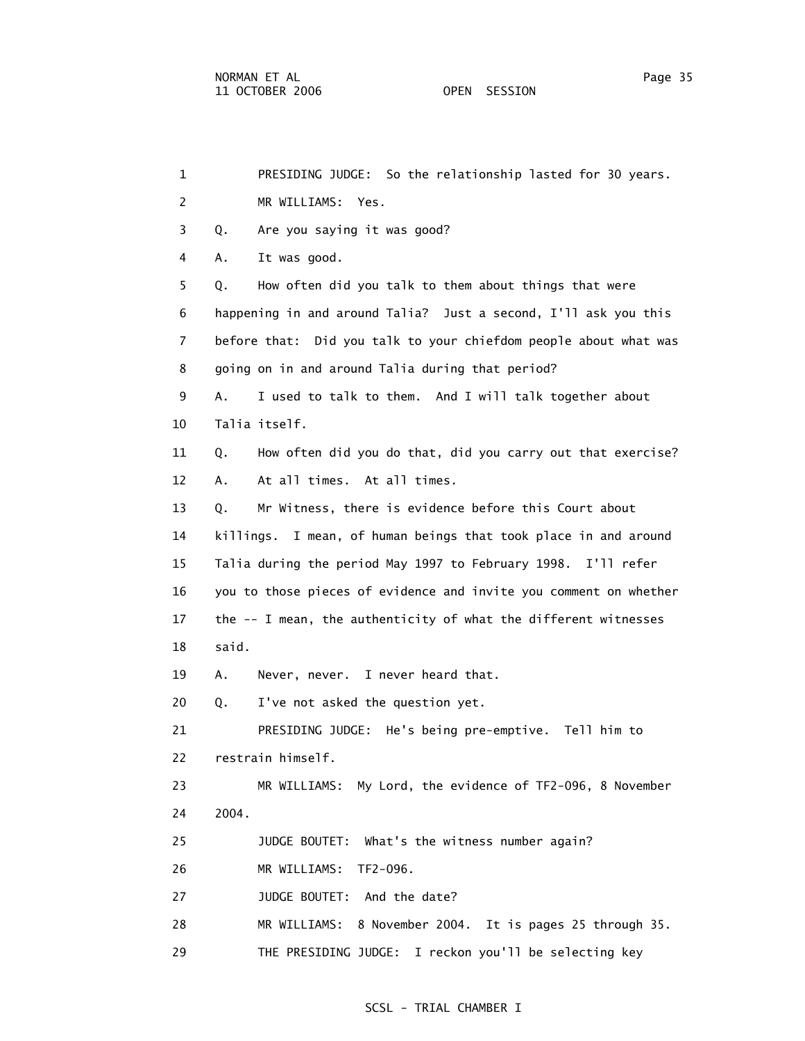| $\mathbf{1}$   | PRESIDING JUDGE: So the relationship lasted for 30 years.         |
|----------------|-------------------------------------------------------------------|
| 2              | MR WILLIAMS: Yes.                                                 |
| 3              | Are you saying it was good?<br>Q.                                 |
| 4              | It was good.<br>А.                                                |
| 5              | How often did you talk to them about things that were<br>Q.       |
| 6              | happening in and around Talia? Just a second, I'll ask you this   |
| $\overline{7}$ | before that: Did you talk to your chiefdom people about what was  |
| 8              | going on in and around Talia during that period?                  |
| 9              | I used to talk to them. And I will talk together about<br>Α.      |
| 10             | Talia itself.                                                     |
| 11             | How often did you do that, did you carry out that exercise?<br>Q. |
| 12             | At all times. At all times.<br>Α.                                 |
| 13             | Mr Witness, there is evidence before this Court about<br>Q.       |
| 14             | killings. I mean, of human beings that took place in and around   |
| 15             | Talia during the period May 1997 to February 1998. I'll refer     |
| 16             | you to those pieces of evidence and invite you comment on whether |
| 17             | the -- I mean, the authenticity of what the different witnesses   |
| 18             | said.                                                             |
| 19             | Α.<br>Never, never. I never heard that.                           |
| 20             | I've not asked the question yet.<br>Q.                            |
| 21             | PRESIDING JUDGE: He's being pre-emptive. Tell him to              |
| 22             | restrain himself.                                                 |
| 23             | My Lord, the evidence of TF2-096, 8 November<br>MR WILLIAMS:      |
| 24             | 2004.                                                             |
| 25             | JUDGE BOUTET: What's the witness number again?                    |
| 26             | MR WILLIAMS:<br>TF2-096.                                          |
| 27             | And the date?<br>JUDGE BOUTET:                                    |
| 28             | MR WILLIAMS:<br>8 November 2004. It is pages 25 through 35.       |
| 29             | THE PRESIDING JUDGE: I reckon you'll be selecting key             |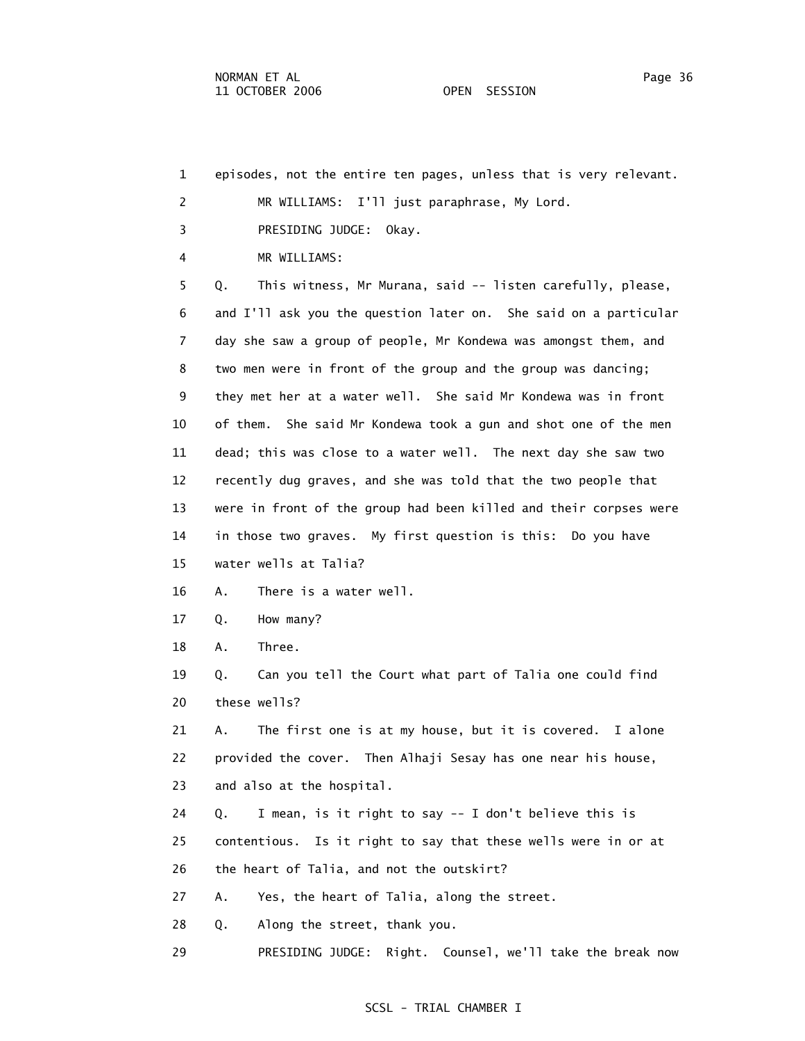1 episodes, not the entire ten pages, unless that is very relevant. 2 MR WILLIAMS: I'll just paraphrase, My Lord. 3 PRESIDING JUDGE: Okay. 4 MR WILLIAMS: 5 Q. This witness, Mr Murana, said -- listen carefully, please, 6 and I'll ask you the question later on. She said on a particular 7 day she saw a group of people, Mr Kondewa was amongst them, and 8 two men were in front of the group and the group was dancing; 9 they met her at a water well. She said Mr Kondewa was in front 10 of them. She said Mr Kondewa took a gun and shot one of the men 11 dead; this was close to a water well. The next day she saw two 12 recently dug graves, and she was told that the two people that 13 were in front of the group had been killed and their corpses were 14 in those two graves. My first question is this: Do you have 15 water wells at Talia? 16 A. There is a water well. 17 Q. How many? 18 A. Three. 19 Q. Can you tell the Court what part of Talia one could find 20 these wells? 21 A. The first one is at my house, but it is covered. I alone 22 provided the cover. Then Alhaji Sesay has one near his house, 23 and also at the hospital. 24 Q. I mean, is it right to say -- I don't believe this is 25 contentious. Is it right to say that these wells were in or at 26 the heart of Talia, and not the outskirt? 27 A. Yes, the heart of Talia, along the street. 28 Q. Along the street, thank you. 29 PRESIDING JUDGE: Right. Counsel, we'll take the break now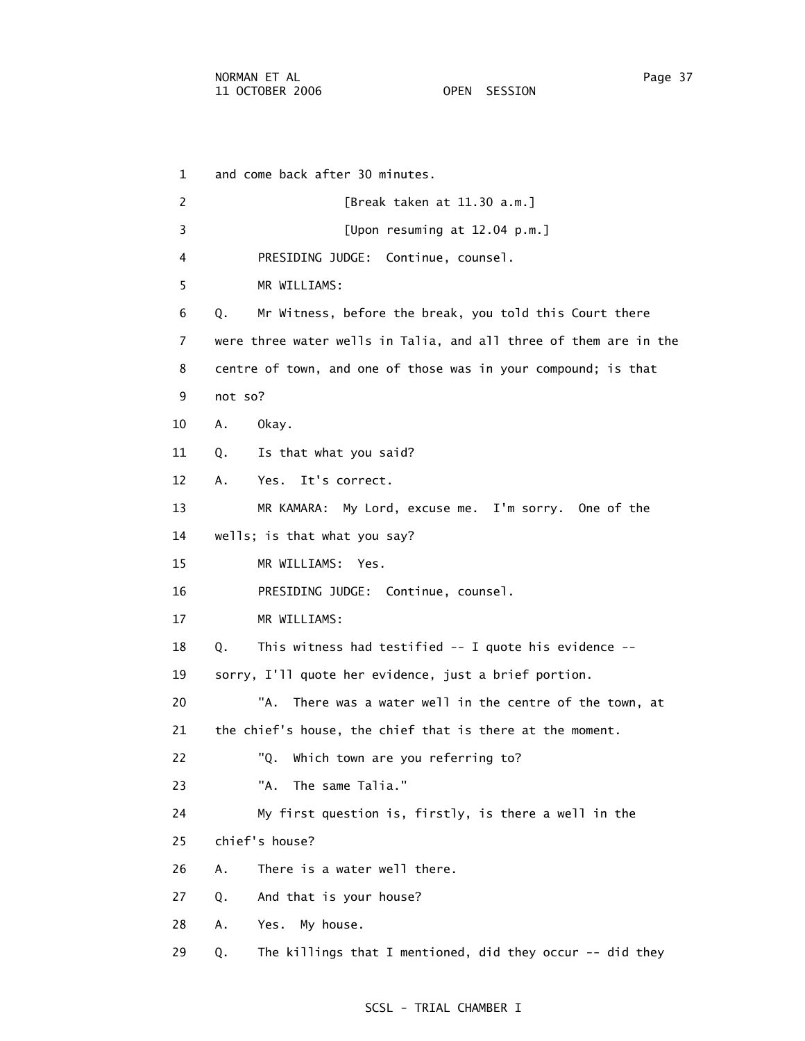5 MR WILLIAMS:

1 and come back after 30 minutes.

 2 [Break taken at 11.30 a.m.] 3 [Upon resuming at 12.04 p.m.] 4 PRESIDING JUDGE: Continue, counsel. 6 Q. Mr Witness, before the break, you told this Court there 7 were three water wells in Talia, and all three of them are in the

8 centre of town, and one of those was in your compound; is that

- 9 not so?
- 10 A. Okay.
- 11 Q. Is that what you said?
- 12 A. Yes. It's correct.

13 MR KAMARA: My Lord, excuse me. I'm sorry. One of the

- 14 wells; is that what you say?
- 15 MR WILLIAMS: Yes.

16 PRESIDING JUDGE: Continue, counsel.

17 MR WILLIAMS:

18 Q. This witness had testified -- I quote his evidence --

19 sorry, I'll quote her evidence, just a brief portion.

 20 "A. There was a water well in the centre of the town, at 21 the chief's house, the chief that is there at the moment.

- 22 "Q. Which town are you referring to?
- 23 "A. The same Talia."

24 My first question is, firstly, is there a well in the

25 chief's house?

26 A. There is a water well there.

27 Q. And that is your house?

28 A. Yes. My house.

29 Q. The killings that I mentioned, did they occur -- did they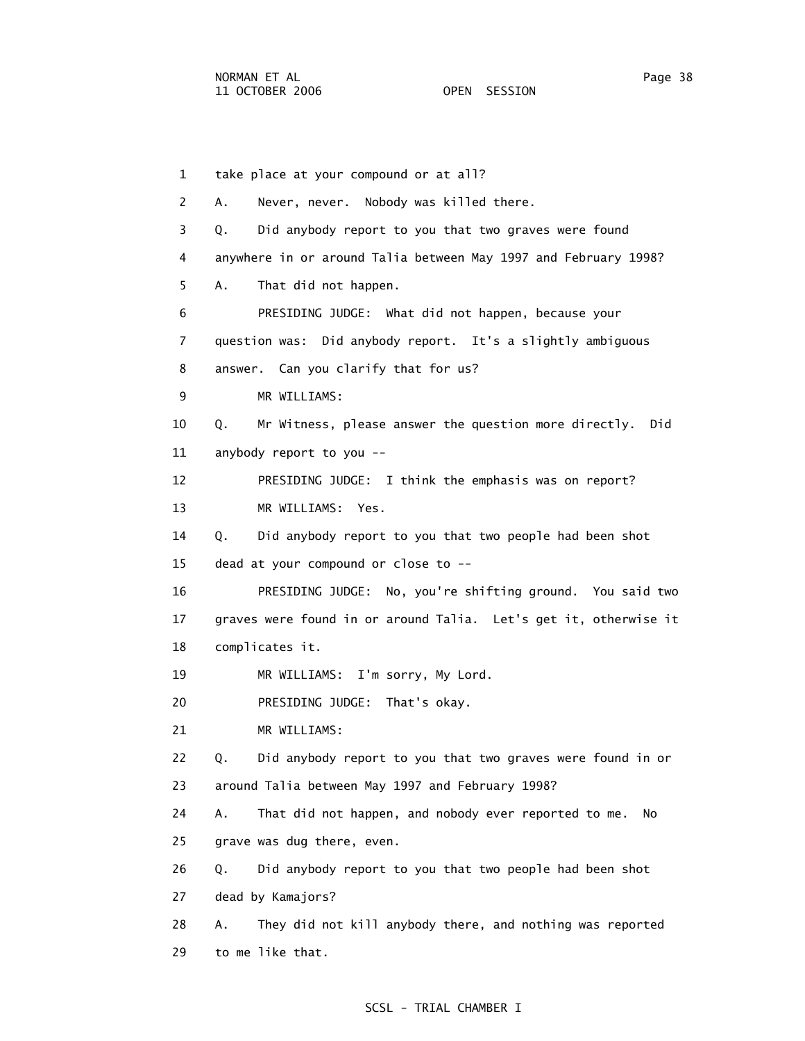1 take place at your compound or at all? 2 A. Never, never. Nobody was killed there. 3 Q. Did anybody report to you that two graves were found 4 anywhere in or around Talia between May 1997 and February 1998? 5 A. That did not happen. 6 PRESIDING JUDGE: What did not happen, because your 7 question was: Did anybody report. It's a slightly ambiguous 8 answer. Can you clarify that for us? 9 MR WILLIAMS: 10 Q. Mr Witness, please answer the question more directly. Did 11 anybody report to you -- 12 PRESIDING JUDGE: I think the emphasis was on report? 13 MR WILLIAMS: Yes. 14 Q. Did anybody report to you that two people had been shot 15 dead at your compound or close to -- 16 PRESIDING JUDGE: No, you're shifting ground. You said two 17 graves were found in or around Talia. Let's get it, otherwise it 18 complicates it. 19 MR WILLIAMS: I'm sorry, My Lord. 20 PRESIDING JUDGE: That's okay. 21 MR WILLIAMS: 22 Q. Did anybody report to you that two graves were found in or 23 around Talia between May 1997 and February 1998? 24 A. That did not happen, and nobody ever reported to me. No 25 grave was dug there, even. 26 Q. Did anybody report to you that two people had been shot 27 dead by Kamajors? 28 A. They did not kill anybody there, and nothing was reported 29 to me like that.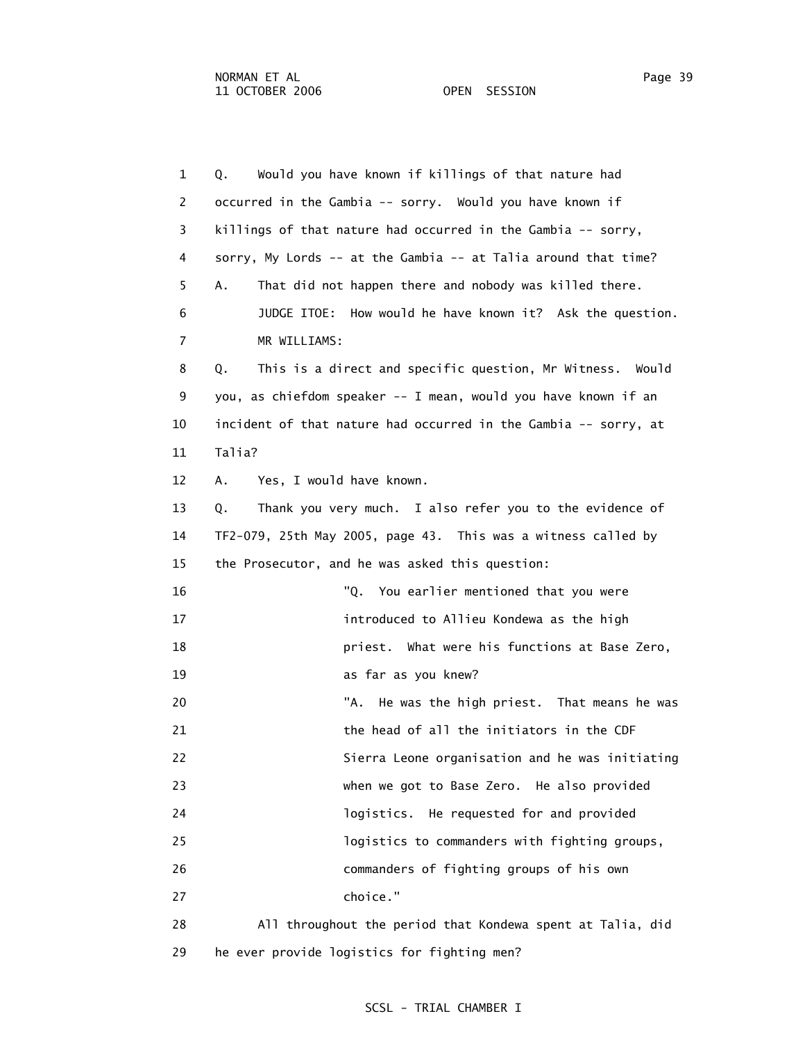1 Q. Would you have known if killings of that nature had 2 occurred in the Gambia -- sorry. Would you have known if 3 killings of that nature had occurred in the Gambia -- sorry, 4 sorry, My Lords -- at the Gambia -- at Talia around that time? 5 A. That did not happen there and nobody was killed there. 6 JUDGE ITOE: How would he have known it? Ask the question. 7 MR WILLIAMS: 8 Q. This is a direct and specific question, Mr Witness. Would 9 you, as chiefdom speaker -- I mean, would you have known if an 10 incident of that nature had occurred in the Gambia -- sorry, at 11 Talia? 12 A. Yes, I would have known. 13 Q. Thank you very much. I also refer you to the evidence of 14 TF2-079, 25th May 2005, page 43. This was a witness called by 15 the Prosecutor, and he was asked this question: 16 "Q. You earlier mentioned that you were 17 introduced to Allieu Kondewa as the high 18 priest. What were his functions at Base Zero, 19 as far as you knew? 20 TA. He was the high priest. That means he was 21 the head of all the initiators in the CDF 22 Sierra Leone organisation and he was initiating 23 when we got to Base Zero. He also provided 24 logistics. He requested for and provided 25 logistics to commanders with fighting groups, 26 commanders of fighting groups of his own 27 choice." 28 All throughout the period that Kondewa spent at Talia, did

29 he ever provide logistics for fighting men?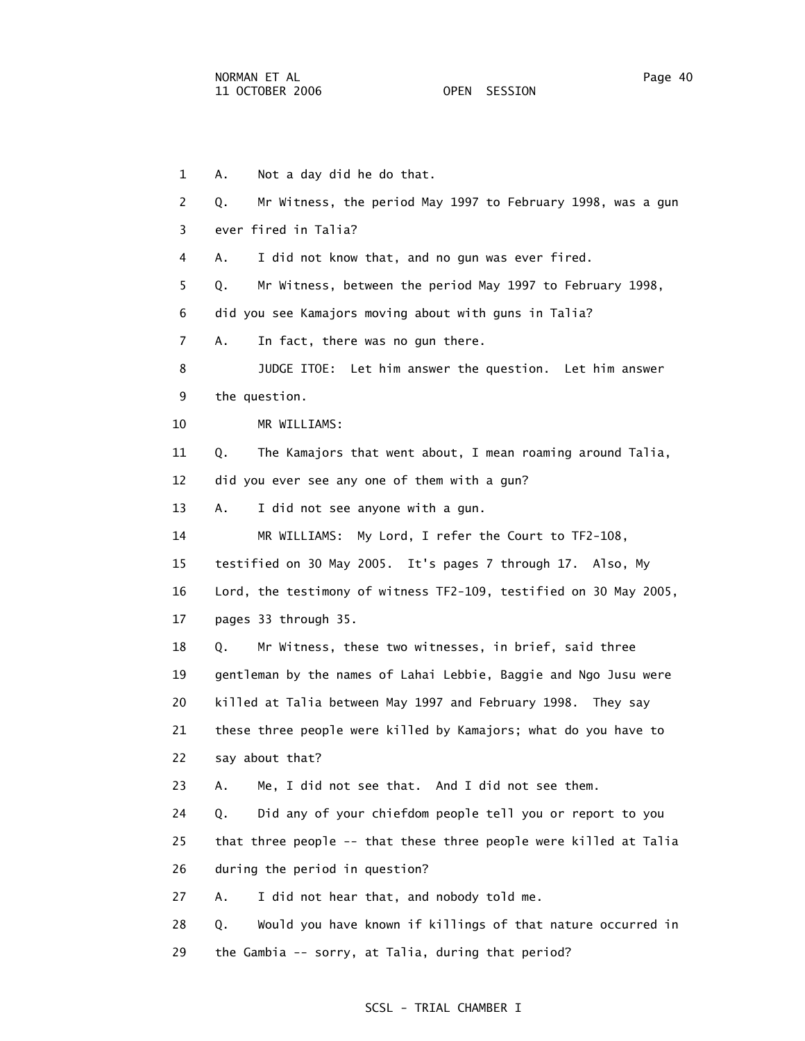1 A. Not a day did he do that. 2 Q. Mr Witness, the period May 1997 to February 1998, was a gun 3 ever fired in Talia? 4 A. I did not know that, and no gun was ever fired. 5 Q. Mr Witness, between the period May 1997 to February 1998, 6 did you see Kamajors moving about with guns in Talia? 7 A. In fact, there was no gun there. 8 JUDGE ITOE: Let him answer the question. Let him answer 9 the question. 10 MR WILLIAMS: 11 Q. The Kamajors that went about, I mean roaming around Talia, 12 did you ever see any one of them with a gun? 13 A. I did not see anyone with a gun. 14 MR WILLIAMS: My Lord, I refer the Court to TF2-108, 15 testified on 30 May 2005. It's pages 7 through 17. Also, My 16 Lord, the testimony of witness TF2-109, testified on 30 May 2005, 17 pages 33 through 35. 18 Q. Mr Witness, these two witnesses, in brief, said three 19 gentleman by the names of Lahai Lebbie, Baggie and Ngo Jusu were 20 killed at Talia between May 1997 and February 1998. They say 21 these three people were killed by Kamajors; what do you have to 22 say about that? 23 A. Me, I did not see that. And I did not see them. 24 Q. Did any of your chiefdom people tell you or report to you 25 that three people -- that these three people were killed at Talia 26 during the period in question? 27 A. I did not hear that, and nobody told me. 28 Q. Would you have known if killings of that nature occurred in 29 the Gambia -- sorry, at Talia, during that period?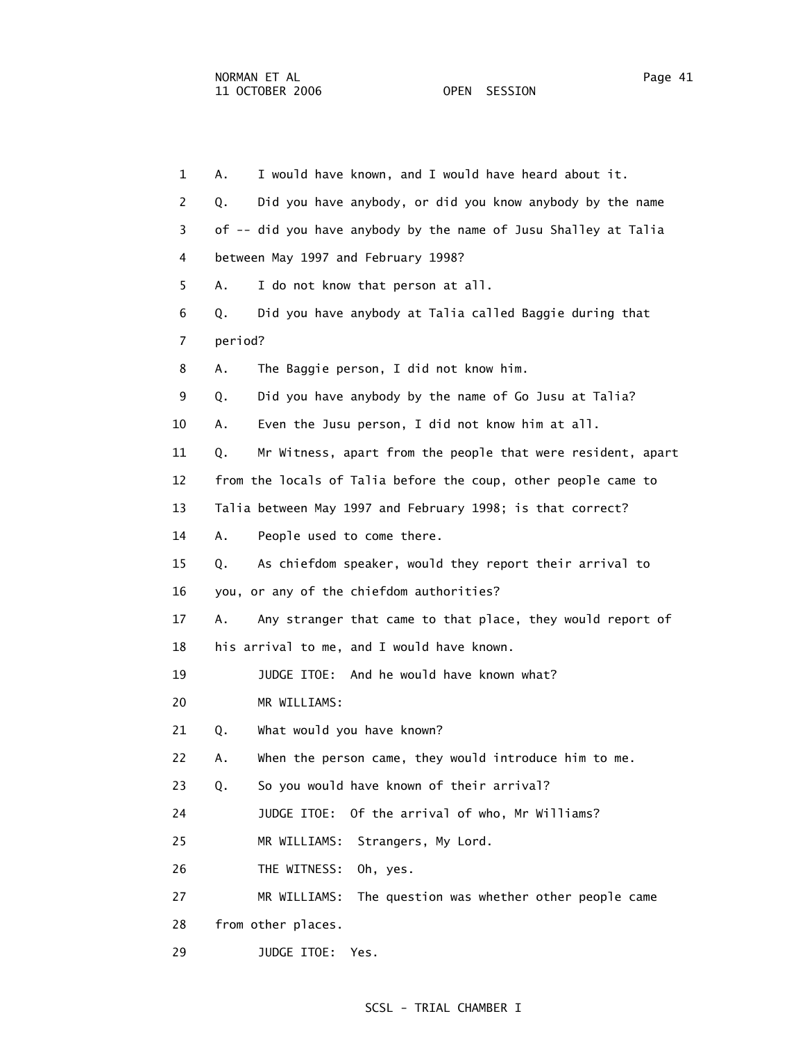| $\mathbf{1}$   | I would have known, and I would have heard about it.<br>Α.        |
|----------------|-------------------------------------------------------------------|
| 2              | Did you have anybody, or did you know anybody by the name<br>Q.   |
| 3              | of -- did you have anybody by the name of Jusu Shalley at Talia   |
| 4              | between May 1997 and February 1998?                               |
| 5.             | I do not know that person at all.<br>А.                           |
| 6              | Did you have anybody at Talia called Baggie during that<br>Q.     |
| $\overline{7}$ | period?                                                           |
| 8              | The Baggie person, I did not know him.<br>Α.                      |
| 9              | Did you have anybody by the name of Go Jusu at Talia?<br>Q.       |
| 10             | Even the Jusu person, I did not know him at all.<br>Α.            |
| 11             | Mr Witness, apart from the people that were resident, apart<br>Q. |
| 12             | from the locals of Talia before the coup, other people came to    |
| 13             | Talia between May 1997 and February 1998; is that correct?        |
| 14             | Α.<br>People used to come there.                                  |
| 15             | As chiefdom speaker, would they report their arrival to<br>Q.     |
| 16             | you, or any of the chiefdom authorities?                          |
| 17             | Any stranger that came to that place, they would report of<br>А.  |
| 18             | his arrival to me, and I would have known.                        |
| 19             | JUDGE ITOE: And he would have known what?                         |
| 20             | MR WILLIAMS:                                                      |
| 21             | What would you have known?<br>Q.                                  |
| 22             | When the person came, they would introduce him to me.<br>Α.       |
| 23             | So you would have known of their arrival?<br>Q.                   |
| 24             | Of the arrival of who, Mr Williams?<br>JUDGE ITOE:                |
| 25             | MR WILLIAMS:<br>Strangers, My Lord.                               |
| 26             | THE WITNESS:<br>Oh, yes.                                          |
| 27             | MR WILLIAMS:<br>The question was whether other people came        |
| 28             | from other places.                                                |
| 29             | JUDGE ITOE:<br>Yes.                                               |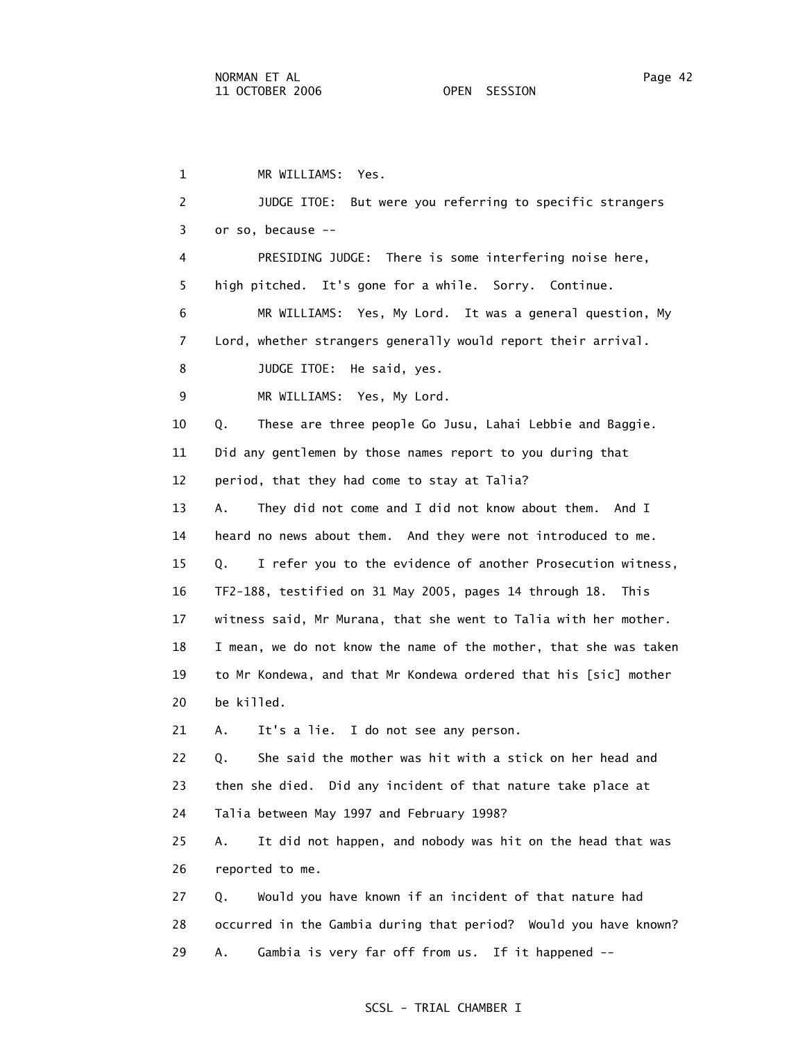1 MR WILLIAMS: Yes. 2 JUDGE ITOE: But were you referring to specific strangers 3 or so, because -- 4 PRESIDING JUDGE: There is some interfering noise here, 5 high pitched. It's gone for a while. Sorry. Continue. 6 MR WILLIAMS: Yes, My Lord. It was a general question, My 7 Lord, whether strangers generally would report their arrival. 8 JUDGE ITOE: He said, yes. 9 MR WILLIAMS: Yes, My Lord. 10 Q. These are three people Go Jusu, Lahai Lebbie and Baggie. 11 Did any gentlemen by those names report to you during that 12 period, that they had come to stay at Talia? 13 A. They did not come and I did not know about them. And I 14 heard no news about them. And they were not introduced to me. 15 Q. I refer you to the evidence of another Prosecution witness, 16 TF2-188, testified on 31 May 2005, pages 14 through 18. This 17 witness said, Mr Murana, that she went to Talia with her mother. 18 I mean, we do not know the name of the mother, that she was taken 19 to Mr Kondewa, and that Mr Kondewa ordered that his [sic] mother 20 be killed. 21 A. It's a lie. I do not see any person. 22 Q. She said the mother was hit with a stick on her head and 23 then she died. Did any incident of that nature take place at 24 Talia between May 1997 and February 1998? 25 A. It did not happen, and nobody was hit on the head that was 26 reported to me. 27 Q. Would you have known if an incident of that nature had 28 occurred in the Gambia during that period? Would you have known? 29 A. Gambia is very far off from us. If it happened --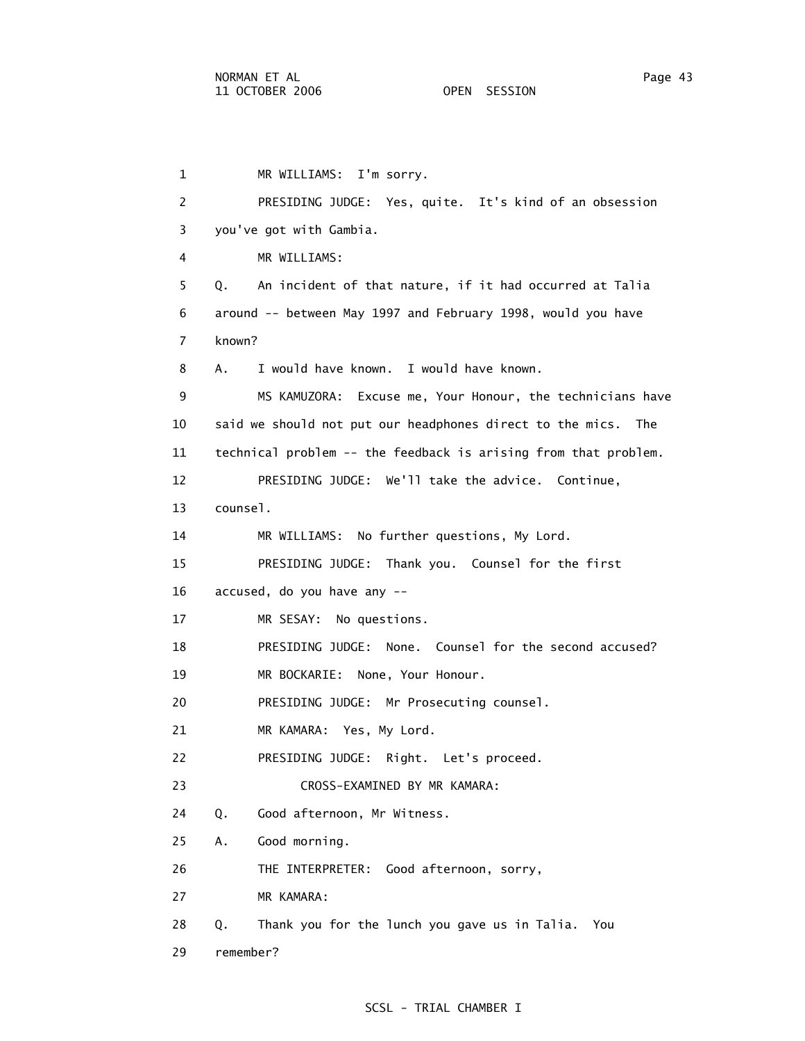```
 1 MR WILLIAMS: I'm sorry. 
2 PRESIDING JUDGE: Yes, quite. It's kind of an obsession 
3 you've got with Gambia. 
4 MR WILLIAMS: 
5 Q. An incident of that nature, if it had occurred at Talia 
6 around -- between May 1997 and February 1998, would you have 
 7 known? 
8 A. I would have known. I would have known. 
9 MS KAMUZORA: Excuse me, Your Honour, the technicians have 
10 said we should not put our headphones direct to the mics. The 
11 technical problem -- the feedback is arising from that problem. 
12 PRESIDING JUDGE: We'll take the advice. Continue, 
13 counsel. 
14 MR WILLIAMS: No further questions, My Lord. 
15 PRESIDING JUDGE: Thank you. Counsel for the first 
16 accused, do you have any -- 
17 MR SESAY: No questions. 
18 PRESIDING JUDGE: None. Counsel for the second accused? 
19 MR BOCKARIE: None, Your Honour. 
20 PRESIDING JUDGE: Mr Prosecuting counsel. 
21 MR KAMARA: Yes, My Lord. 
22 PRESIDING JUDGE: Right. Let's proceed. 
23 CROSS-EXAMINED BY MR KAMARA: 
24 Q. Good afternoon, Mr Witness. 
25 A. Good morning. 
26 THE INTERPRETER: Good afternoon, sorry, 
27 MR KAMARA: 
28 Q. Thank you for the lunch you gave us in Talia. You 
29 remember?
```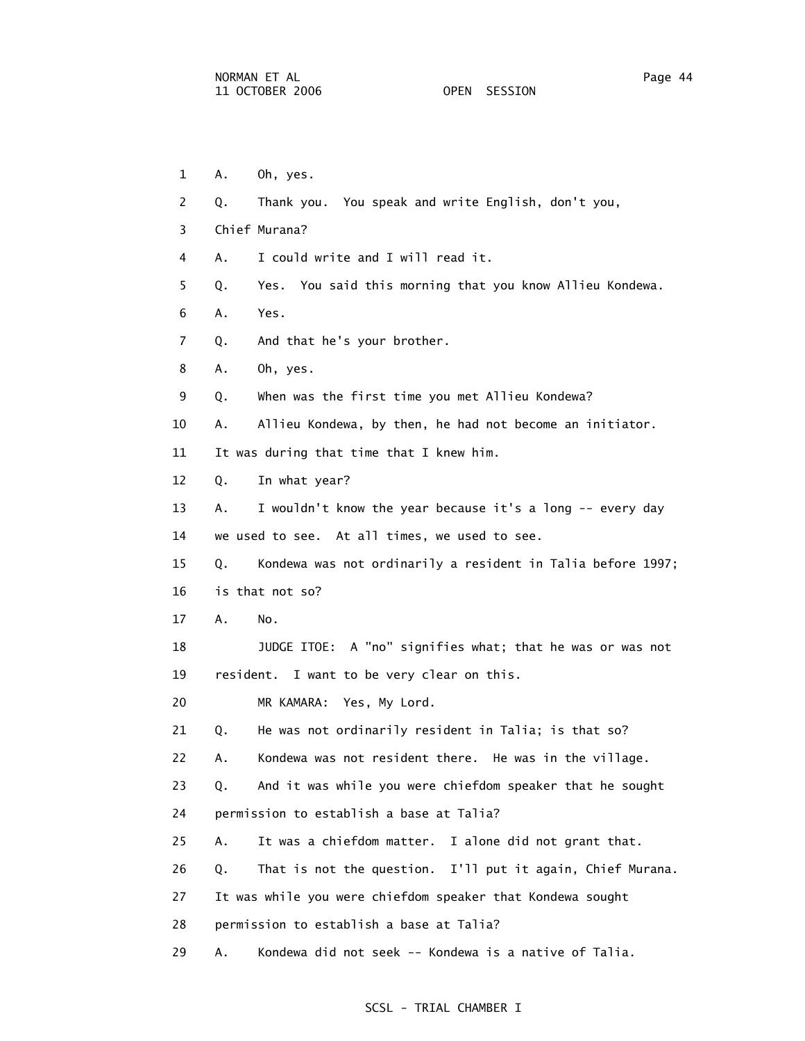1 A. Oh, yes. 2 Q. Thank you. You speak and write English, don't you, 3 Chief Murana? 4 A. I could write and I will read it. 5 Q. Yes. You said this morning that you know Allieu Kondewa. 6 A. Yes. 7 Q. And that he's your brother. 8 A. Oh, yes. 9 Q. When was the first time you met Allieu Kondewa? 10 A. Allieu Kondewa, by then, he had not become an initiator. 11 It was during that time that I knew him. 12 Q. In what year? 13 A. I wouldn't know the year because it's a long -- every day 14 we used to see. At all times, we used to see. 15 Q. Kondewa was not ordinarily a resident in Talia before 1997; 16 is that not so? 17 A. No. 18 JUDGE ITOE: A "no" signifies what; that he was or was not 19 resident. I want to be very clear on this. 20 MR KAMARA: Yes, My Lord. 21 Q. He was not ordinarily resident in Talia; is that so? 22 A. Kondewa was not resident there. He was in the village. 23 Q. And it was while you were chiefdom speaker that he sought 24 permission to establish a base at Talia? 25 A. It was a chiefdom matter. I alone did not grant that. 26 Q. That is not the question. I'll put it again, Chief Murana. 27 It was while you were chiefdom speaker that Kondewa sought 28 permission to establish a base at Talia? 29 A. Kondewa did not seek -- Kondewa is a native of Talia.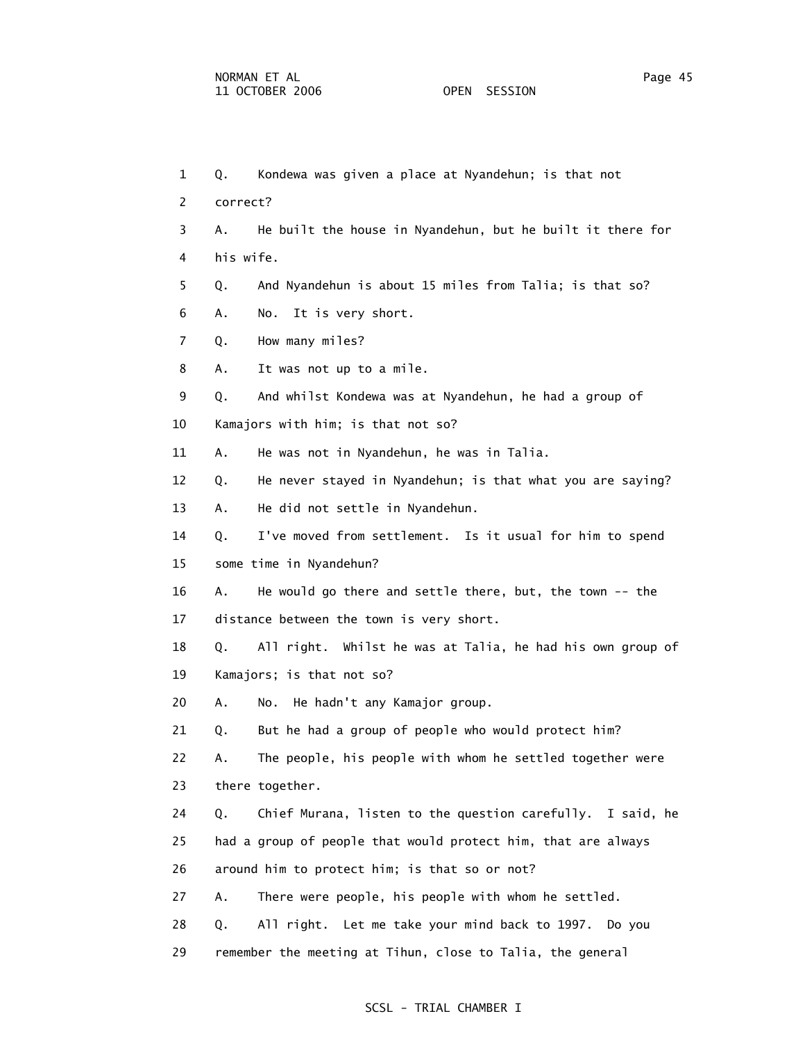1 Q. Kondewa was given a place at Nyandehun; is that not 2 correct? 3 A. He built the house in Nyandehun, but he built it there for 4 his wife. 5 Q. And Nyandehun is about 15 miles from Talia; is that so? 6 A. No. It is very short. 7 Q. How many miles? 8 A. It was not up to a mile. 9 Q. And whilst Kondewa was at Nyandehun, he had a group of 10 Kamajors with him; is that not so? 11 A. He was not in Nyandehun, he was in Talia. 12 Q. He never stayed in Nyandehun; is that what you are saying? 13 A. He did not settle in Nyandehun. 14 Q. I've moved from settlement. Is it usual for him to spend 15 some time in Nyandehun? 16 A. He would go there and settle there, but, the town -- the 17 distance between the town is very short. 18 Q. All right. Whilst he was at Talia, he had his own group of 19 Kamajors; is that not so? 20 A. No. He hadn't any Kamajor group. 21 Q. But he had a group of people who would protect him? 22 A. The people, his people with whom he settled together were 23 there together. 24 Q. Chief Murana, listen to the question carefully. I said, he 25 had a group of people that would protect him, that are always 26 around him to protect him; is that so or not? 27 A. There were people, his people with whom he settled. 28 Q. All right. Let me take your mind back to 1997. Do you 29 remember the meeting at Tihun, close to Talia, the general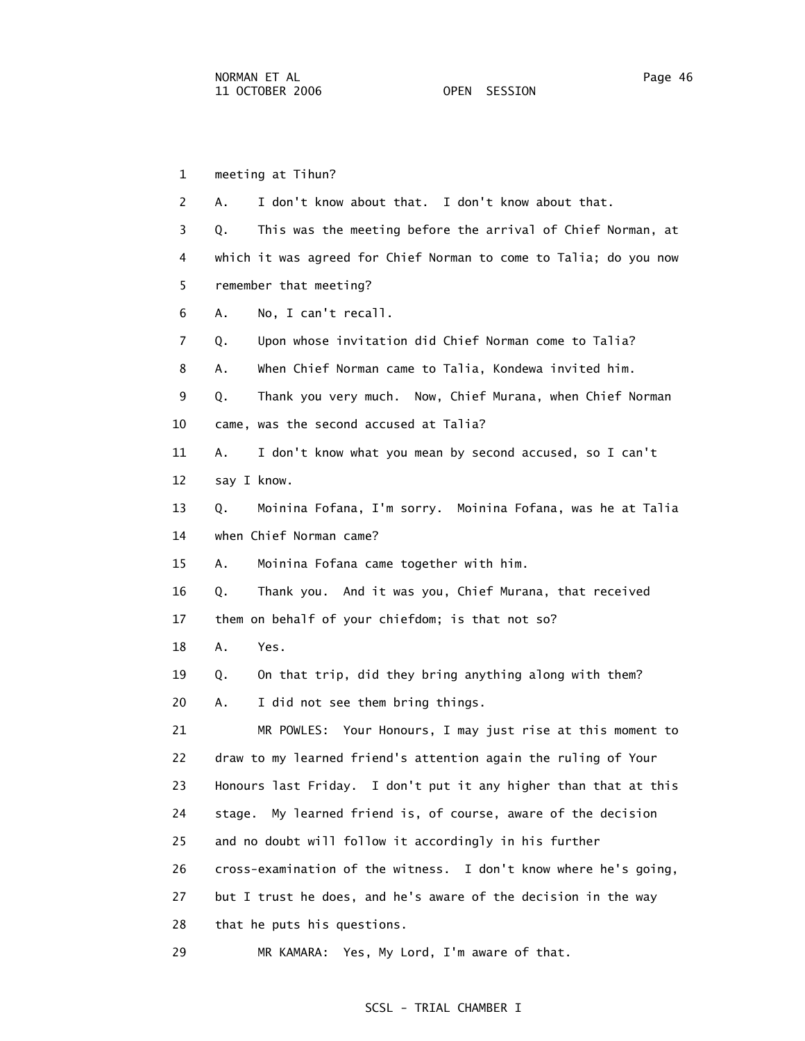1 meeting at Tihun? 2 A. I don't know about that. I don't know about that. 3 Q. This was the meeting before the arrival of Chief Norman, at 4 which it was agreed for Chief Norman to come to Talia; do you now 5 remember that meeting? 6 A. No, I can't recall. 7 Q. Upon whose invitation did Chief Norman come to Talia? 8 A. When Chief Norman came to Talia, Kondewa invited him. 9 Q. Thank you very much. Now, Chief Murana, when Chief Norman 10 came, was the second accused at Talia? 11 A. I don't know what you mean by second accused, so I can't 12 say I know. 13 Q. Moinina Fofana, I'm sorry. Moinina Fofana, was he at Talia 14 when Chief Norman came? 15 A. Moinina Fofana came together with him. 16 Q. Thank you. And it was you, Chief Murana, that received 17 them on behalf of your chiefdom; is that not so? 18 A. Yes. 19 Q. On that trip, did they bring anything along with them? 20 A. I did not see them bring things. 21 MR POWLES: Your Honours, I may just rise at this moment to 22 draw to my learned friend's attention again the ruling of Your 23 Honours last Friday. I don't put it any higher than that at this 24 stage. My learned friend is, of course, aware of the decision 25 and no doubt will follow it accordingly in his further 26 cross-examination of the witness. I don't know where he's going, 27 but I trust he does, and he's aware of the decision in the way 28 that he puts his questions.

29 MR KAMARA: Yes, My Lord, I'm aware of that.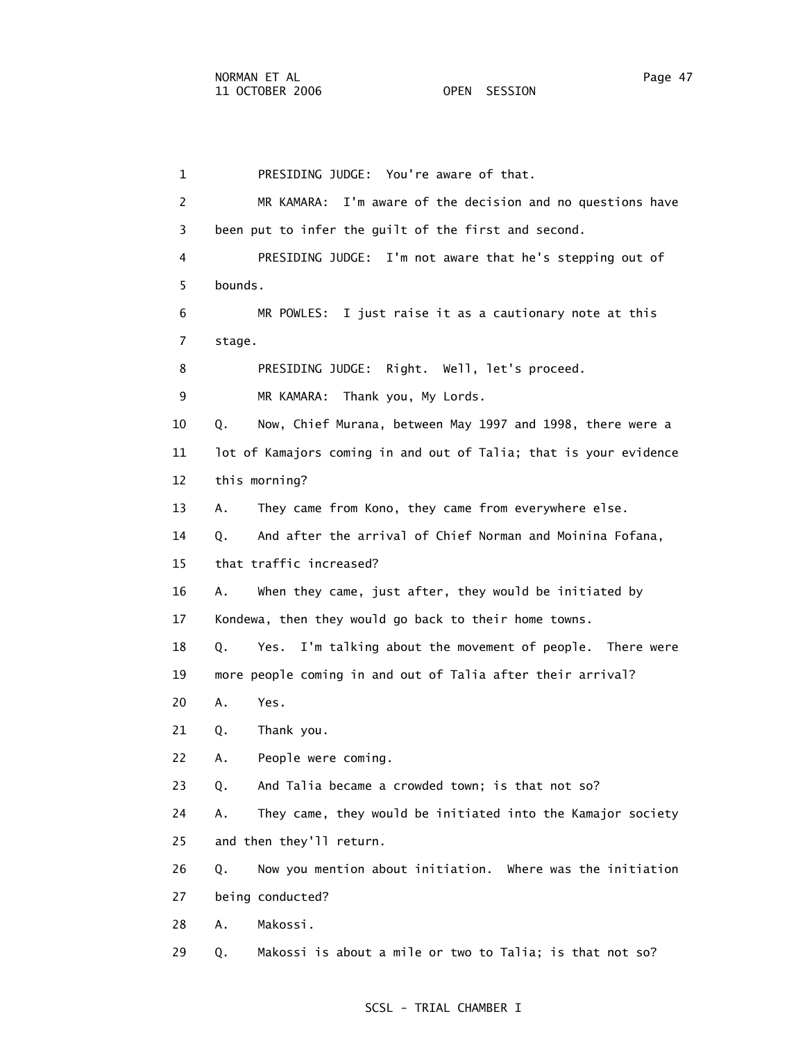1 PRESIDING JUDGE: You're aware of that. 2 MR KAMARA: I'm aware of the decision and no questions have 3 been put to infer the guilt of the first and second. 4 PRESIDING JUDGE: I'm not aware that he's stepping out of 5 bounds. 6 MR POWLES: I just raise it as a cautionary note at this 7 stage. 8 PRESIDING JUDGE: Right. Well, let's proceed. 9 MR KAMARA: Thank you, My Lords. 10 Q. Now, Chief Murana, between May 1997 and 1998, there were a 11 lot of Kamajors coming in and out of Talia; that is your evidence 12 this morning? 13 A. They came from Kono, they came from everywhere else. 14 Q. And after the arrival of Chief Norman and Moinina Fofana, 15 that traffic increased? 16 A. When they came, just after, they would be initiated by 17 Kondewa, then they would go back to their home towns. 18 Q. Yes. I'm talking about the movement of people. There were 19 more people coming in and out of Talia after their arrival? 20 A. Yes. 21 Q. Thank you. 22 A. People were coming. 23 Q. And Talia became a crowded town; is that not so? 24 A. They came, they would be initiated into the Kamajor society 25 and then they'll return. 26 Q. Now you mention about initiation. Where was the initiation 27 being conducted? 28 A. Makossi. 29 Q. Makossi is about a mile or two to Talia; is that not so?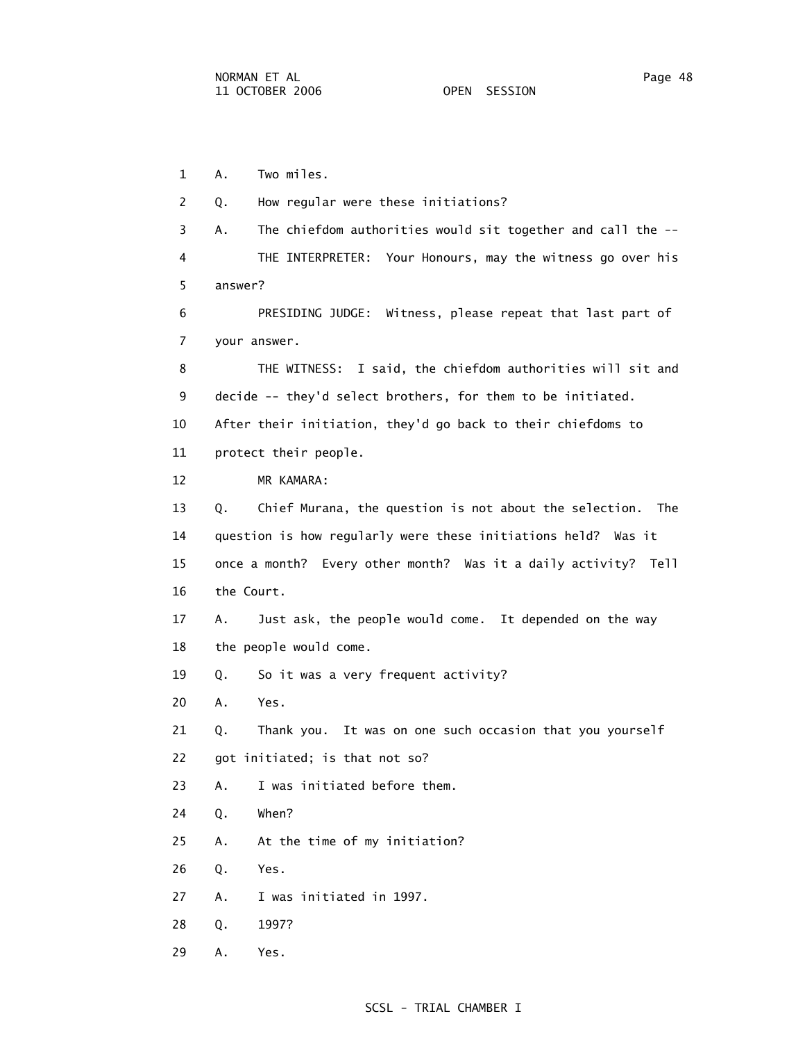1 A. Two miles. 2 Q. How regular were these initiations? 3 A. The chiefdom authorities would sit together and call the -- 4 THE INTERPRETER: Your Honours, may the witness go over his 5 answer? 6 PRESIDING JUDGE: Witness, please repeat that last part of 7 your answer. 8 THE WITNESS: I said, the chiefdom authorities will sit and 9 decide -- they'd select brothers, for them to be initiated. 10 After their initiation, they'd go back to their chiefdoms to 11 protect their people. 12 MR KAMARA: 13 Q. Chief Murana, the question is not about the selection. The 14 question is how regularly were these initiations held? Was it 15 once a month? Every other month? Was it a daily activity? Tell 16 the Court. 17 A. Just ask, the people would come. It depended on the way 18 the people would come. 19 Q. So it was a very frequent activity? 20 A. Yes. 21 Q. Thank you. It was on one such occasion that you yourself 22 got initiated; is that not so? 23 A. I was initiated before them. 24 Q. When? 25 A. At the time of my initiation? 26 Q. Yes. 27 A. I was initiated in 1997. 28 Q. 1997? 29 A. Yes.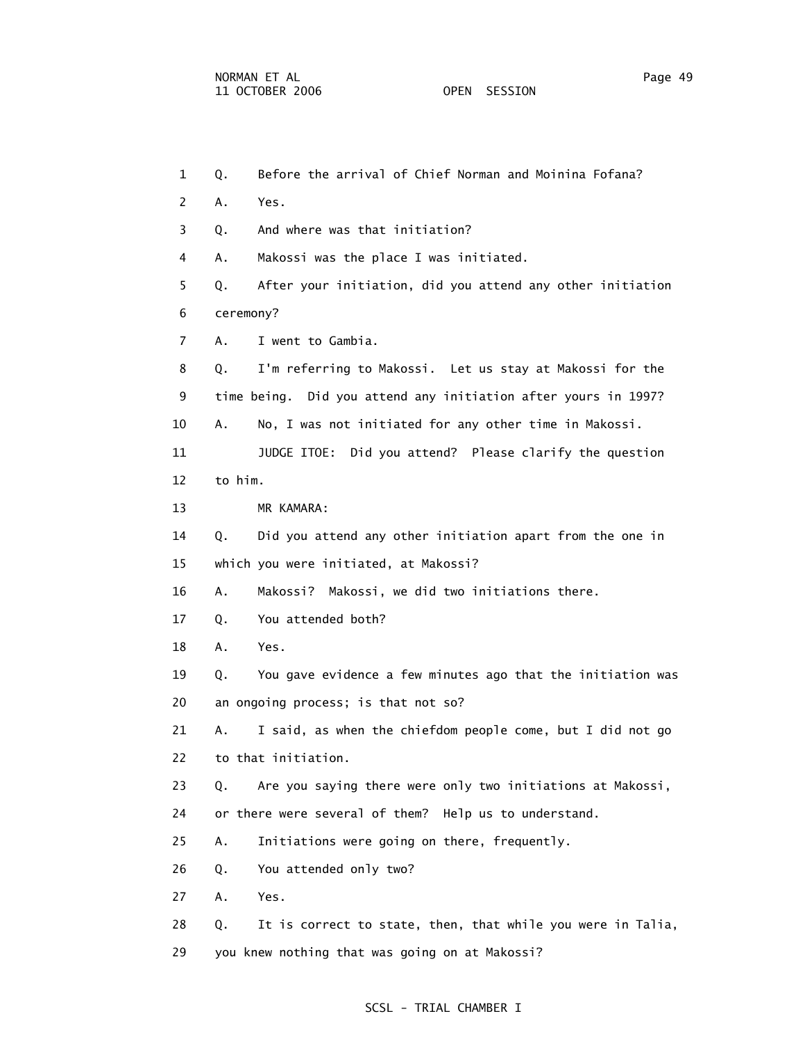1 Q. Before the arrival of Chief Norman and Moinina Fofana? 2 A. Yes. 3 Q. And where was that initiation? 4 A. Makossi was the place I was initiated. 5 Q. After your initiation, did you attend any other initiation 6 ceremony? 7 A. I went to Gambia. 8 Q. I'm referring to Makossi. Let us stay at Makossi for the 9 time being. Did you attend any initiation after yours in 1997? 10 A. No, I was not initiated for any other time in Makossi. 11 JUDGE ITOE: Did you attend? Please clarify the question 12 to him. 13 MR KAMARA: 14 Q. Did you attend any other initiation apart from the one in 15 which you were initiated, at Makossi? 16 A. Makossi? Makossi, we did two initiations there. 17 Q. You attended both? 18 A. Yes. 19 Q. You gave evidence a few minutes ago that the initiation was 20 an ongoing process; is that not so? 21 A. I said, as when the chiefdom people come, but I did not go 22 to that initiation. 23 Q. Are you saying there were only two initiations at Makossi, 24 or there were several of them? Help us to understand. 25 A. Initiations were going on there, frequently. 26 Q. You attended only two? 27 A. Yes. 28 Q. It is correct to state, then, that while you were in Talia, 29 you knew nothing that was going on at Makossi?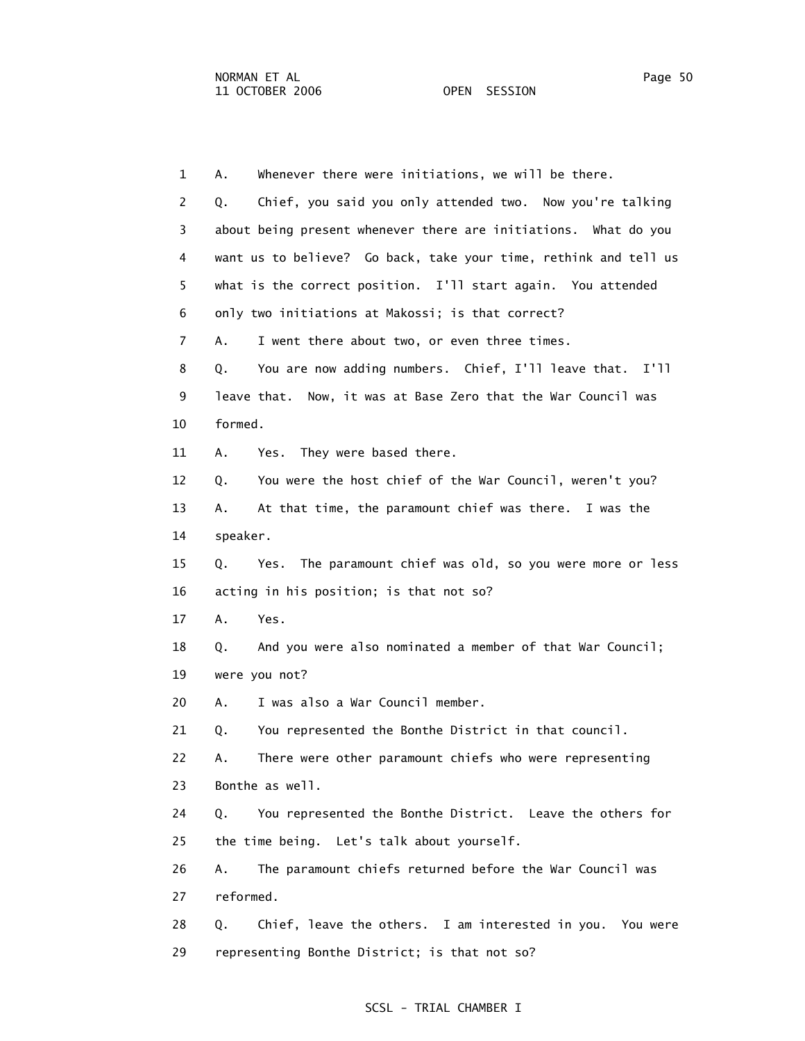1 A. Whenever there were initiations, we will be there. 2 Q. Chief, you said you only attended two. Now you're talking 3 about being present whenever there are initiations. What do you 4 want us to believe? Go back, take your time, rethink and tell us 5 what is the correct position. I'll start again. You attended 6 only two initiations at Makossi; is that correct? 7 A. I went there about two, or even three times. 8 Q. You are now adding numbers. Chief, I'll leave that. I'll 9 leave that. Now, it was at Base Zero that the War Council was 10 formed. 11 A. Yes. They were based there. 12 Q. You were the host chief of the War Council, weren't you? 13 A. At that time, the paramount chief was there. I was the 14 speaker. 15 Q. Yes. The paramount chief was old, so you were more or less 16 acting in his position; is that not so? 17 A. Yes. 18 Q. And you were also nominated a member of that War Council; 19 were you not? 20 A. I was also a War Council member. 21 Q. You represented the Bonthe District in that council. 22 A. There were other paramount chiefs who were representing 23 Bonthe as well. 24 Q. You represented the Bonthe District. Leave the others for 25 the time being. Let's talk about yourself. 26 A. The paramount chiefs returned before the War Council was 27 reformed. 28 Q. Chief, leave the others. I am interested in you. You were 29 representing Bonthe District; is that not so?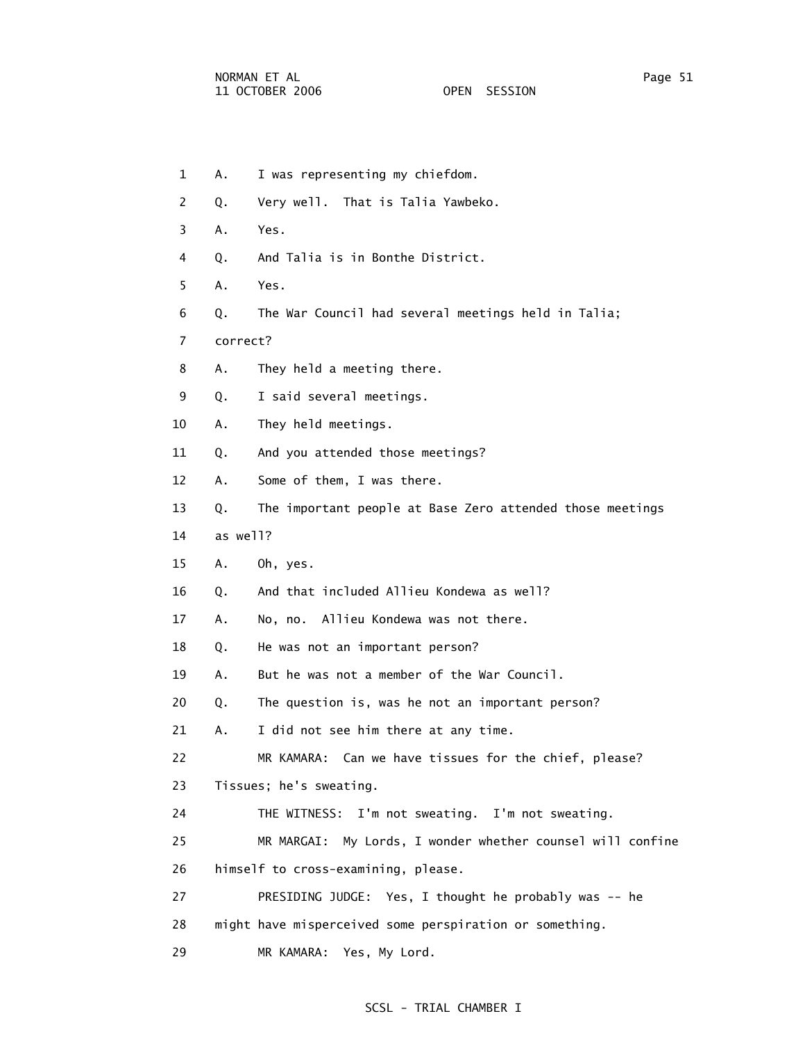| 1              | Α.       | I was representing my chiefdom.                               |
|----------------|----------|---------------------------------------------------------------|
| 2              | Q.       | Very well. That is Talia Yawbeko.                             |
| 3              | Α.       | Yes.                                                          |
| 4              | Q.       | And Talia is in Bonthe District.                              |
| 5              | А.       | Yes.                                                          |
| 6              | Q.       | The War Council had several meetings held in Talia;           |
| $\overline{7}$ | correct? |                                                               |
| 8              | Α.       | They held a meeting there.                                    |
| 9              | Q.       | I said several meetings.                                      |
| 10             | Α.       | They held meetings.                                           |
| 11             | Q.       | And you attended those meetings?                              |
| 12             | Α.       | Some of them, I was there.                                    |
| 13             | Q.       | The important people at Base Zero attended those meetings     |
| 14             | as well? |                                                               |
| 15             | Α.       | Oh, yes.                                                      |
| 16             | Q.       | And that included Allieu Kondewa as well?                     |
| 17             | Α.       | No, no. Allieu Kondewa was not there.                         |
| 18             | Q.       | He was not an important person?                               |
| 19             | Α.       | But he was not a member of the War Council.                   |
| 20             | Q.       | The question is, was he not an important person?              |
| 21             | Α.       | I did not see him there at any time.                          |
| 22             |          | MR KAMARA: Can we have tissues for the chief, please?         |
| 23             |          | Tissues; he's sweating.                                       |
| 24             |          | THE WITNESS: I'm not sweating. I'm not sweating.              |
| 25             |          | My Lords, I wonder whether counsel will confine<br>MR MARGAI: |
| 26             |          | himself to cross-examining, please.                           |
| 27             |          | PRESIDING JUDGE: Yes, I thought he probably was -- he         |
| 28             |          | might have misperceived some perspiration or something.       |
| 29             |          | MR KAMARA: Yes, My Lord.                                      |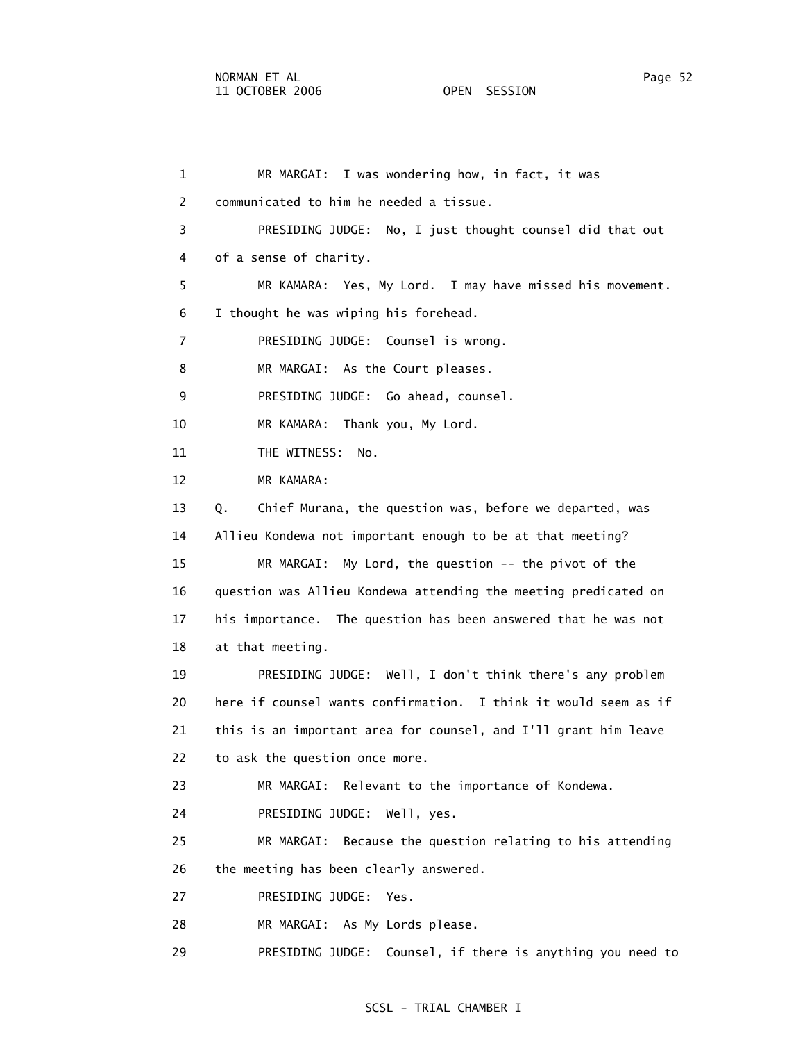1 MR MARGAI: I was wondering how, in fact, it was 2 communicated to him he needed a tissue. 3 PRESIDING JUDGE: No, I just thought counsel did that out 4 of a sense of charity. 5 MR KAMARA: Yes, My Lord. I may have missed his movement. 6 I thought he was wiping his forehead. 7 PRESIDING JUDGE: Counsel is wrong. 8 MR MARGAI: As the Court pleases. 9 PRESIDING JUDGE: Go ahead, counsel. 10 MR KAMARA: Thank you, My Lord. 11 THE WITNESS: No. 12 MR KAMARA: 13 Q. Chief Murana, the question was, before we departed, was 14 Allieu Kondewa not important enough to be at that meeting? 15 MR MARGAI: My Lord, the question -- the pivot of the 16 question was Allieu Kondewa attending the meeting predicated on 17 his importance. The question has been answered that he was not 18 at that meeting. 19 PRESIDING JUDGE: Well, I don't think there's any problem 20 here if counsel wants confirmation. I think it would seem as if 21 this is an important area for counsel, and I'll grant him leave 22 to ask the question once more. 23 MR MARGAI: Relevant to the importance of Kondewa. 24 PRESIDING JUDGE: Well, yes. 25 MR MARGAI: Because the question relating to his attending 26 the meeting has been clearly answered. 27 PRESIDING JUDGE: Yes. 28 MR MARGAI: As My Lords please. 29 PRESIDING JUDGE: Counsel, if there is anything you need to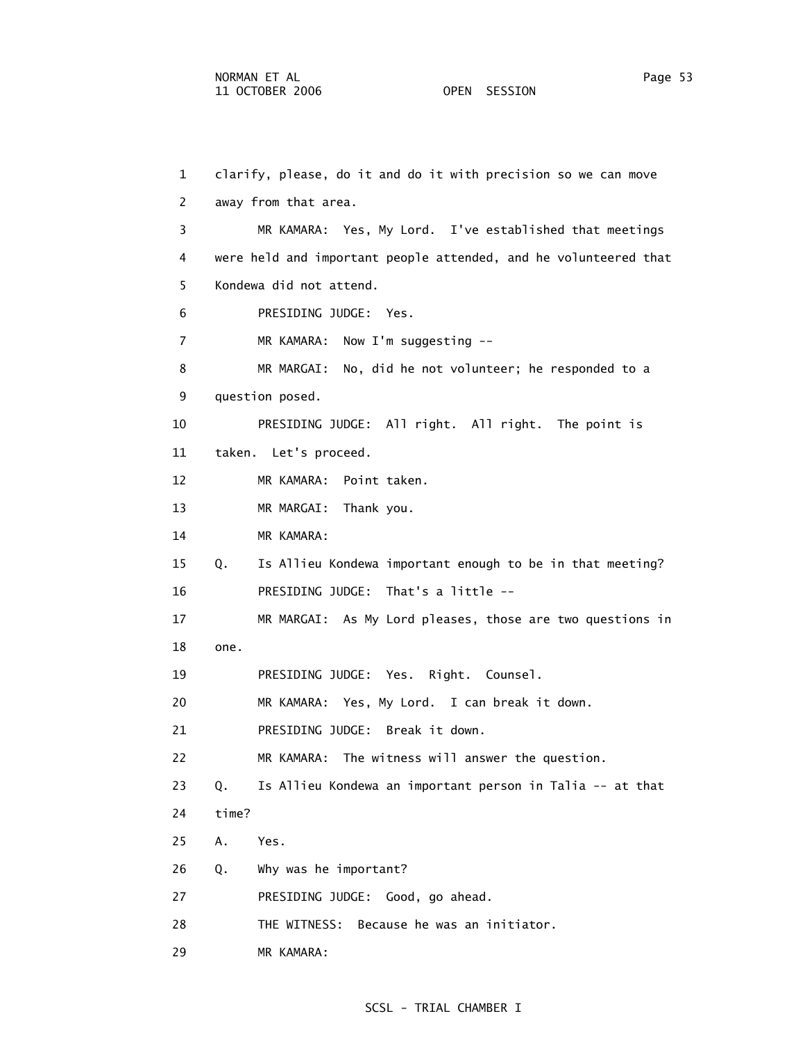1 clarify, please, do it and do it with precision so we can move 2 away from that area. 3 MR KAMARA: Yes, My Lord. I've established that meetings 4 were held and important people attended, and he volunteered that 5 Kondewa did not attend. 6 PRESIDING JUDGE: Yes. 7 MR KAMARA: Now I'm suggesting -- 8 MR MARGAI: No, did he not volunteer; he responded to a 9 question posed. 10 PRESIDING JUDGE: All right. All right. The point is 11 taken. Let's proceed. 12 MR KAMARA: Point taken. 13 MR MARGAI: Thank you. 14 MR KAMARA: 15 Q. Is Allieu Kondewa important enough to be in that meeting? 16 PRESIDING JUDGE: That's a little -- 17 MR MARGAI: As My Lord pleases, those are two questions in 18 one. 19 PRESIDING JUDGE: Yes. Right. Counsel. 20 MR KAMARA: Yes, My Lord. I can break it down. 21 PRESIDING JUDGE: Break it down. 22 MR KAMARA: The witness will answer the question. 23 Q. Is Allieu Kondewa an important person in Talia -- at that 24 time? 25 A. Yes. 26 Q. Why was he important? 27 PRESIDING JUDGE: Good, go ahead. 28 THE WITNESS: Because he was an initiator. 29 MR KAMARA: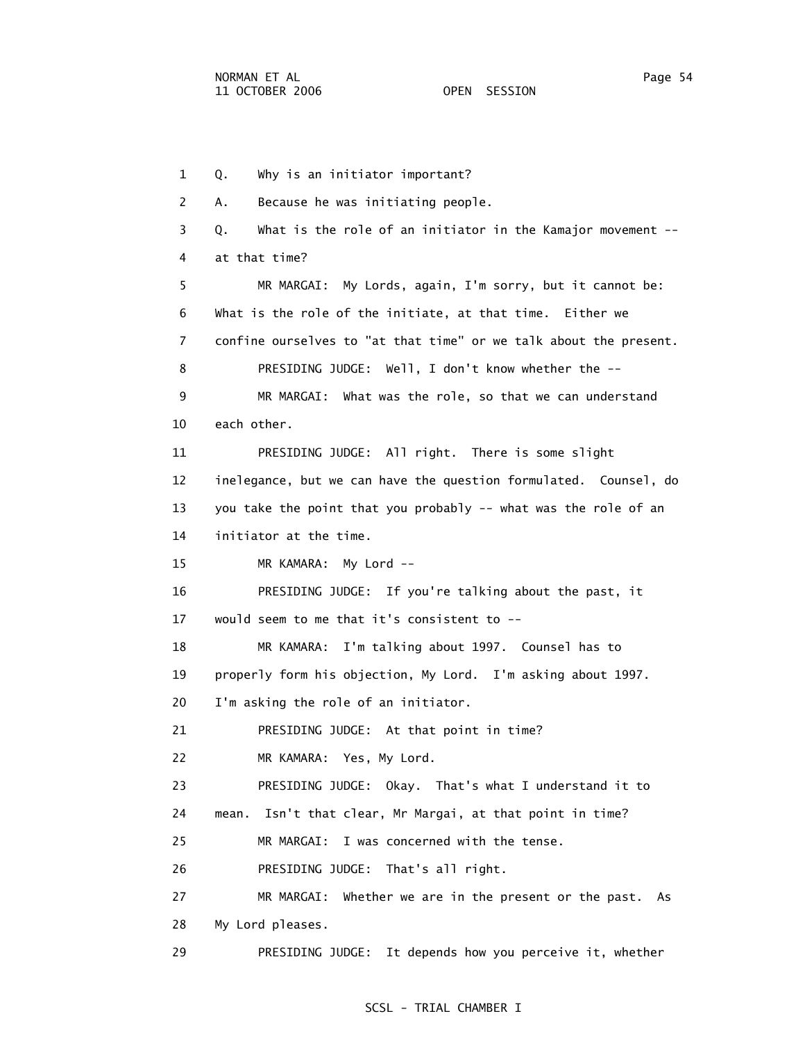1 Q. Why is an initiator important? 2 A. Because he was initiating people. 3 Q. What is the role of an initiator in the Kamajor movement -- 4 at that time? 5 MR MARGAI: My Lords, again, I'm sorry, but it cannot be: 6 What is the role of the initiate, at that time. Either we 7 confine ourselves to "at that time" or we talk about the present. 8 PRESIDING JUDGE: Well, I don't know whether the -- 9 MR MARGAI: What was the role, so that we can understand 10 each other. 11 PRESIDING JUDGE: All right. There is some slight 12 inelegance, but we can have the question formulated. Counsel, do 13 you take the point that you probably -- what was the role of an 14 initiator at the time. 15 MR KAMARA: My Lord -- 16 PRESIDING JUDGE: If you're talking about the past, it 17 would seem to me that it's consistent to -- 18 MR KAMARA: I'm talking about 1997. Counsel has to 19 properly form his objection, My Lord. I'm asking about 1997. 20 I'm asking the role of an initiator. 21 PRESIDING JUDGE: At that point in time? 22 MR KAMARA: Yes, My Lord. 23 PRESIDING JUDGE: Okay. That's what I understand it to 24 mean. Isn't that clear, Mr Margai, at that point in time? 25 MR MARGAI: I was concerned with the tense. 26 PRESIDING JUDGE: That's all right. 27 MR MARGAI: Whether we are in the present or the past. As 28 My Lord pleases. 29 PRESIDING JUDGE: It depends how you perceive it, whether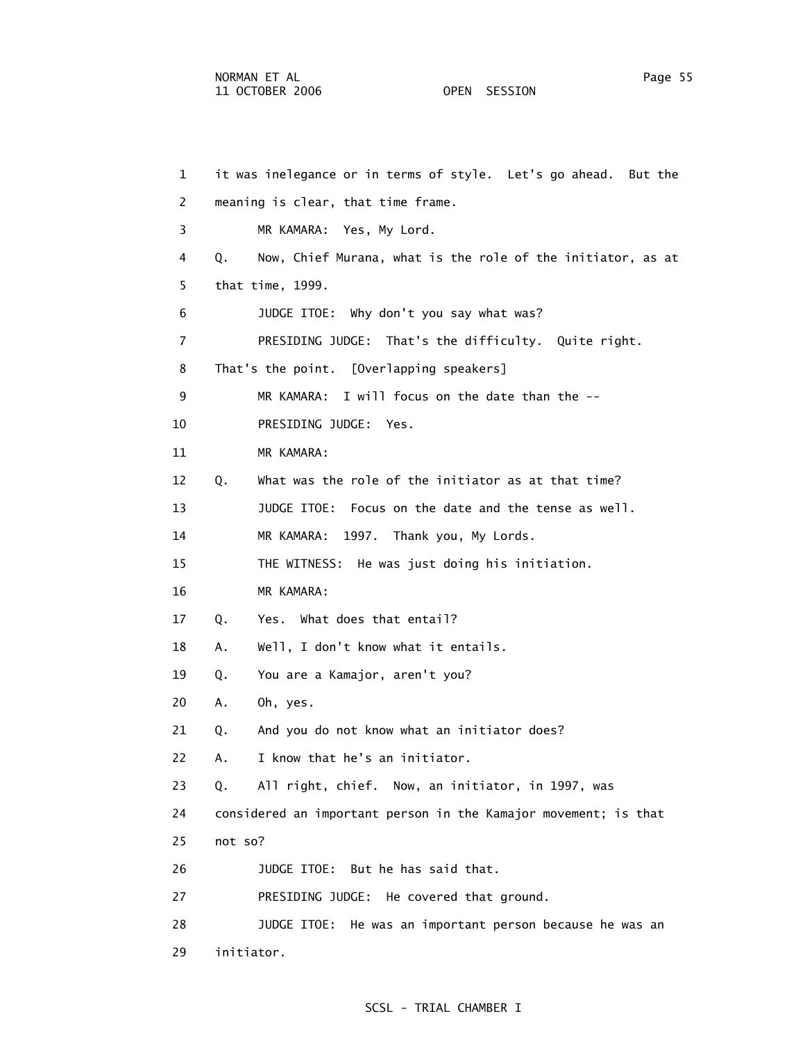1 it was inelegance or in terms of style. Let's go ahead. But the 2 meaning is clear, that time frame. 3 MR KAMARA: Yes, My Lord. 4 Q. Now, Chief Murana, what is the role of the initiator, as at 5 that time, 1999. 6 JUDGE ITOE: Why don't you say what was? 7 PRESIDING JUDGE: That's the difficulty. Quite right. 8 That's the point. [Overlapping speakers] 9 MR KAMARA: I will focus on the date than the -- 10 PRESIDING JUDGE: Yes. 11 MR KAMARA: 12 Q. What was the role of the initiator as at that time? 13 JUDGE ITOE: Focus on the date and the tense as well. 14 MR KAMARA: 1997. Thank you, My Lords. 15 THE WITNESS: He was just doing his initiation. 16 MR KAMARA: 17 Q. Yes. What does that entail? 18 A. Well, I don't know what it entails. 19 Q. You are a Kamajor, aren't you? 20 A. Oh, yes. 21 Q. And you do not know what an initiator does? 22 A. I know that he's an initiator. 23 Q. All right, chief. Now, an initiator, in 1997, was 24 considered an important person in the Kamajor movement; is that 25 not so? 26 JUDGE ITOE: But he has said that. 27 PRESIDING JUDGE: He covered that ground. 28 JUDGE ITOE: He was an important person because he was an 29 initiator.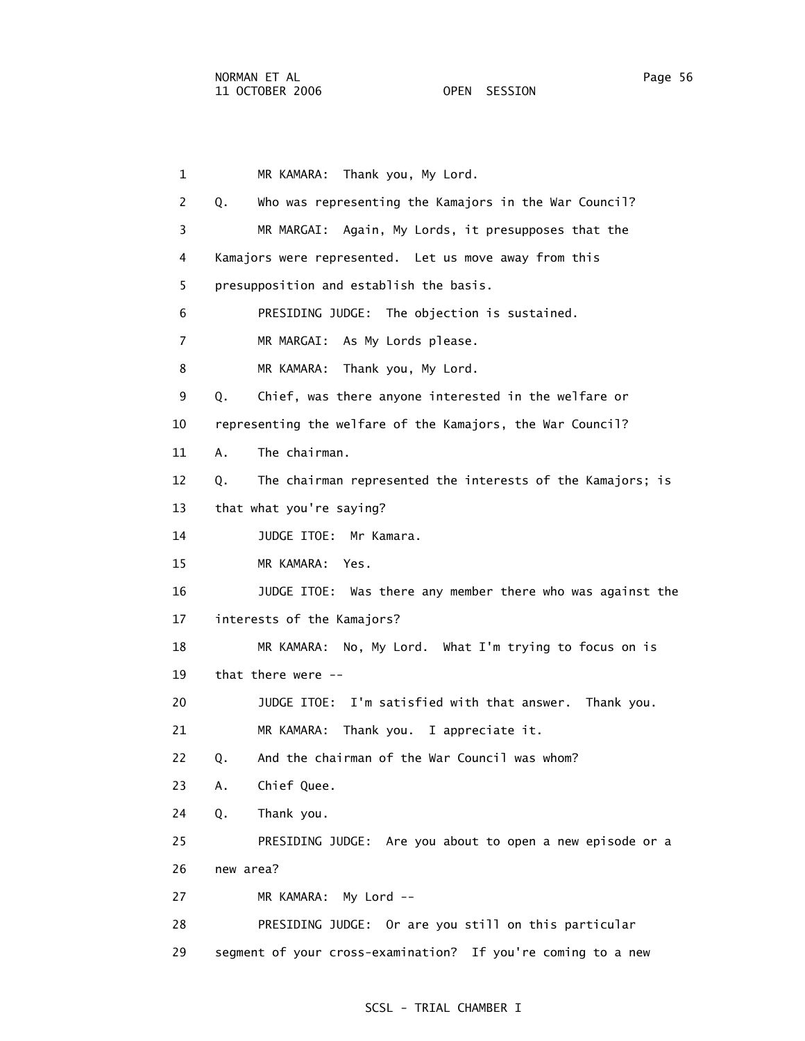| $\mathbf{1}$   | Thank you, My Lord.<br>MR KAMARA:                                |
|----------------|------------------------------------------------------------------|
| 2              | Q.<br>Who was representing the Kamajors in the War Council?      |
| 3              | MR MARGAI: Again, My Lords, it presupposes that the              |
| 4              | Kamajors were represented. Let us move away from this            |
| 5              | presupposition and establish the basis.                          |
| 6              | PRESIDING JUDGE: The objection is sustained.                     |
| $\overline{7}$ | MR MARGAI: As My Lords please.                                   |
| 8              | MR KAMARA: Thank you, My Lord.                                   |
| 9              | Q.<br>Chief, was there anyone interested in the welfare or       |
| 10             | representing the welfare of the Kamajors, the War Council?       |
| 11             | The chairman.<br>Α.                                              |
| 12             | The chairman represented the interests of the Kamajors; is<br>Q. |
| 13             | that what you're saying?                                         |
| 14             | JUDGE ITOE: Mr Kamara.                                           |
| 15             | MR KAMARA: Yes.                                                  |
| 16             | JUDGE ITOE: Was there any member there who was against the       |
| 17             | interests of the Kamajors?                                       |
| 18             | MR KAMARA: No, My Lord. What I'm trying to focus on is           |
| 19             | that there were --                                               |
| 20             | JUDGE ITOE: I'm satisfied with that answer. Thank you.           |
| 21             | Thank you. I appreciate it.<br>MR KAMARA:                        |
| 22             | And the chairman of the War Council was whom?<br>Q.              |
| 23             | Chief Quee.<br>Α.                                                |
| 24             | Q.<br>Thank you.                                                 |
| 25             | PRESIDING JUDGE: Are you about to open a new episode or a        |
| 26             | new area?                                                        |
| 27             | MR KAMARA: My Lord --                                            |
| 28             | PRESIDING JUDGE: Or are you still on this particular             |
| 29             | segment of your cross-examination? If you're coming to a new     |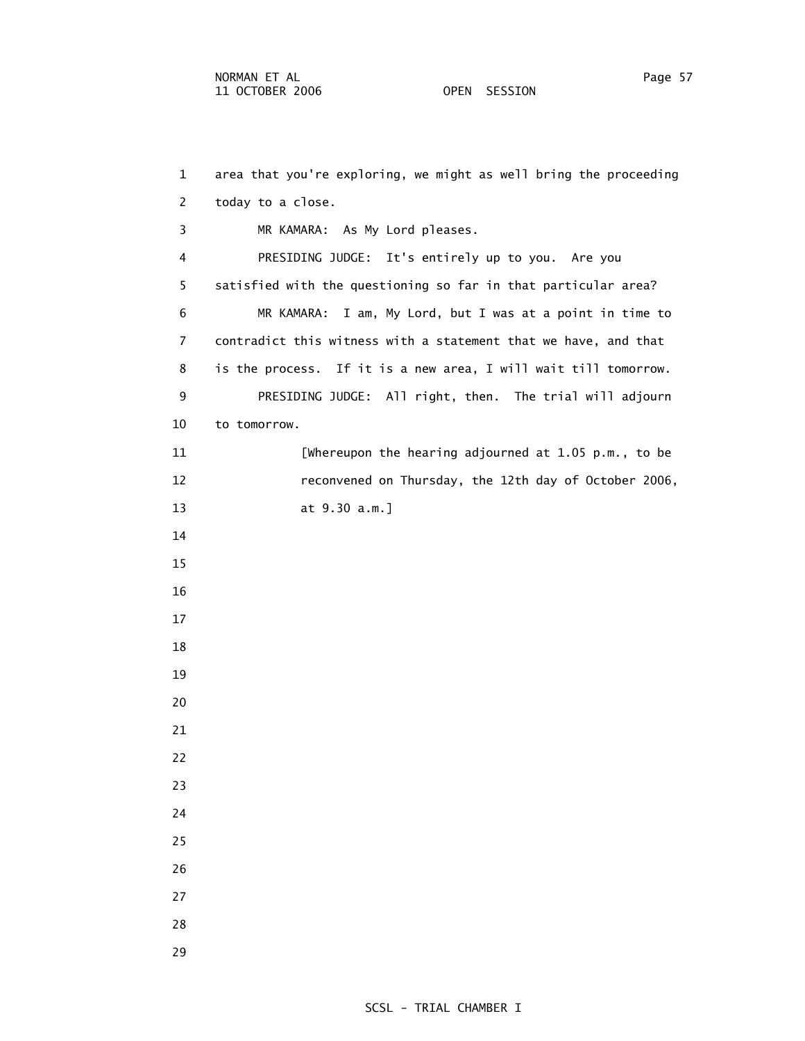1 area that you're exploring, we might as well bring the proceeding 2 today to a close. 3 MR KAMARA: As My Lord pleases. 4 PRESIDING JUDGE: It's entirely up to you. Are you 5 satisfied with the questioning so far in that particular area? 6 MR KAMARA: I am, My Lord, but I was at a point in time to 7 contradict this witness with a statement that we have, and that 8 is the process. If it is a new area, I will wait till tomorrow. 9 PRESIDING JUDGE: All right, then. The trial will adjourn 10 to tomorrow. 11 [Whereupon the hearing adjourned at 1.05 p.m., to be 12 reconvened on Thursday, the 12th day of October 2006, 13 at 9.30 a.m.] 14 15 16 17 18 19 20 21 22 23 24 25 26 27 28 29